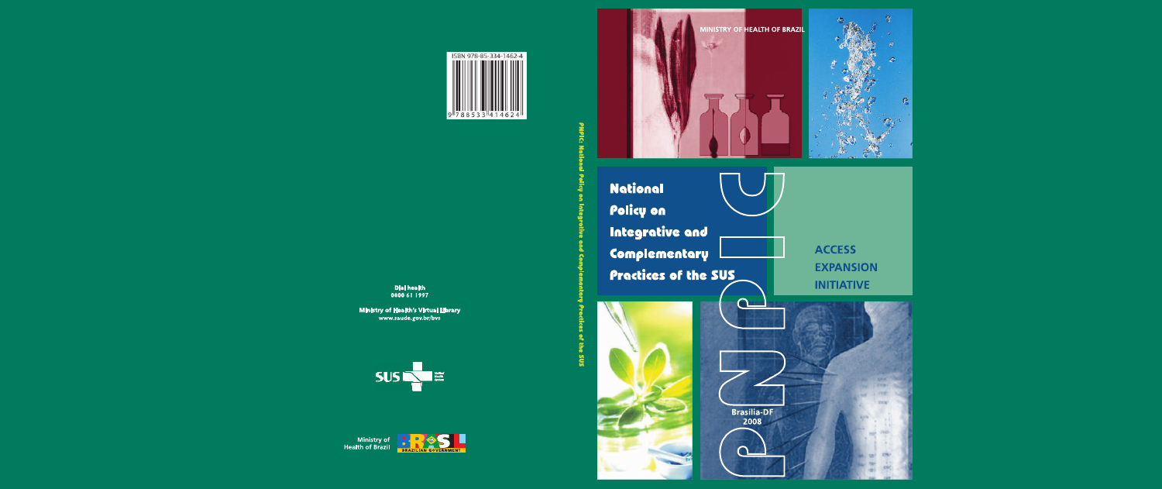



Dial health<br>0800 61 1997

ISBN 978-85-334-1462-4

Ministry of Health's Virtual Library<br>www.saude.gov.br/bvs



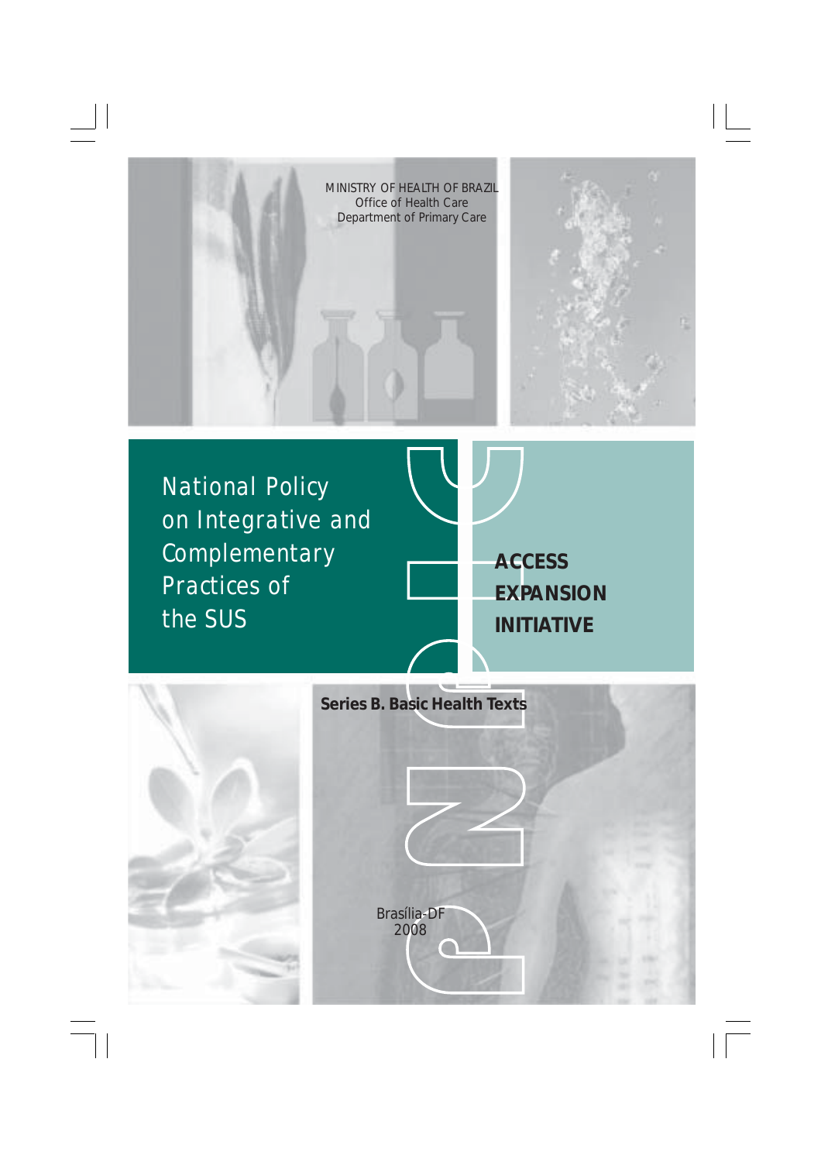

 $\mathbf{L}$ 

 $\begin{array}{c|c|c|c} \hline \quad \quad & \quad \quad & \quad \quad \\ \hline \quad \quad & \quad \quad & \quad \quad \\ \hline \end{array}$ 

National Policy on Integrative and **Complementary** Practices of the SUS **ACCESS EXPANSION INITIATIVE**

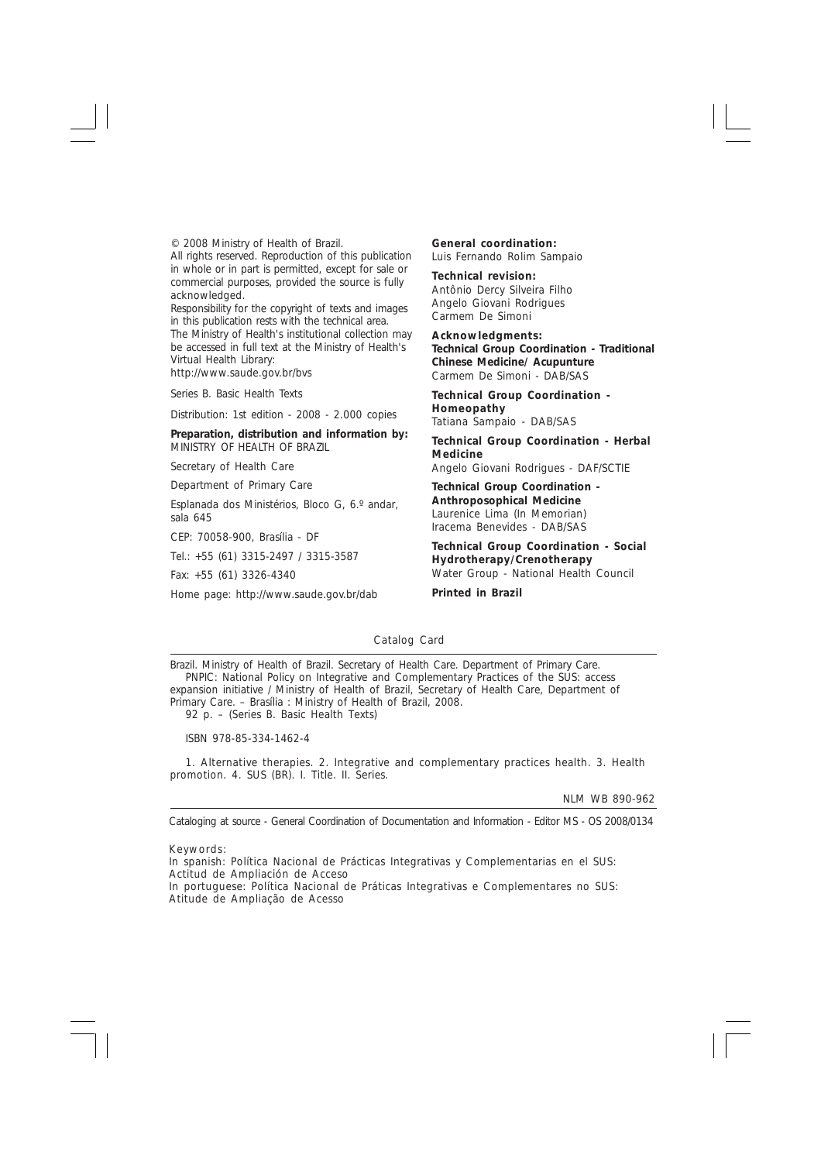© 2008 Ministry of Health of Brazil. All rights reserved. Reproduction of this publication in whole or in part is permitted, except for sale or commercial purposes, provided the source is fully acknowledged.

Responsibility for the copyright of texts and images in this publication rests with the technical area. The Ministry of Health's institutional collection may be accessed in full text at the Ministry of Health's Virtual Health Library:

http://www.saude.gov.br/bvs

Series B. Basic Health Texts

Distribution: 1st edition - 2008 - 2.000 copies

*Preparation, distribution and information by:* MINISTRY OF HEALTH OF BRAZIL

Secretary of Health Care

Department of Primary Care

Esplanada dos Ministérios, Bloco G, 6.º andar, sala 645

CEP: 70058-900, Brasília - DF

Tel.: +55 (61) 3315-2497 / 3315-3587

Fax: +55 (61) 3326-4340

Home page: http://www.saude.gov.br/dab

*General coordination:* Luis Fernando Rolim Sampaio

*Technical revision:* Antônio Dercy Silveira Filho Angelo Giovani Rodrigues Carmem De Simoni

*Acknowledgments:* **Technical Group Coordination - Traditional Chinese Medicine/ Acupunture** Carmem De Simoni - DAB/SAS

**Technical Group Coordination - Homeopathy**

Tatiana Sampaio - DAB/SAS

**Technical Group Coordination - Herbal Medicine**

Angelo Giovani Rodrigues - DAF/SCTIE

**Technical Group Coordination - Anthroposophical Medicine** Laurenice Lima (In Memorian) Iracema Benevides - DAB/SAS

**Technical Group Coordination - Social Hydrotherapy/Crenotherapy** Water Group - National Health Council

**Printed in Brazil**

#### Catalog Card

Brazil. Ministry of Health of Brazil. Secretary of Health Care. Department of Primary Care. PNPIC: National Policy on Integrative and Complementary Practices of the SUS: access expansion initiative / Ministry of Health of Brazil, Secretary of Health Care, Department of Primary Care. – Brasília : Ministry of Health of Brazil, 2008.

92 p. – (Series B. Basic Health Texts)

ISBN 978-85-334-1462-4

1. Alternative therapies. 2. Integrative and complementary practices health. 3. Health promotion. 4. SUS (BR). I. Title. II. Series.

NLM WB 890-962

Cataloging at source - General Coordination of Documentation and Information - Editor MS - OS 2008/0134

*Keywords:*

In spanish: Política Nacional de Prácticas Integrativas y Complementarias en el SUS: Actitud de Ampliación de Acceso

In portuguese: Política Nacional de Práticas Integrativas e Complementares no SUS: Atitude de Ampliação de Acesso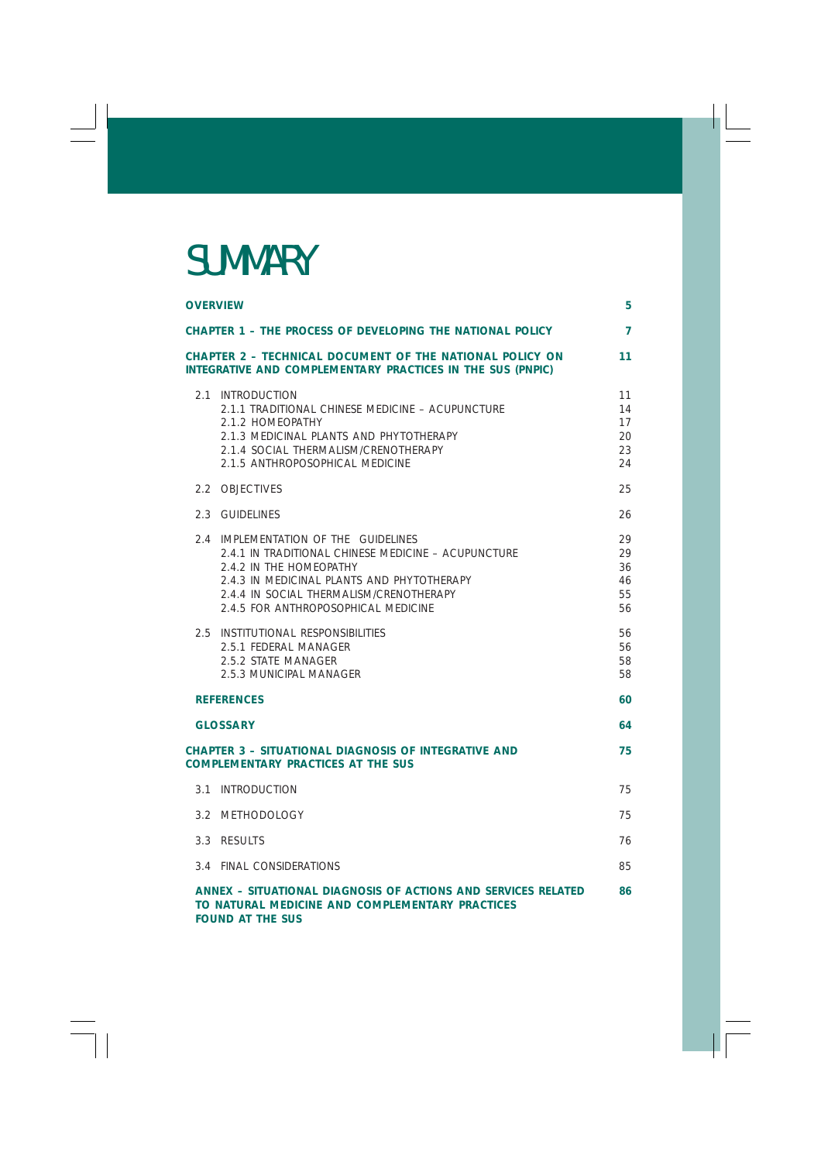## **SUMMARY**

| <b>OVERVIEW</b><br>CHAPTER 1 - THE PROCESS OF DEVELOPING THE NATIONAL POLICY<br>CHAPTER 2 - TECHNICAL DOCUMENT OF THE NATIONAL POLICY ON<br>INTEGRATIVE AND COMPLEMENTARY PRACTICES IN THE SUS (PNPIC) |                                                                                                                                                                                                                                                    | 5<br>7<br>11                     |               |                                                                                                                                                                                                                   |                                  |
|--------------------------------------------------------------------------------------------------------------------------------------------------------------------------------------------------------|----------------------------------------------------------------------------------------------------------------------------------------------------------------------------------------------------------------------------------------------------|----------------------------------|---------------|-------------------------------------------------------------------------------------------------------------------------------------------------------------------------------------------------------------------|----------------------------------|
|                                                                                                                                                                                                        |                                                                                                                                                                                                                                                    |                                  | 2.1           | <b>INTRODUCTION</b><br>2.1.1 TRADITIONAL CHINESE MEDICINE - ACUPUNCTURE<br>2.1.2 HOMEOPATHY<br>2.1.3 MEDICINAL PLANTS AND PHYTOTHERAPY<br>2.1.4 SOCIAL THERMALISM/CRENOTHERAPY<br>2.1.5 ANTHROPOSOPHICAL MEDICINE | 11<br>14<br>17<br>20<br>23<br>24 |
|                                                                                                                                                                                                        |                                                                                                                                                                                                                                                    |                                  | $2.2^{\circ}$ | OBJECTIVES                                                                                                                                                                                                        | 25                               |
|                                                                                                                                                                                                        | 2.3 GUIDELINES                                                                                                                                                                                                                                     | 26                               |               |                                                                                                                                                                                                                   |                                  |
| 2.4                                                                                                                                                                                                    | IMPLEMENTATION OF THE GUIDELINES<br>2.4.1 IN TRADITIONAL CHINESE MEDICINE - ACUPUNCTURE<br>2.4.2 IN THE HOMEOPATHY<br>2.4.3 IN MEDICINAL PLANTS AND PHYTOTHERAPY<br>2.4.4 IN SOCIAL THERMALISM/CRENOTHERAPY<br>2.4.5 FOR ANTHROPOSOPHICAL MEDICINE | 29<br>29<br>36<br>46<br>55<br>56 |               |                                                                                                                                                                                                                   |                                  |
|                                                                                                                                                                                                        | 2.5 INSTITUTIONAL RESPONSIBILITIES<br>2.5.1 FEDERAL MANAGER<br>2.5.2 STATE MANAGER<br>2.5.3 MUNICIPAL MANAGER                                                                                                                                      | 56<br>56<br>58<br>58             |               |                                                                                                                                                                                                                   |                                  |
|                                                                                                                                                                                                        | <b>REFERENCES</b>                                                                                                                                                                                                                                  | 60                               |               |                                                                                                                                                                                                                   |                                  |
| <b>GLOSSARY</b>                                                                                                                                                                                        |                                                                                                                                                                                                                                                    | 64                               |               |                                                                                                                                                                                                                   |                                  |
| <b>CHAPTER 3 - SITUATIONAL DIAGNOSIS OF INTEGRATIVE AND</b><br><b>COMPLEMENTARY PRACTICES AT THE SUS</b>                                                                                               |                                                                                                                                                                                                                                                    | 75                               |               |                                                                                                                                                                                                                   |                                  |
| 3.1                                                                                                                                                                                                    | <b>INTRODUCTION</b>                                                                                                                                                                                                                                | 75                               |               |                                                                                                                                                                                                                   |                                  |
| $3.2^{\circ}$                                                                                                                                                                                          | METHODOLOGY                                                                                                                                                                                                                                        | 75                               |               |                                                                                                                                                                                                                   |                                  |
| 3.3 <sup>°</sup>                                                                                                                                                                                       | RESULTS                                                                                                                                                                                                                                            | 76                               |               |                                                                                                                                                                                                                   |                                  |
|                                                                                                                                                                                                        | 3.4 FINAL CONSIDERATIONS                                                                                                                                                                                                                           | 85                               |               |                                                                                                                                                                                                                   |                                  |
| ANNEX - SITUATIONAL DIAGNOSIS OF ACTIONS AND SERVICES RELATED<br>86<br>TO NATURAL MEDICINE AND COMPLEMENTARY PRACTICES<br><b>FOUND AT THE SUS</b>                                                      |                                                                                                                                                                                                                                                    |                                  |               |                                                                                                                                                                                                                   |                                  |

 $\vdash$ 

 $\overline{\phantom{a}}$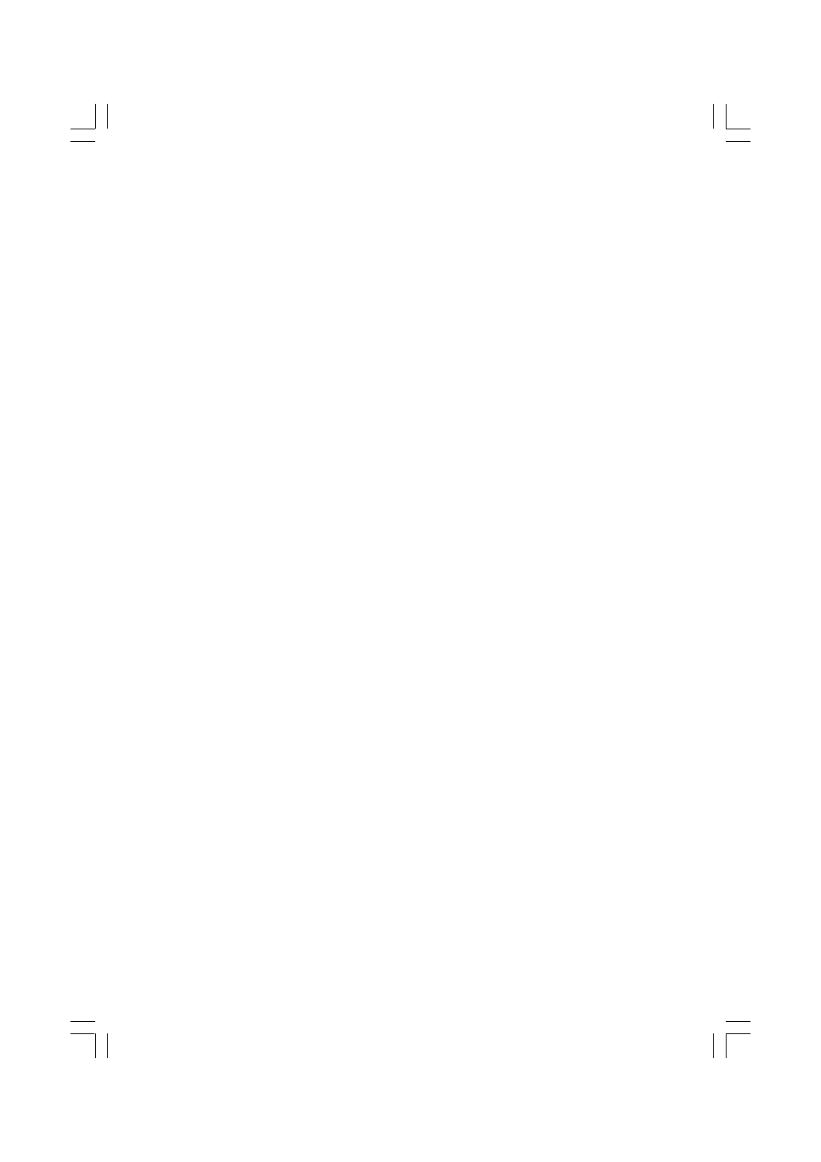$\mathbf{r}$ 

 $\overline{\overline{\mathcal{A}}}$ 

 $\sqrt{\overline{\phantom{a}}\phantom{a}}$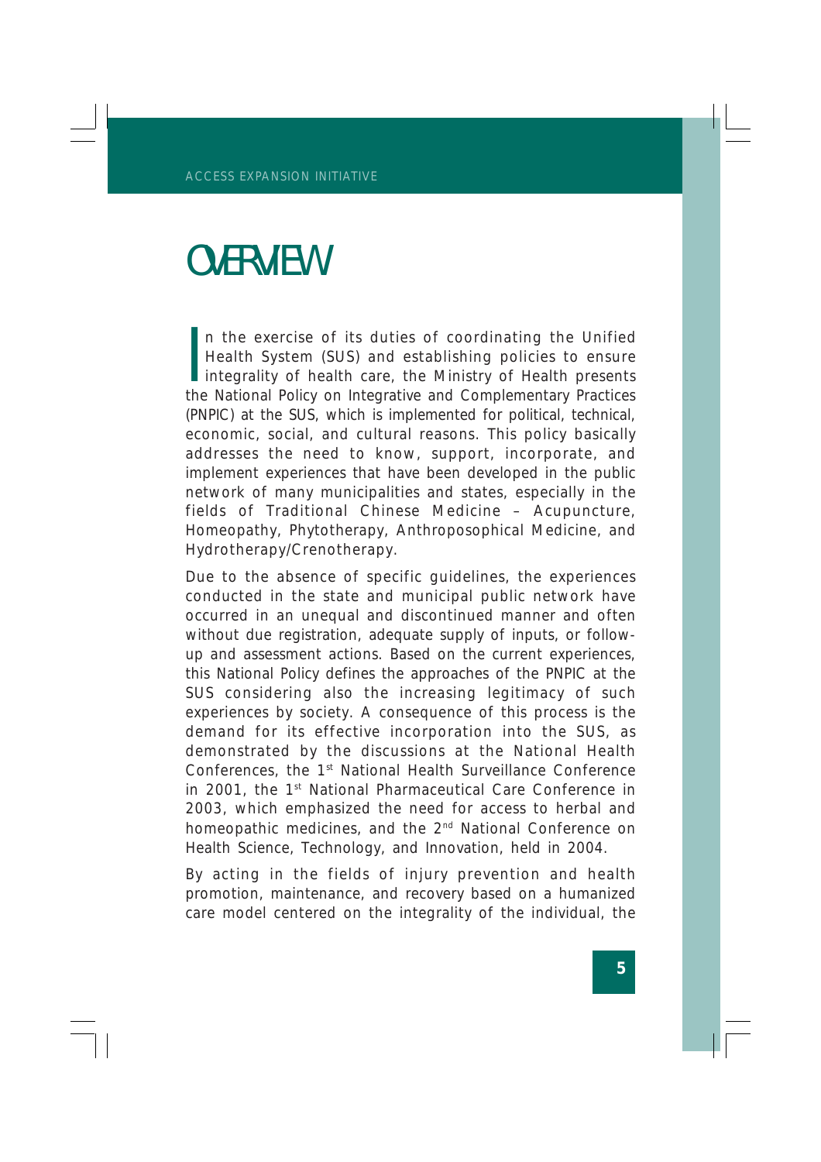## **OVERVIEW**

 $\prod_{\text{th}}$ n the exercise of its duties of coordinating the Unified Health System (SUS) and establishing policies to ensure integrality of health care, the Ministry of Health presents the National Policy on Integrative and Complementary Practices (PNPIC) at the SUS, which is implemented for political, technical, economic, social, and cultural reasons. This policy basically addresses the need to know, support, incorporate, and implement experiences that have been developed in the public network of many municipalities and states, especially in the fields of Traditional Chinese Medicine – Acupuncture, Homeopathy, Phytotherapy, Anthroposophical Medicine, and Hydrotherapy/Crenotherapy.

Due to the absence of specific guidelines, the experiences conducted in the state and municipal public network have occurred in an unequal and discontinued manner and often without due registration, adequate supply of inputs, or followup and assessment actions. Based on the current experiences, this National Policy defines the approaches of the PNPIC at the SUS considering also the increasing legitimacy of such experiences by society. A consequence of this process is the demand for its effective incorporation into the SUS, as demonstrated by the discussions at the National Health Conferences, the 1st National Health Surveillance Conference in 2001, the 1st National Pharmaceutical Care Conference in 2003, which emphasized the need for access to herbal and homeopathic medicines, and the 2<sup>nd</sup> National Conference on Health Science, Technology, and Innovation, held in 2004.

By acting in the fields of injury prevention and health promotion, maintenance, and recovery based on a humanized care model centered on the integrality of the individual, the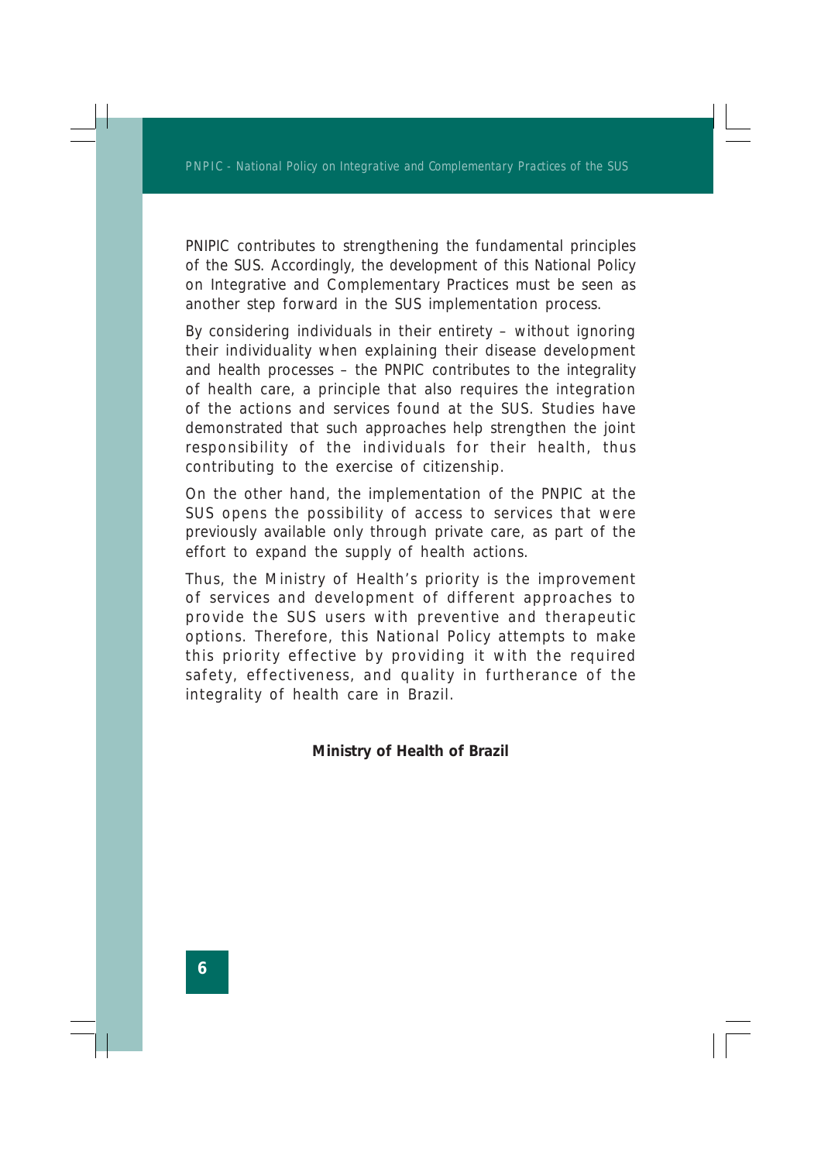PNIPIC contributes to strengthening the fundamental principles of the SUS. Accordingly, the development of this National Policy on Integrative and Complementary Practices must be seen as another step forward in the SUS implementation process.

By considering individuals in their entirety – without ignoring their individuality when explaining their disease development and health processes – the PNPIC contributes to the integrality of health care, a principle that also requires the integration of the actions and services found at the SUS. Studies have demonstrated that such approaches help strengthen the joint responsibility of the individuals for their health, thus contributing to the exercise of citizenship.

On the other hand, the implementation of the PNPIC at the SUS opens the possibility of access to services that were previously available only through private care, as part of the effort to expand the supply of health actions.

Thus, the Ministry of Health's priority is the improvement of services and development of different approaches to provide the SUS users with preventive and therapeutic options. Therefore, this National Policy attempts to make this priority effective by providing it with the required safety, effectiveness, and quality in furtherance of the integrality of health care in Brazil.

#### **Ministry of Health of Brazil**

**6**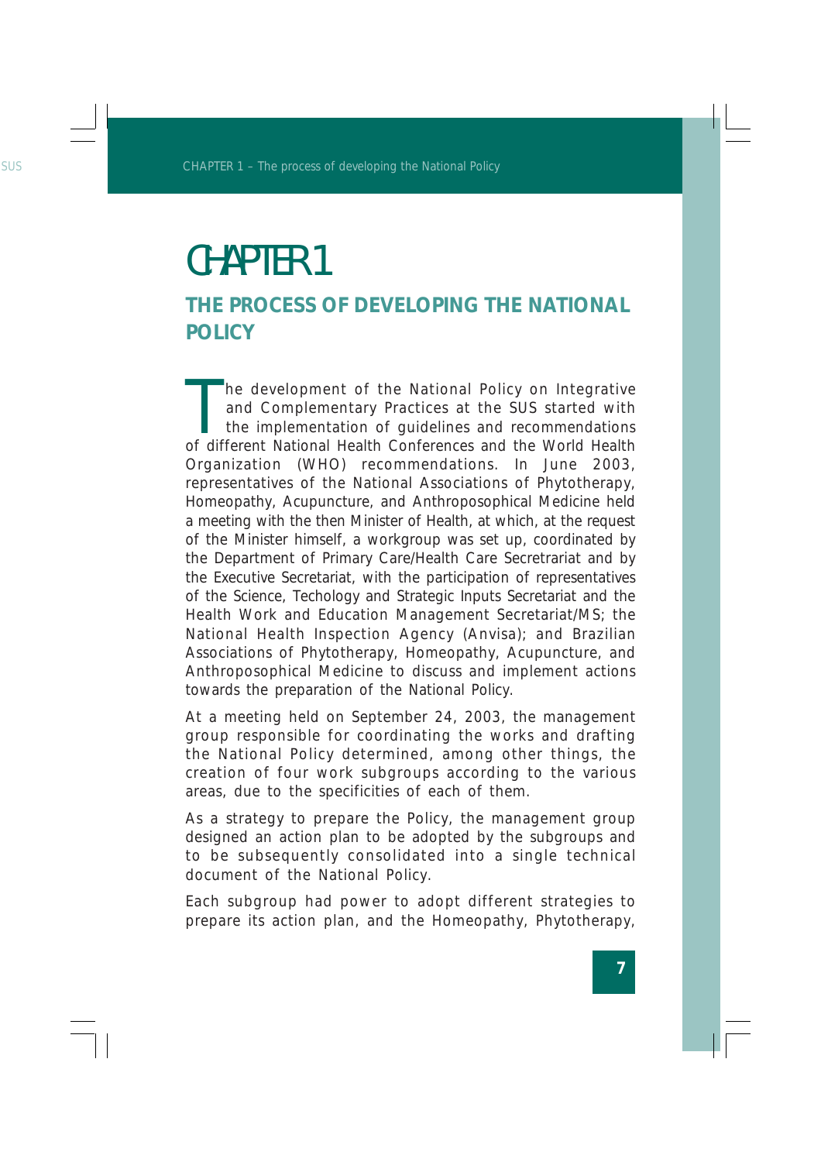## **CHAPTER1**

**THE PROCESS OF DEVELOPING THE NATIONAL POLICY**

he development of the National Policy on Integrative and Complementary Practices at the SUS started with the implementation of guidelines and recommendations of different National Health Conferences and the World Health Organization (WHO) recommendations. In June 2003, representatives of the National Associations of Phytotherapy, Homeopathy, Acupuncture, and Anthroposophical Medicine held a meeting with the then Minister of Health, at which, at the request of the Minister himself, a workgroup was set up, coordinated by the Department of Primary Care/Health Care Secretrariat and by the Executive Secretariat, with the participation of representatives of the Science, Techology and Strategic Inputs Secretariat and the Health Work and Education Management Secretariat/MS; the National Health Inspection Agency (Anvisa); and Brazilian Associations of Phytotherapy, Homeopathy, Acupuncture, and Anthroposophical Medicine to discuss and implement actions towards the preparation of the National Policy.

At a meeting held on September 24, 2003, the management group responsible for coordinating the works and drafting the National Policy determined, among other things, the creation of four work subgroups according to the various areas, due to the specificities of each of them.

As a strategy to prepare the Policy, the management group designed an action plan to be adopted by the subgroups and to be subsequently consolidated into a single technical document of the National Policy.

Each subgroup had power to adopt different strategies to prepare its action plan, and the Homeopathy, Phytotherapy,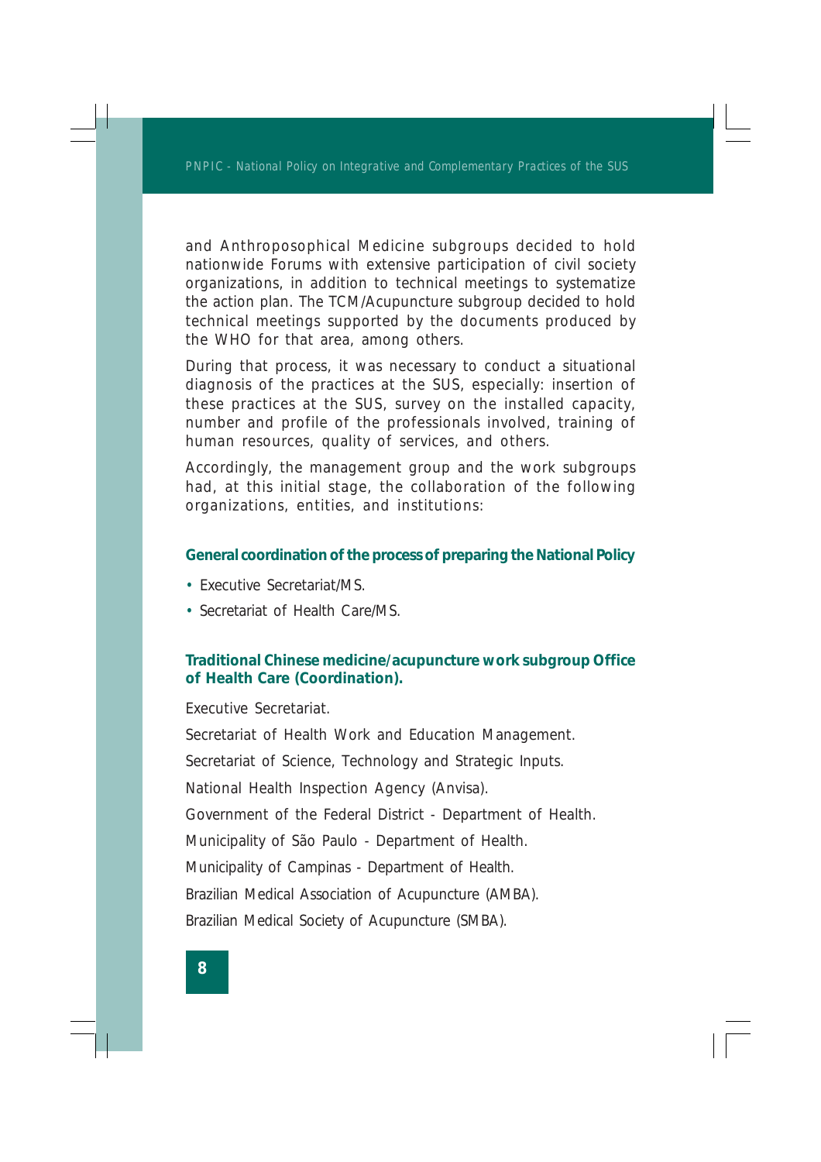and Anthroposophical Medicine subgroups decided to hold nationwide Forums with extensive participation of civil society organizations, in addition to technical meetings to systematize the action plan. The TCM/Acupuncture subgroup decided to hold technical meetings supported by the documents produced by the WHO for that area, among others.

During that process, it was necessary to conduct a situational diagnosis of the practices at the SUS, especially: insertion of these practices at the SUS, survey on the installed capacity, number and profile of the professionals involved, training of human resources, quality of services, and others.

Accordingly, the management group and the work subgroups had, at this initial stage, the collaboration of the following organizations, entities, and institutions:

#### **General coordination of the process of preparing the National Policy**

- Executive Secretariat/MS.
- Secretariat of Health Care/MS.

## **Traditional Chinese medicine/acupuncture work subgroup Office of Health Care (Coordination).**

Executive Secretariat.

Secretariat of Health Work and Education Management. Secretariat of Science, Technology and Strategic Inputs. National Health Inspection Agency (Anvisa). Government of the Federal District - Department of Health. Municipality of São Paulo - Department of Health. Municipality of Campinas - Department of Health. Brazilian Medical Association of Acupuncture (AMBA). Brazilian Medical Society of Acupuncture (SMBA).

**8**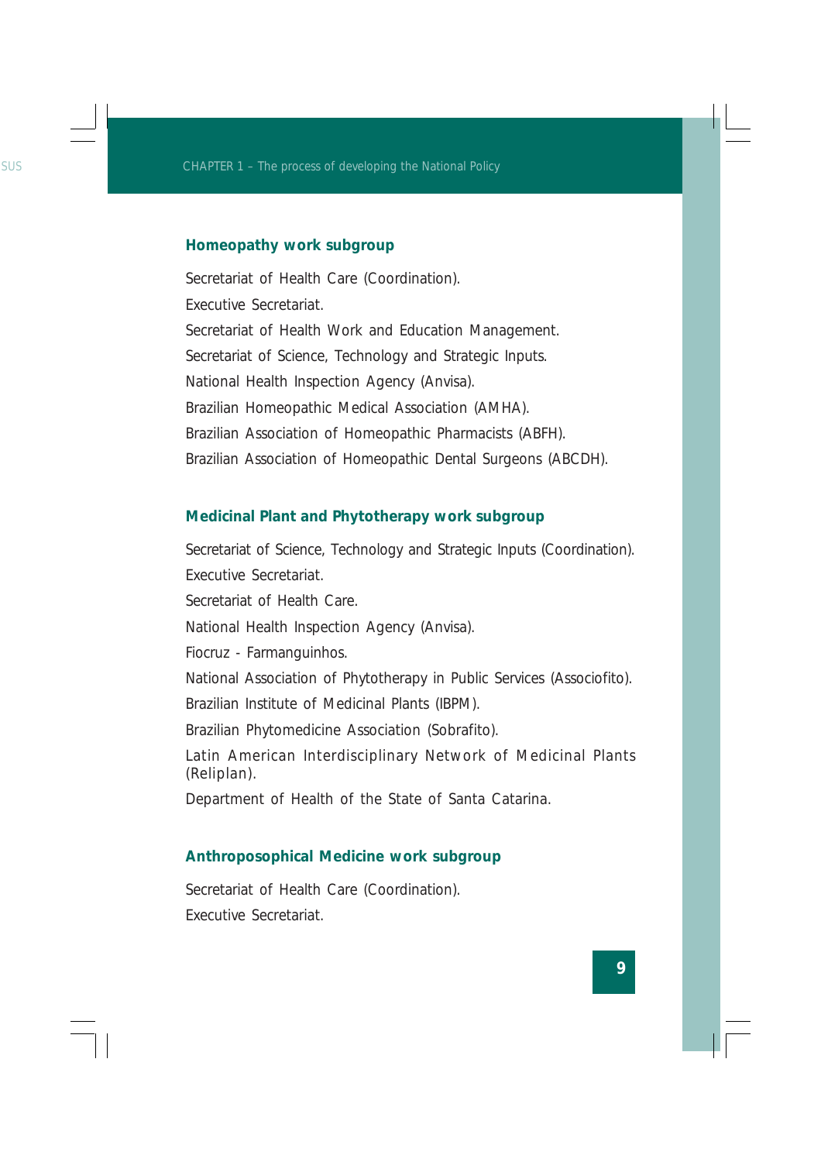SUS Example 2015 CHAPTER 1 – The process of developing the National Policy

#### **Homeopathy work subgroup**

Secretariat of Health Care (Coordination). Executive Secretariat. Secretariat of Health Work and Education Management. Secretariat of Science, Technology and Strategic Inputs. National Health Inspection Agency (Anvisa). Brazilian Homeopathic Medical Association (AMHA). Brazilian Association of Homeopathic Pharmacists (ABFH). Brazilian Association of Homeopathic Dental Surgeons (ABCDH).

#### **Medicinal Plant and Phytotherapy work subgroup**

Secretariat of Science, Technology and Strategic Inputs (Coordination). Executive Secretariat. Secretariat of Health Care. National Health Inspection Agency (Anvisa). Fiocruz - Farmanguinhos. National Association of Phytotherapy in Public Services (Associofito). Brazilian Institute of Medicinal Plants (IBPM). Brazilian Phytomedicine Association (Sobrafito). Latin American Interdisciplinary Network of Medicinal Plants (Reliplan). Department of Health of the State of Santa Catarina.

#### **Anthroposophical Medicine work subgroup**

Secretariat of Health Care (Coordination). Executive Secretariat.

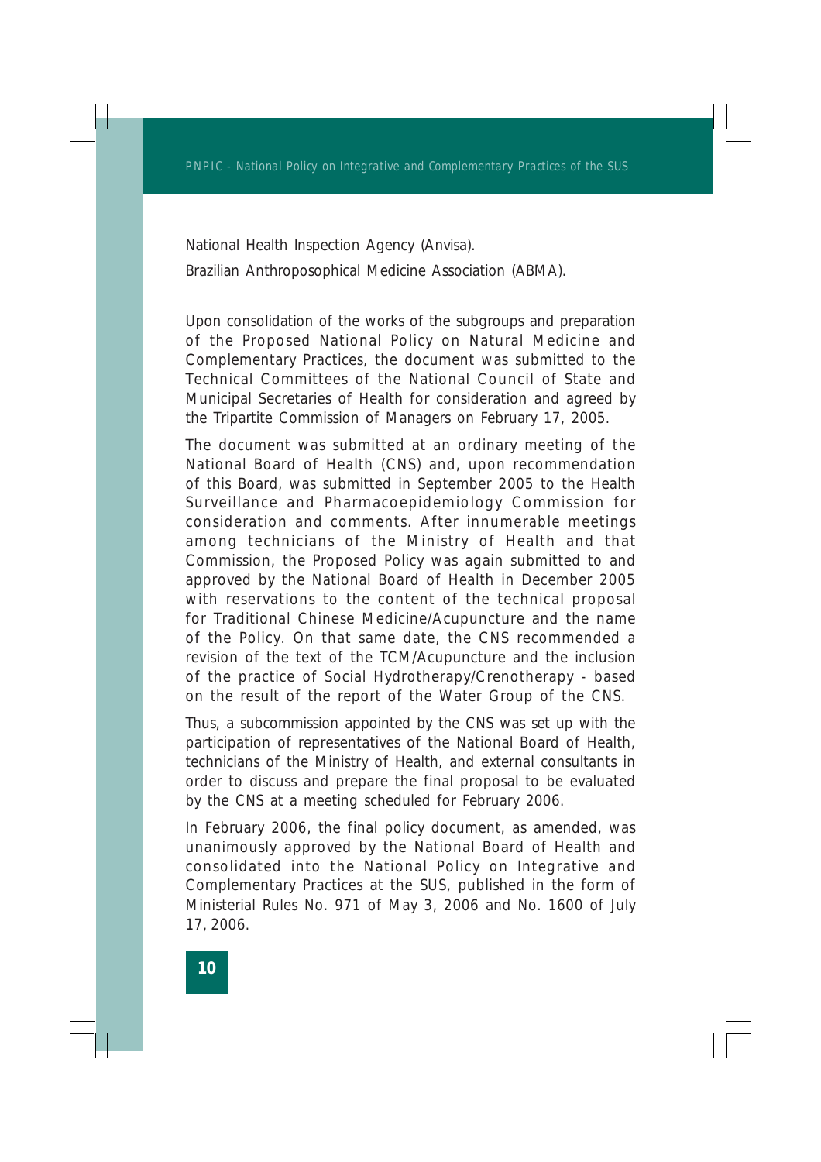National Health Inspection Agency (Anvisa). Brazilian Anthroposophical Medicine Association (ABMA).

Upon consolidation of the works of the subgroups and preparation of the Proposed National Policy on Natural Medicine and Complementary Practices, the document was submitted to the Technical Committees of the National Council of State and Municipal Secretaries of Health for consideration and agreed by the Tripartite Commission of Managers on February 17, 2005.

The document was submitted at an ordinary meeting of the National Board of Health (CNS) and, upon recommendation of this Board, was submitted in September 2005 to the Health Surveillance and Pharmacoepidemiology Commission for consideration and comments. After innumerable meetings among technicians of the Ministry of Health and that Commission, the Proposed Policy was again submitted to and approved by the National Board of Health in December 2005 with reservations to the content of the technical proposal for Traditional Chinese Medicine/Acupuncture and the name of the Policy. On that same date, the CNS recommended a revision of the text of the TCM/Acupuncture and the inclusion of the practice of Social Hydrotherapy/Crenotherapy - based on the result of the report of the Water Group of the CNS.

Thus, a subcommission appointed by the CNS was set up with the participation of representatives of the National Board of Health, technicians of the Ministry of Health, and external consultants in order to discuss and prepare the final proposal to be evaluated by the CNS at a meeting scheduled for February 2006.

In February 2006, the final policy document, as amended, was unanimously approved by the National Board of Health and consolidated into the National Policy on Integrative and Complementary Practices at the SUS, published in the form of Ministerial Rules No. 971 of May 3, 2006 and No. 1600 of July 17, 2006.

**10**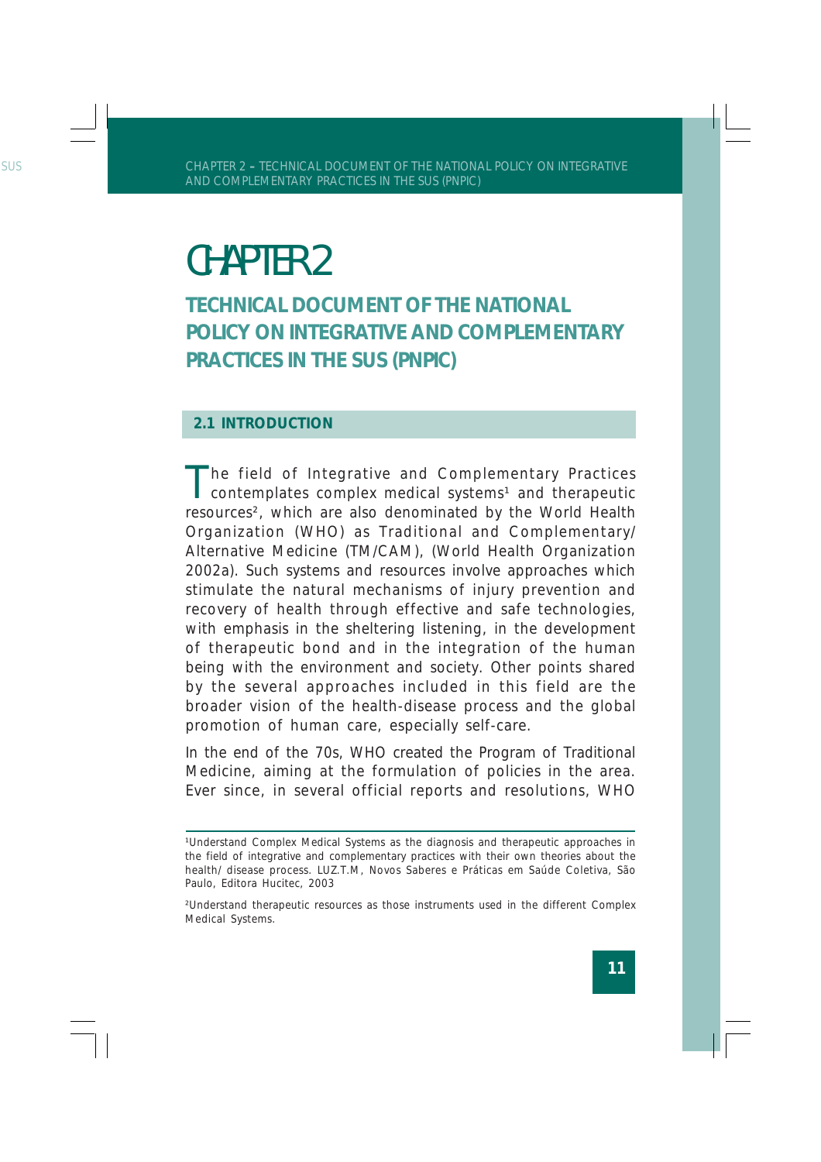# **CHAPTER 2**

**TECHNICAL DOCUMENT OF THE NATIONAL POLICY ON INTEGRATIVE AND COMPLEMENTARY PRACTICES IN THE SUS (PNPIC)**

## **2.1 INTRODUCTION**

The field of Integrative and Complementary Practices contemplates complex medical systems<sup>1</sup> and therapeutic resources², which are also denominated by the World Health Organization (WHO) as Traditional and Complementary/ Alternative Medicine (TM/CAM), (World Health Organization 2002a). Such systems and resources involve approaches which stimulate the natural mechanisms of injury prevention and recovery of health through effective and safe technologies, with emphasis in the sheltering listening, in the development of therapeutic bond and in the integration of the human being with the environment and society. Other points shared by the several approaches included in this field are the broader vision of the health-disease process and the global promotion of human care, especially self-care.

In the end of the 70s, WHO created the Program of Traditional Medicine, aiming at the formulation of policies in the area. Ever since, in several official reports and resolutions, WHO

²Understand therapeutic resources as those instruments used in the different Complex Medical Systems.



Understand Complex Medical Systems as the diagnosis and therapeutic approaches in the field of integrative and complementary practices with their own theories about the health/ disease process. LUZ.T.M, Novos Saberes e Práticas em Saúde Coletiva, São Paulo, Editora Hucitec, 2003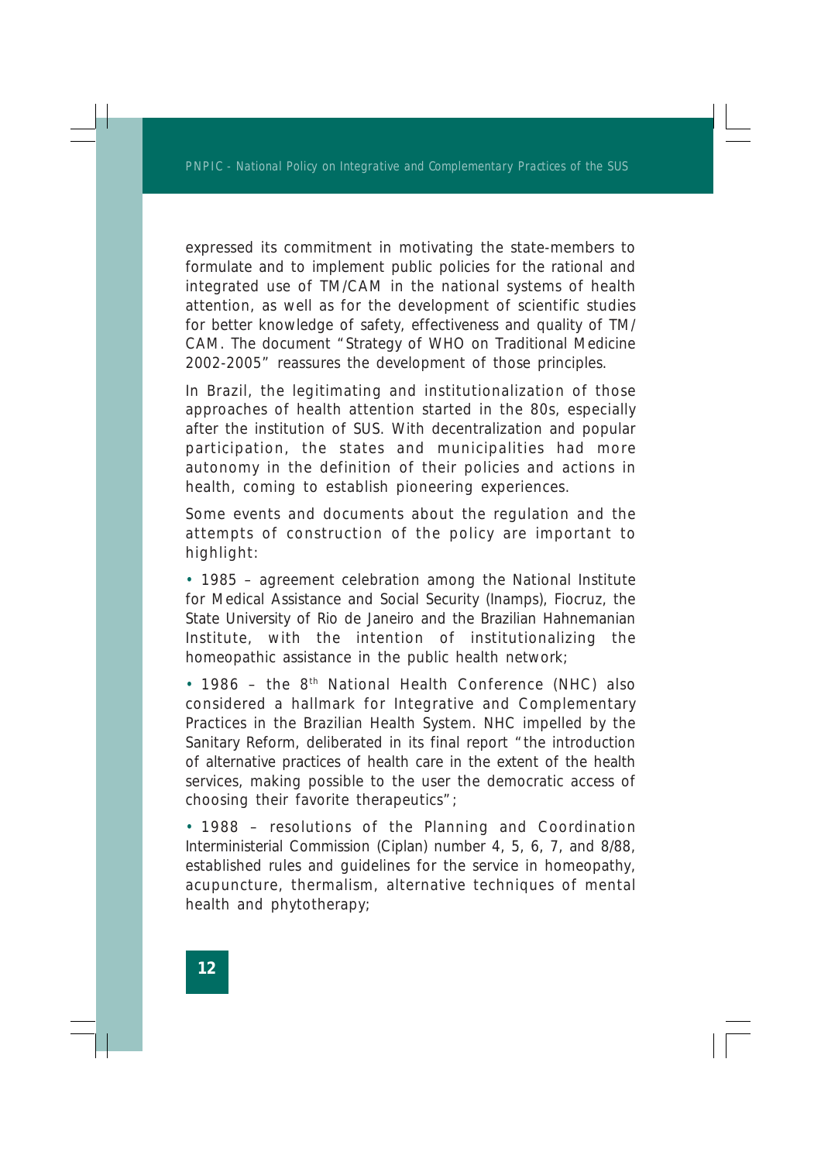expressed its commitment in motivating the state-members to formulate and to implement public policies for the rational and integrated use of TM/CAM in the national systems of health attention, as well as for the development of scientific studies for better knowledge of safety, effectiveness and quality of TM/ CAM. The document "Strategy of WHO on Traditional Medicine 2002-2005" reassures the development of those principles.

In Brazil, the legitimating and institutionalization of those approaches of health attention started in the 80s, especially after the institution of SUS. With decentralization and popular participation, the states and municipalities had more autonomy in the definition of their policies and actions in health, coming to establish pioneering experiences.

Some events and documents about the regulation and the attempts of construction of the policy are important to highlight:

• 1985 – agreement celebration among the National Institute for Medical Assistance and Social Security (Inamps), Fiocruz, the State University of Rio de Janeiro and the Brazilian Hahnemanian Institute, with the intention of institutionalizing the homeopathic assistance in the public health network;

• 1986 – the 8<sup>th</sup> National Health Conference (NHC) also considered a hallmark for Integrative and Complementary Practices in the Brazilian Health System. NHC impelled by the Sanitary Reform, deliberated in its final report "the introduction of alternative practices of health care in the extent of the health services, making possible to the user the democratic access of choosing their favorite therapeutics";

• 1988 – resolutions of the Planning and Coordination Interministerial Commission (Ciplan) number 4, 5, 6, 7, and 8/88, established rules and guidelines for the service in homeopathy, acupuncture, thermalism, alternative techniques of mental health and phytotherapy;

**12**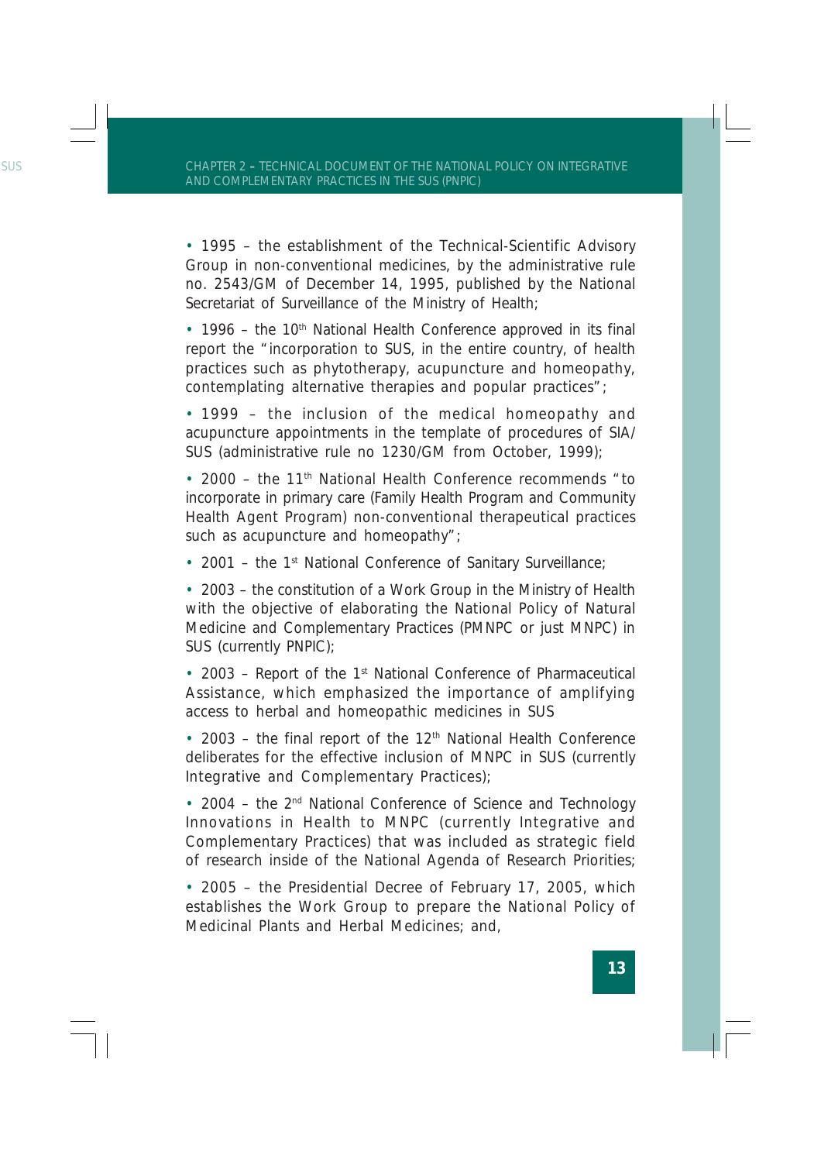> • 1995 – the establishment of the Technical-Scientific Advisory Group in non-conventional medicines, by the administrative rule no. 2543/GM of December 14, 1995, published by the National Secretariat of Surveillance of the Ministry of Health;

> • 1996 – the 10<sup>th</sup> National Health Conference approved in its final report the "incorporation to SUS, in the entire country, of health practices such as phytotherapy, acupuncture and homeopathy, contemplating alternative therapies and popular practices";

> • 1999 – the inclusion of the medical homeopathy and acupuncture appointments in the template of procedures of SIA/ SUS (administrative rule no 1230/GM from October, 1999);

> • 2000 – the 11<sup>th</sup> National Health Conference recommends "to incorporate in primary care (Family Health Program and Community Health Agent Program) non-conventional therapeutical practices such as acupuncture and homeopathy";

• 2001 - the 1<sup>st</sup> National Conference of Sanitary Surveillance;

• 2003 – the constitution of a Work Group in the Ministry of Health with the objective of elaborating the National Policy of Natural Medicine and Complementary Practices (PMNPC or just MNPC) in SUS (currently PNPIC);

• 2003 – Report of the 1<sup>st</sup> National Conference of Pharmaceutical Assistance, which emphasized the importance of amplifying access to herbal and homeopathic medicines in SUS

• 2003 – the final report of the  $12<sup>th</sup>$  National Health Conference deliberates for the effective inclusion of MNPC in SUS (currently Integrative and Complementary Practices);

• 2004 – the 2<sup>nd</sup> National Conference of Science and Technology Innovations in Health to MNPC (currently Integrative and Complementary Practices) that was included as strategic field of research inside of the National Agenda of Research Priorities;

• 2005 – the Presidential Decree of February 17, 2005, which establishes the Work Group to prepare the National Policy of Medicinal Plants and Herbal Medicines; and,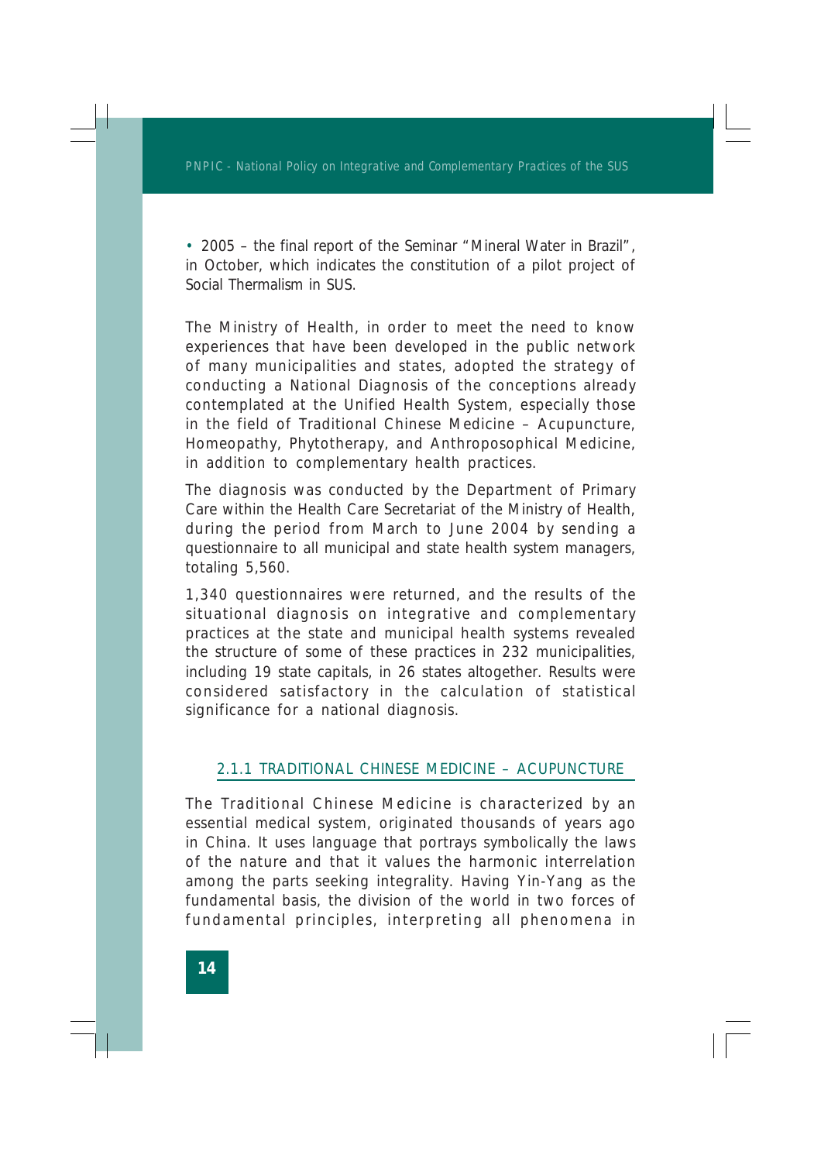• 2005 – the final report of the Seminar "Mineral Water in Brazil", in October, which indicates the constitution of a pilot project of Social Thermalism in SUS.

The Ministry of Health, in order to meet the need to know experiences that have been developed in the public network of many municipalities and states, adopted the strategy of conducting a National Diagnosis of the conceptions already contemplated at the Unified Health System, especially those in the field of Traditional Chinese Medicine – Acupuncture, Homeopathy, Phytotherapy, and Anthroposophical Medicine, in addition to complementary health practices.

The diagnosis was conducted by the Department of Primary Care within the Health Care Secretariat of the Ministry of Health, during the period from March to June 2004 by sending a questionnaire to all municipal and state health system managers, totaling 5,560.

1,340 questionnaires were returned, and the results of the situational diagnosis on integrative and complementary practices at the state and municipal health systems revealed the structure of some of these practices in 232 municipalities, including 19 state capitals, in 26 states altogether. Results were considered satisfactory in the calculation of statistical significance for a national diagnosis.

## 2.1.1 TRADITIONAL CHINESE MEDICINE – ACUPUNCTURE

The Traditional Chinese Medicine is characterized by an essential medical system, originated thousands of years ago in China. It uses language that portrays symbolically the laws of the nature and that it values the harmonic interrelation among the parts seeking integrality. Having Yin-Yang as the fundamental basis, the division of the world in two forces of fundamental principles, interpreting all phenomena in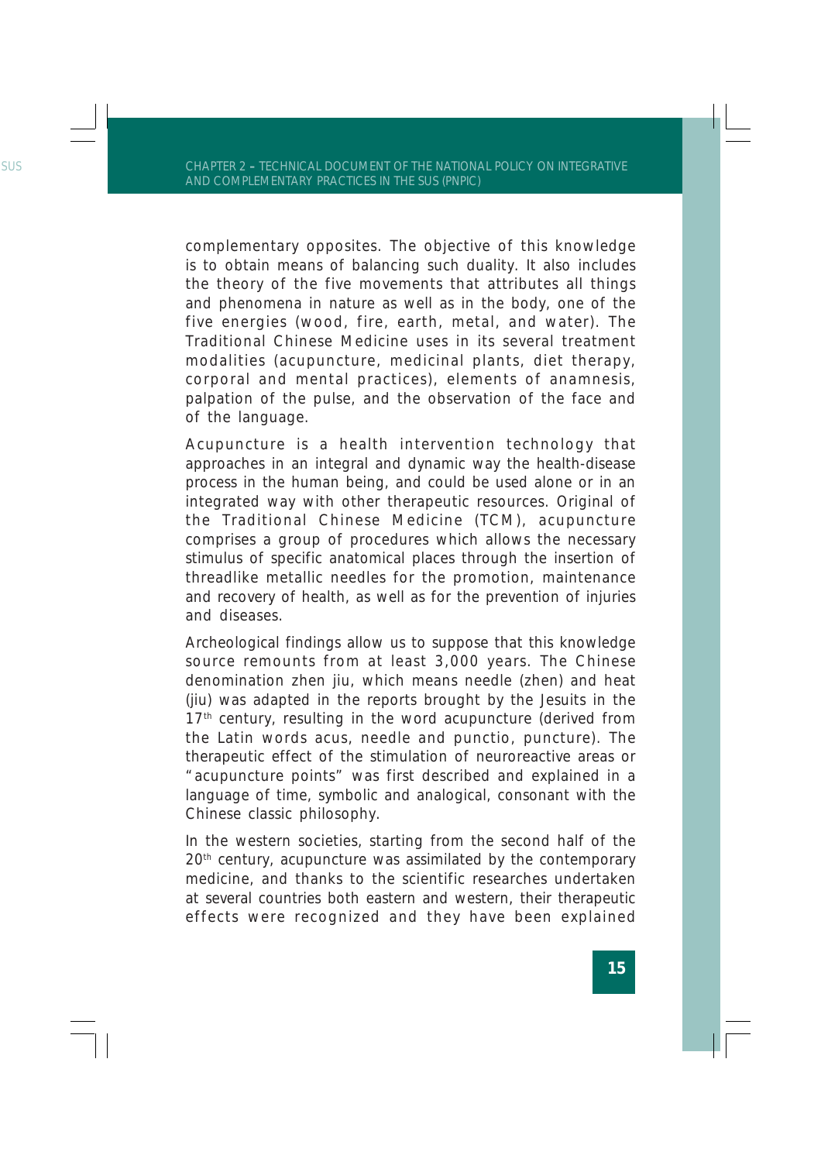> complementary opposites. The objective of this knowledge is to obtain means of balancing such duality. It also includes the theory of the five movements that attributes all things and phenomena in nature as well as in the body, one of the five energies (wood, fire, earth, metal, and water). The Traditional Chinese Medicine uses in its several treatment modalities (acupuncture, medicinal plants, diet therapy, corporal and mental practices), elements of anamnesis, palpation of the pulse, and the observation of the face and of the language.

> Acupuncture is a health intervention technology that approaches in an integral and dynamic way the health-disease process in the human being, and could be used alone or in an integrated way with other therapeutic resources. Original of the Traditional Chinese Medicine (TCM), acupuncture comprises a group of procedures which allows the necessary stimulus of specific anatomical places through the insertion of threadlike metallic needles for the promotion, maintenance and recovery of health, as well as for the prevention of injuries and diseases.

> Archeological findings allow us to suppose that this knowledge source remounts from at least 3,000 years. The Chinese denomination zhen jiu, which means needle (zhen) and heat (jiu) was adapted in the reports brought by the Jesuits in the 17<sup>th</sup> century, resulting in the word acupuncture (derived from the Latin words acus, needle and punctio, puncture). The therapeutic effect of the stimulation of neuroreactive areas or "acupuncture points" was first described and explained in a language of time, symbolic and analogical, consonant with the Chinese classic philosophy.

> In the western societies, starting from the second half of the 20<sup>th</sup> century, acupuncture was assimilated by the contemporary medicine, and thanks to the scientific researches undertaken at several countries both eastern and western, their therapeutic effects were recognized and they have been explained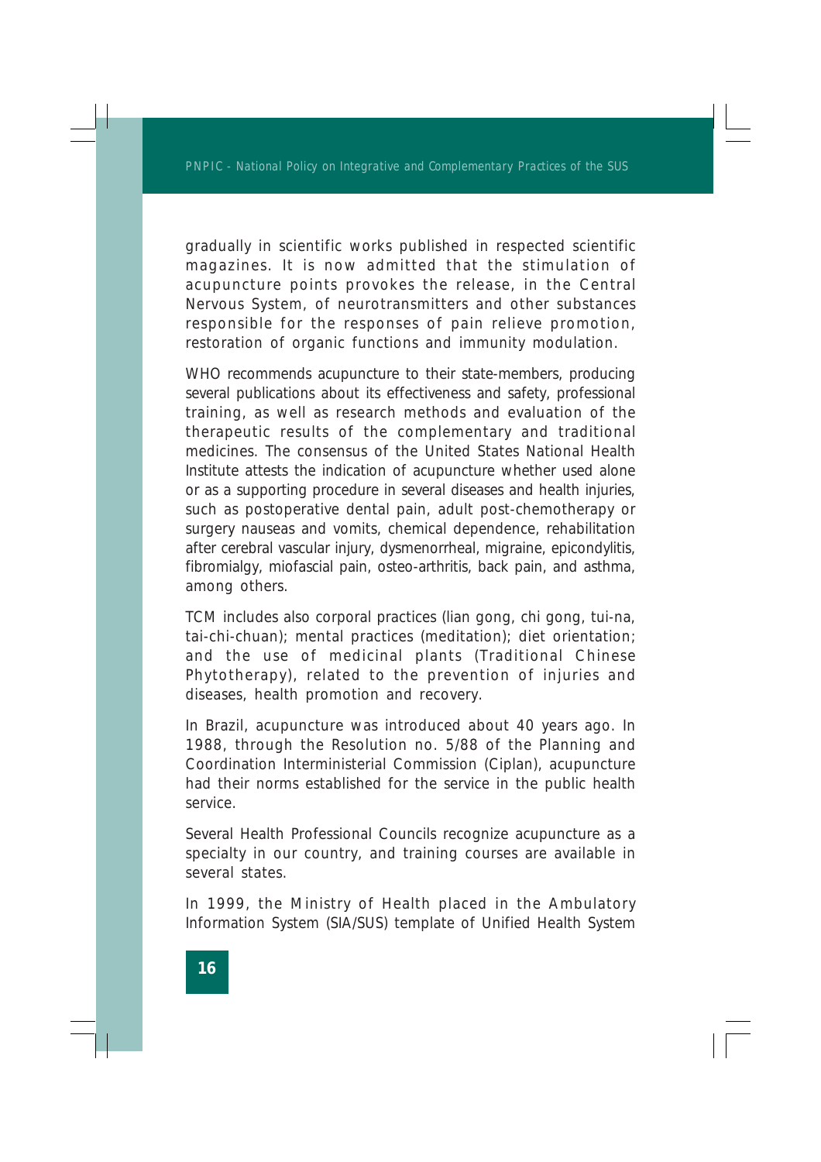gradually in scientific works published in respected scientific magazines. It is now admitted that the stimulation of acupuncture points provokes the release, in the Central Nervous System, of neurotransmitters and other substances responsible for the responses of pain relieve promotion, restoration of organic functions and immunity modulation.

WHO recommends acupuncture to their state-members, producing several publications about its effectiveness and safety, professional training, as well as research methods and evaluation of the therapeutic results of the complementary and traditional medicines. The consensus of the United States National Health Institute attests the indication of acupuncture whether used alone or as a supporting procedure in several diseases and health injuries, such as postoperative dental pain, adult post-chemotherapy or surgery nauseas and vomits, chemical dependence, rehabilitation after cerebral vascular injury, dysmenorrheal, migraine, epicondylitis, fibromialgy, miofascial pain, osteo-arthritis, back pain, and asthma, among others.

TCM includes also corporal practices (lian gong, chi gong, tui-na, tai-chi-chuan); mental practices (meditation); diet orientation; and the use of medicinal plants (Traditional Chinese Phytotherapy), related to the prevention of injuries and diseases, health promotion and recovery.

In Brazil, acupuncture was introduced about 40 years ago. In 1988, through the Resolution no. 5/88 of the Planning and Coordination Interministerial Commission (Ciplan), acupuncture had their norms established for the service in the public health service.

Several Health Professional Councils recognize acupuncture as a specialty in our country, and training courses are available in several states.

In 1999, the Ministry of Health placed in the Ambulatory Information System (SIA/SUS) template of Unified Health System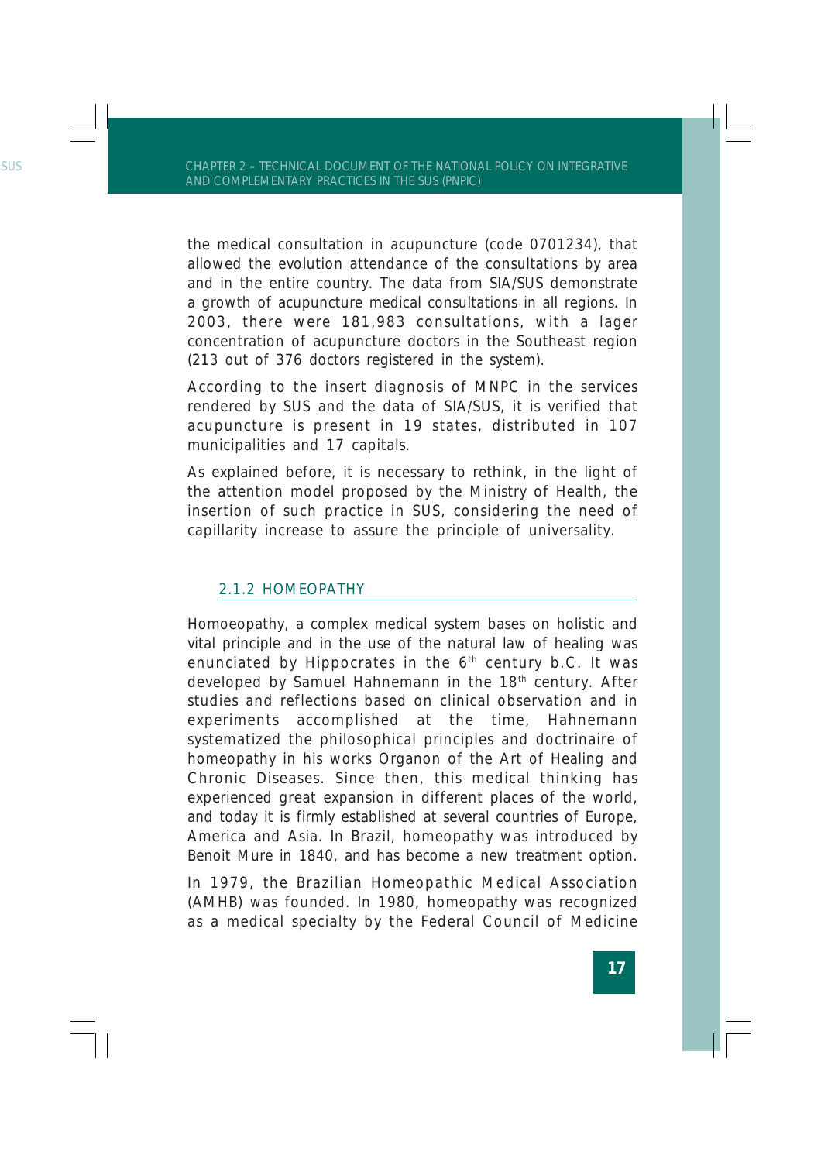> the medical consultation in acupuncture (code 0701234), that allowed the evolution attendance of the consultations by area and in the entire country. The data from SIA/SUS demonstrate a growth of acupuncture medical consultations in all regions. In 2003, there were 181,983 consultations, with a lager concentration of acupuncture doctors in the Southeast region (213 out of 376 doctors registered in the system).

> According to the insert diagnosis of MNPC in the services rendered by SUS and the data of SIA/SUS, it is verified that acupuncture is present in 19 states, distributed in 107 municipalities and 17 capitals.

> As explained before, it is necessary to rethink, in the light of the attention model proposed by the Ministry of Health, the insertion of such practice in SUS, considering the need of capillarity increase to assure the principle of universality.

### 2.1.2 HOMEOPATHY

Homoeopathy, a complex medical system bases on holistic and vital principle and in the use of the natural law of healing was enunciated by Hippocrates in the 6<sup>th</sup> century b.C. It was developed by Samuel Hahnemann in the 18<sup>th</sup> century. After studies and reflections based on clinical observation and in experiments accomplished at the time, Hahnemann systematized the philosophical principles and doctrinaire of homeopathy in his works Organon of the Art of Healing and Chronic Diseases. Since then, this medical thinking has experienced great expansion in different places of the world, and today it is firmly established at several countries of Europe, America and Asia. In Brazil, homeopathy was introduced by Benoit Mure in 1840, and has become a new treatment option.

In 1979, the Brazilian Homeopathic Medical Association (AMHB) was founded. In 1980, homeopathy was recognized as a medical specialty by the Federal Council of Medicine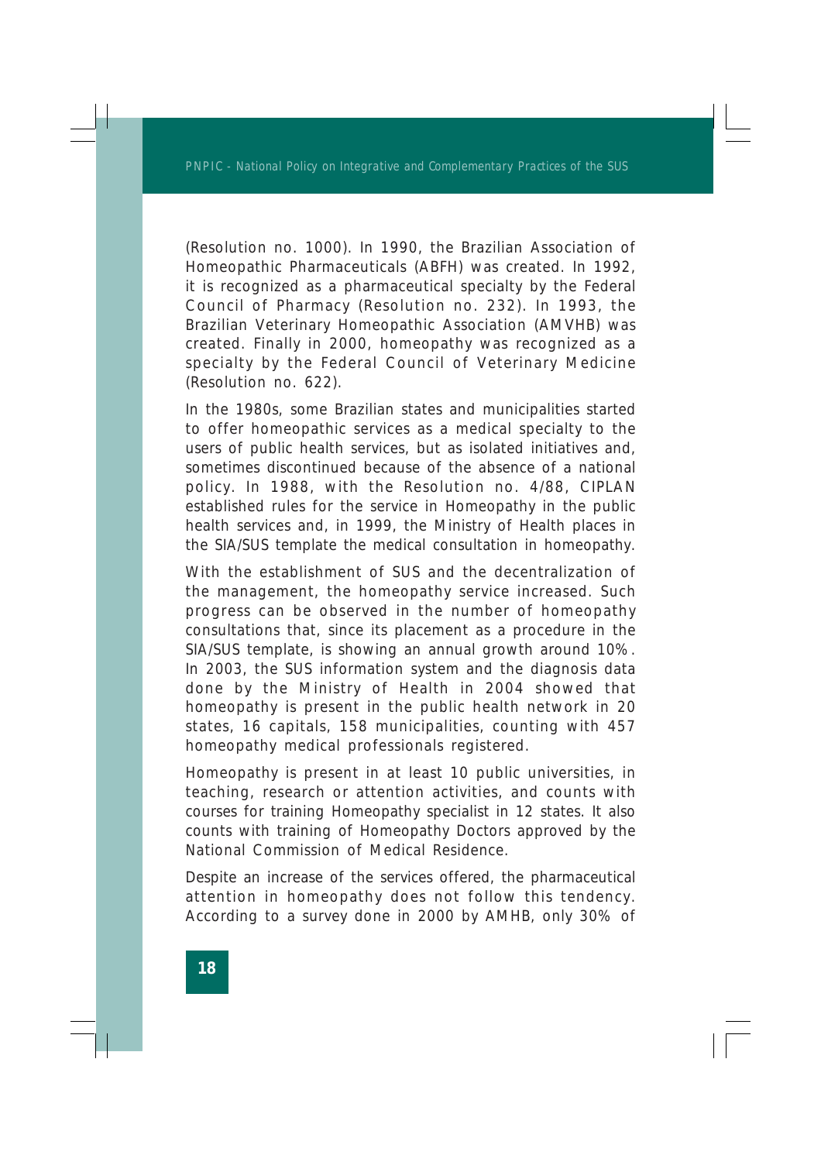(Resolution no. 1000). In 1990, the Brazilian Association of Homeopathic Pharmaceuticals (ABFH) was created. In 1992, it is recognized as a pharmaceutical specialty by the Federal Council of Pharmacy (Resolution no. 232). In 1993, the Brazilian Veterinary Homeopathic Association (AMVHB) was created. Finally in 2000, homeopathy was recognized as a specialty by the Federal Council of Veterinary Medicine (Resolution no. 622).

In the 1980s, some Brazilian states and municipalities started to offer homeopathic services as a medical specialty to the users of public health services, but as isolated initiatives and, sometimes discontinued because of the absence of a national policy. In 1988, with the Resolution no. 4/88, CIPLAN established rules for the service in Homeopathy in the public health services and, in 1999, the Ministry of Health places in the SIA/SUS template the medical consultation in homeopathy.

With the establishment of SUS and the decentralization of the management, the homeopathy service increased. Such progress can be observed in the number of homeopathy consultations that, since its placement as a procedure in the SIA/SUS template, is showing an annual growth around 10%. In 2003, the SUS information system and the diagnosis data done by the Ministry of Health in 2004 showed that homeopathy is present in the public health network in 20 states, 16 capitals, 158 municipalities, counting with 457 homeopathy medical professionals registered.

Homeopathy is present in at least 10 public universities, in teaching, research or attention activities, and counts with courses for training Homeopathy specialist in 12 states. It also counts with training of Homeopathy Doctors approved by the National Commission of Medical Residence.

Despite an increase of the services offered, the pharmaceutical attention in homeopathy does not follow this tendency. According to a survey done in 2000 by AMHB, only 30% of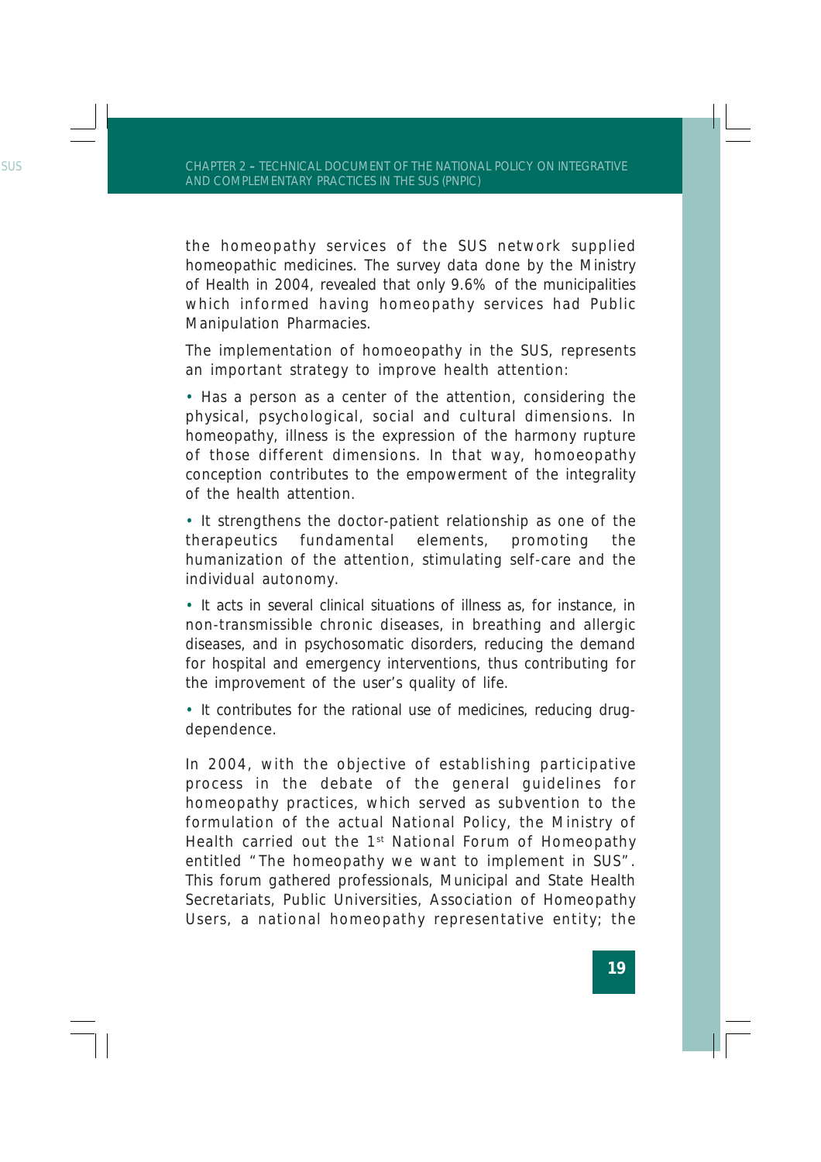> the homeopathy services of the SUS network supplied homeopathic medicines. The survey data done by the Ministry of Health in 2004, revealed that only 9.6% of the municipalities which informed having homeopathy services had Public Manipulation Pharmacies.

> The implementation of homoeopathy in the SUS, represents an important strategy to improve health attention:

> • Has a person as a center of the attention, considering the physical, psychological, social and cultural dimensions. In homeopathy, illness is the expression of the harmony rupture of those different dimensions. In that way, homoeopathy conception contributes to the empowerment of the integrality of the health attention.

> • It strengthens the doctor-patient relationship as one of the therapeutics fundamental elements, promoting the humanization of the attention, stimulating self-care and the individual autonomy.

> • It acts in several clinical situations of illness as, for instance, in non-transmissible chronic diseases, in breathing and allergic diseases, and in psychosomatic disorders, reducing the demand for hospital and emergency interventions, thus contributing for the improvement of the user's quality of life.

> • It contributes for the rational use of medicines, reducing drugdependence.

In 2004, with the objective of establishing participative process in the debate of the general guidelines for homeopathy practices, which served as subvention to the formulation of the actual National Policy, the Ministry of Health carried out the 1st National Forum of Homeopathy entitled "The homeopathy we want to implement in SUS". This forum gathered professionals, Municipal and State Health Secretariats, Public Universities, Association of Homeopathy Users, a national homeopathy representative entity; the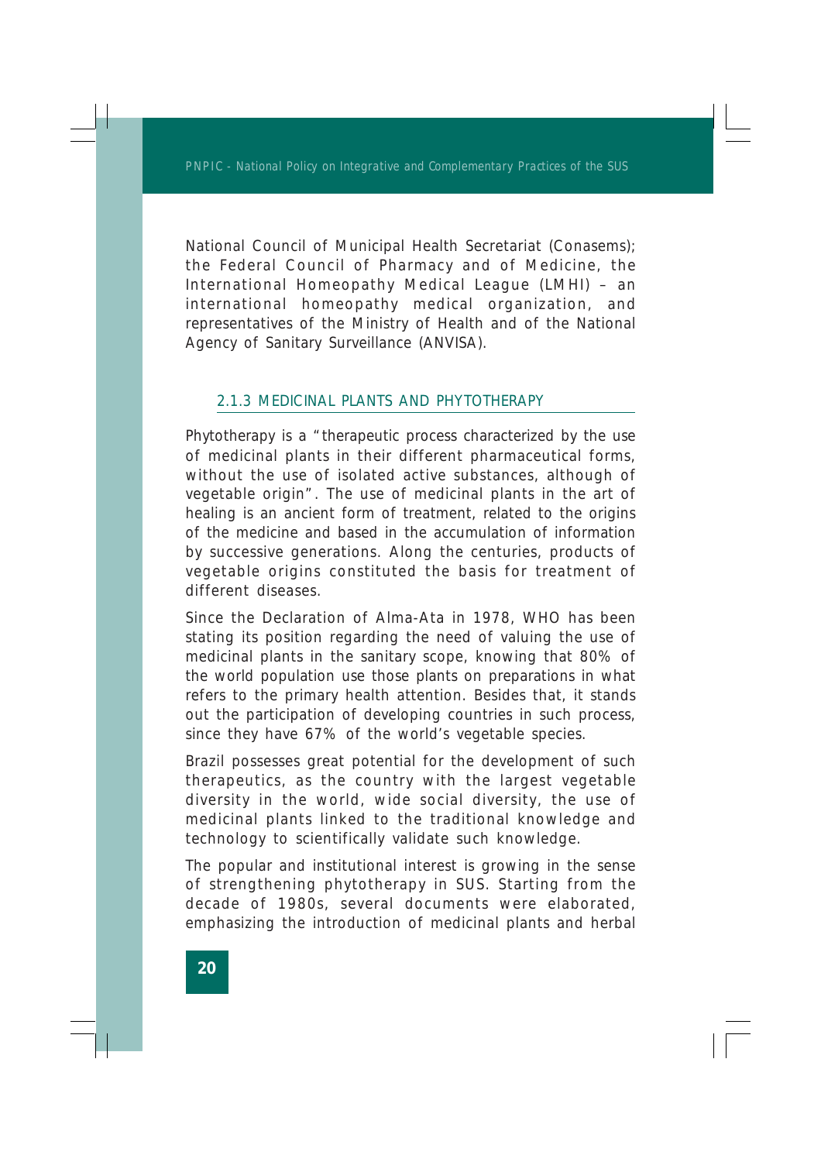National Council of Municipal Health Secretariat (Conasems); the Federal Council of Pharmacy and of Medicine, the International Homeopathy Medical League (LMHI) – an international homeopathy medical organization, and representatives of the Ministry of Health and of the National Agency of Sanitary Surveillance (ANVISA).

## 2.1.3 MEDICINAL PLANTS AND PHYTOTHERAPY

Phytotherapy is a "therapeutic process characterized by the use of medicinal plants in their different pharmaceutical forms, without the use of isolated active substances, although of vegetable origin". The use of medicinal plants in the art of healing is an ancient form of treatment, related to the origins of the medicine and based in the accumulation of information by successive generations. Along the centuries, products of vegetable origins constituted the basis for treatment of different diseases.

Since the Declaration of Alma-Ata in 1978, WHO has been stating its position regarding the need of valuing the use of medicinal plants in the sanitary scope, knowing that 80% of the world population use those plants on preparations in what refers to the primary health attention. Besides that, it stands out the participation of developing countries in such process, since they have 67% of the world's vegetable species.

Brazil possesses great potential for the development of such therapeutics, as the country with the largest vegetable diversity in the world, wide social diversity, the use of medicinal plants linked to the traditional knowledge and technology to scientifically validate such knowledge.

The popular and institutional interest is growing in the sense of strengthening phytotherapy in SUS. Starting from the decade of 1980s, several documents were elaborated, emphasizing the introduction of medicinal plants and herbal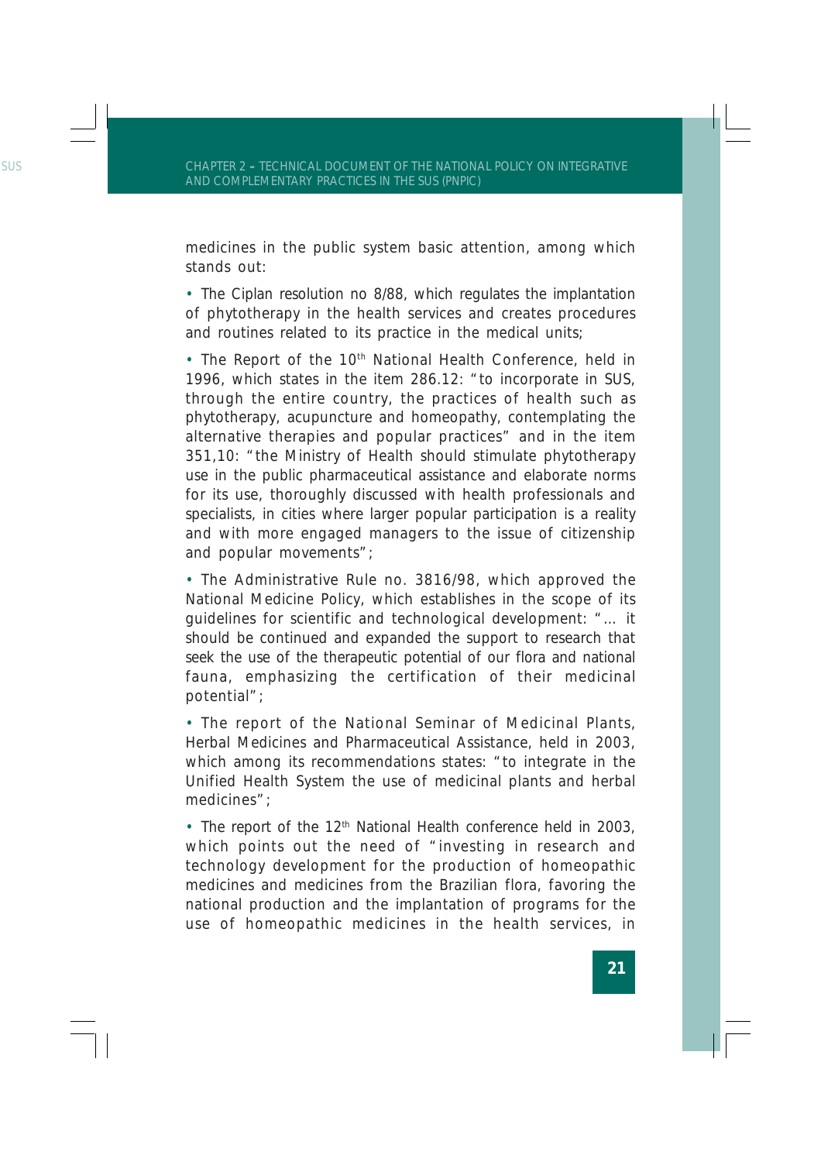> medicines in the public system basic attention, among which stands out:

> • The Ciplan resolution no 8/88, which regulates the implantation of phytotherapy in the health services and creates procedures and routines related to its practice in the medical units;

> • The Report of the 10<sup>th</sup> National Health Conference, held in 1996, which states in the item 286.12: "to incorporate in SUS, through the entire country, the practices of health such as phytotherapy, acupuncture and homeopathy, contemplating the alternative therapies and popular practices" and in the item 351,10: "the Ministry of Health should stimulate phytotherapy use in the public pharmaceutical assistance and elaborate norms for its use, thoroughly discussed with health professionals and specialists, in cities where larger popular participation is a reality and with more engaged managers to the issue of citizenship and popular movements";

> • The Administrative Rule no. 3816/98, which approved the National Medicine Policy, which establishes in the scope of its guidelines for scientific and technological development: "… it should be continued and expanded the support to research that seek the use of the therapeutic potential of our flora and national fauna, emphasizing the certification of their medicinal potential";

> • The report of the National Seminar of Medicinal Plants, Herbal Medicines and Pharmaceutical Assistance, held in 2003, which among its recommendations states: "to integrate in the Unified Health System the use of medicinal plants and herbal medicines";

> • The report of the  $12<sup>th</sup>$  National Health conference held in 2003, which points out the need of "investing in research and technology development for the production of homeopathic medicines and medicines from the Brazilian flora, favoring the national production and the implantation of programs for the use of homeopathic medicines in the health services, in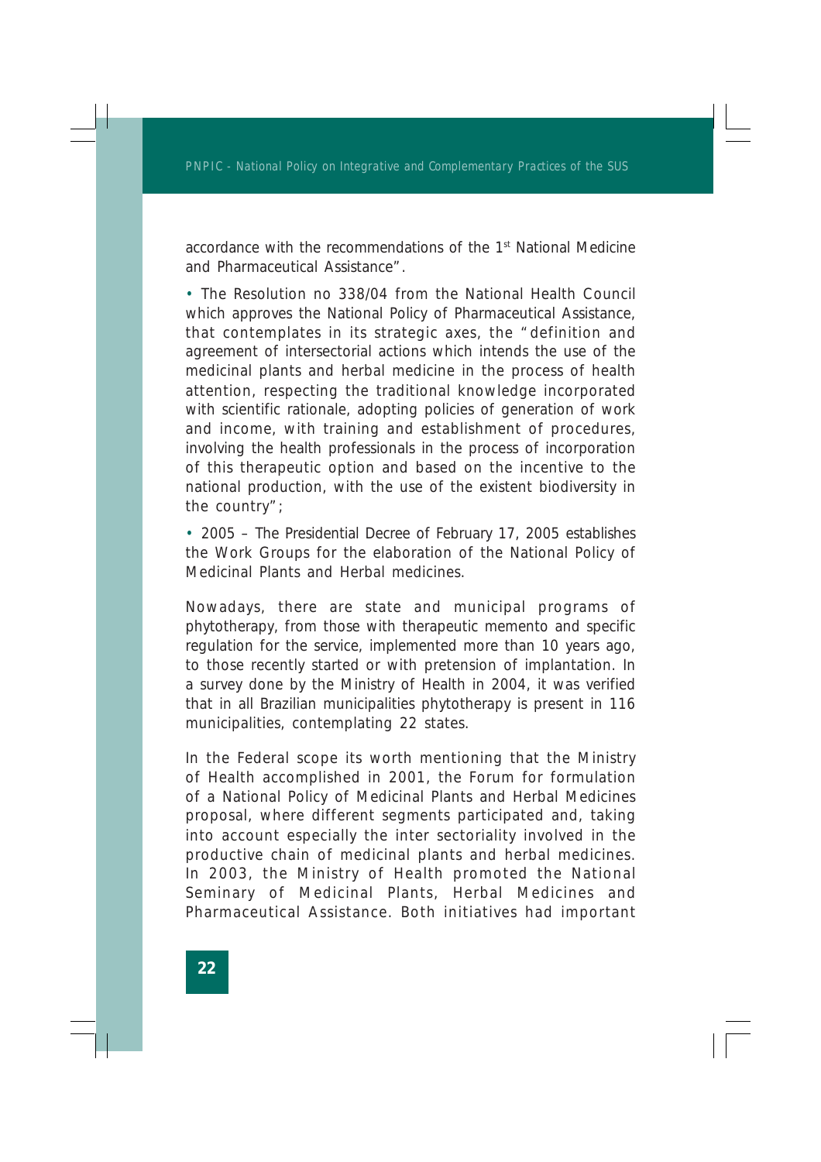accordance with the recommendations of the 1st National Medicine and Pharmaceutical Assistance".

• The Resolution no 338/04 from the National Health Council which approves the National Policy of Pharmaceutical Assistance, that contemplates in its strategic axes, the "definition and agreement of intersectorial actions which intends the use of the medicinal plants and herbal medicine in the process of health attention, respecting the traditional knowledge incorporated with scientific rationale, adopting policies of generation of work and income, with training and establishment of procedures, involving the health professionals in the process of incorporation of this therapeutic option and based on the incentive to the national production, with the use of the existent biodiversity in the country";

• 2005 – The Presidential Decree of February 17, 2005 establishes the Work Groups for the elaboration of the National Policy of Medicinal Plants and Herbal medicines.

Nowadays, there are state and municipal programs of phytotherapy, from those with therapeutic memento and specific regulation for the service, implemented more than 10 years ago, to those recently started or with pretension of implantation. In a survey done by the Ministry of Health in 2004, it was verified that in all Brazilian municipalities phytotherapy is present in 116 municipalities, contemplating 22 states.

In the Federal scope its worth mentioning that the Ministry of Health accomplished in 2001, the Forum for formulation of a National Policy of Medicinal Plants and Herbal Medicines proposal, where different segments participated and, taking into account especially the inter sectoriality involved in the productive chain of medicinal plants and herbal medicines. In 2003, the Ministry of Health promoted the National Seminary of Medicinal Plants, Herbal Medicines and Pharmaceutical Assistance. Both initiatives had important

**22**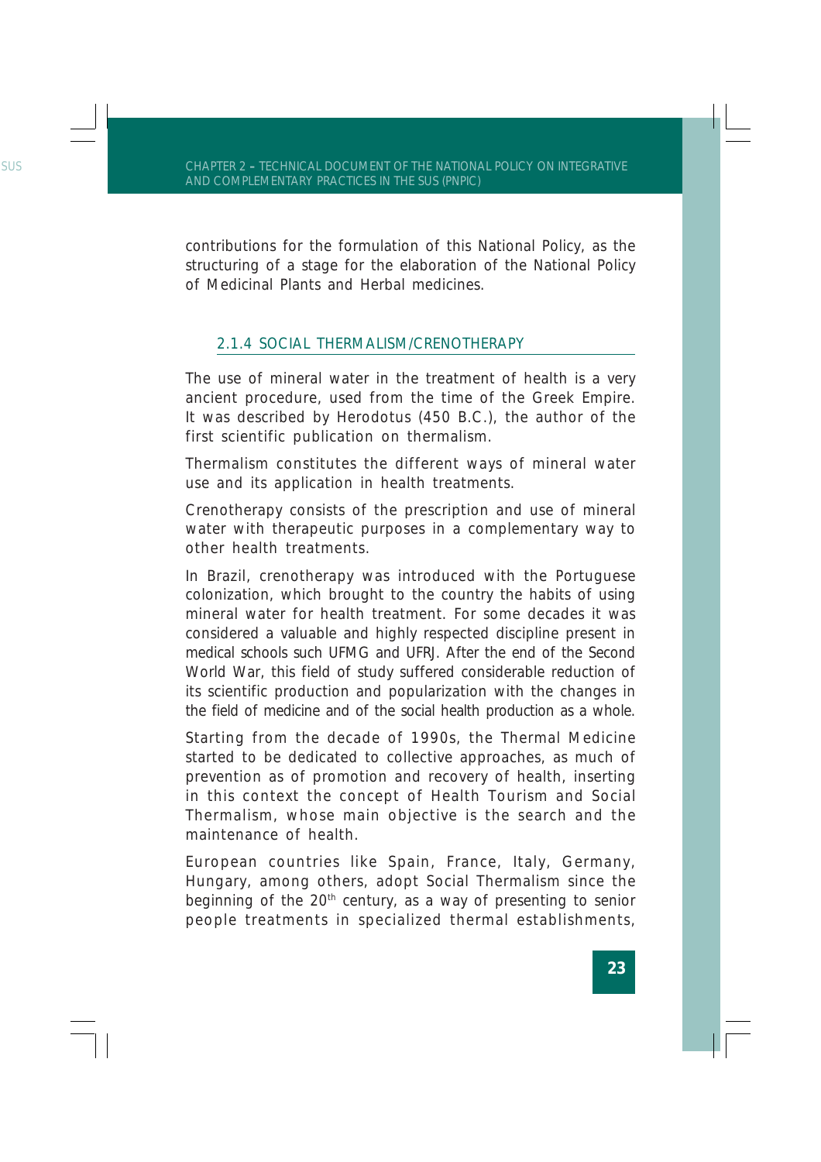> contributions for the formulation of this National Policy, as the structuring of a stage for the elaboration of the National Policy of Medicinal Plants and Herbal medicines.

## 2.1.4 SOCIAL THERMALISM/CRENOTHERAPY

The use of mineral water in the treatment of health is a very ancient procedure, used from the time of the Greek Empire. It was described by Herodotus (450 B.C.), the author of the first scientific publication on thermalism.

Thermalism constitutes the different ways of mineral water use and its application in health treatments.

Crenotherapy consists of the prescription and use of mineral water with therapeutic purposes in a complementary way to other health treatments.

In Brazil, crenotherapy was introduced with the Portuguese colonization, which brought to the country the habits of using mineral water for health treatment. For some decades it was considered a valuable and highly respected discipline present in medical schools such UFMG and UFRJ. After the end of the Second World War, this field of study suffered considerable reduction of its scientific production and popularization with the changes in the field of medicine and of the social health production as a whole.

Starting from the decade of 1990s, the Thermal Medicine started to be dedicated to collective approaches, as much of prevention as of promotion and recovery of health, inserting in this context the concept of Health Tourism and Social Thermalism, whose main objective is the search and the maintenance of health.

European countries like Spain, France, Italy, Germany, Hungary, among others, adopt Social Thermalism since the beginning of the 20<sup>th</sup> century, as a way of presenting to senior people treatments in specialized thermal establishments,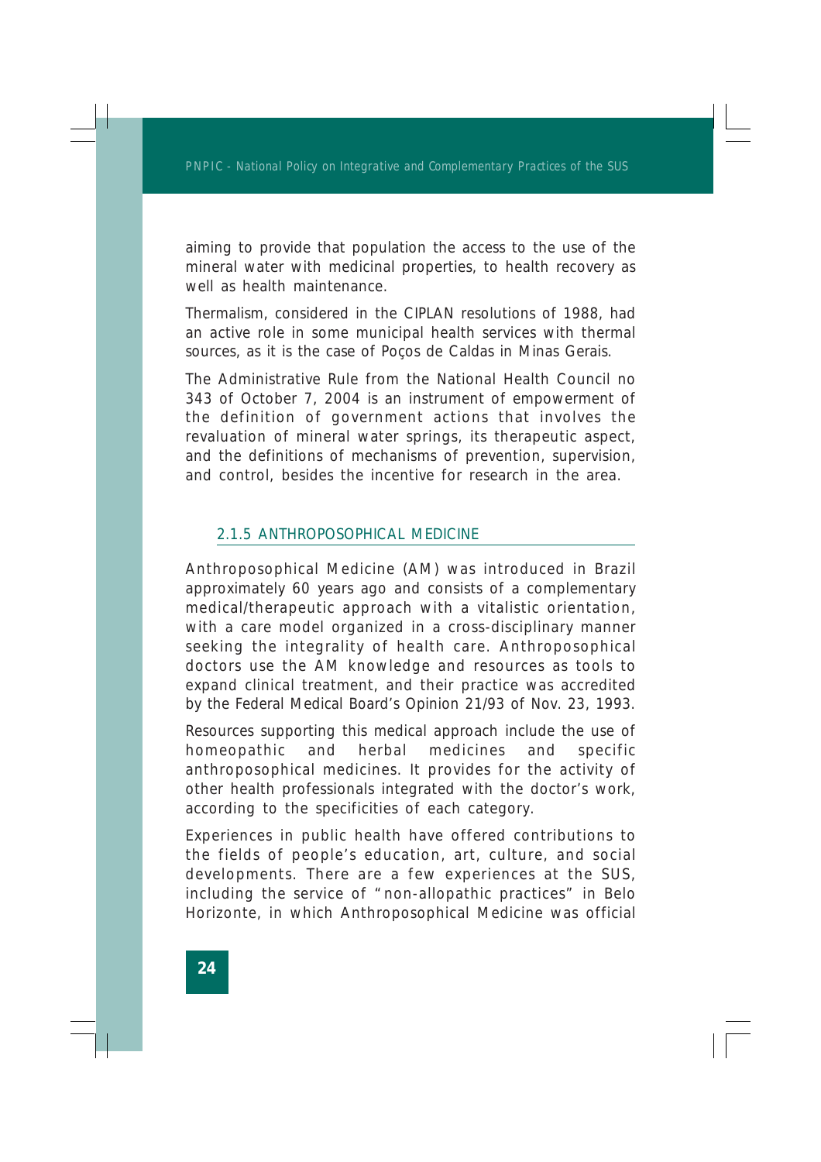aiming to provide that population the access to the use of the mineral water with medicinal properties, to health recovery as well as health maintenance.

Thermalism, considered in the CIPLAN resolutions of 1988, had an active role in some municipal health services with thermal sources, as it is the case of Poços de Caldas in Minas Gerais.

The Administrative Rule from the National Health Council no 343 of October 7, 2004 is an instrument of empowerment of the definition of government actions that involves the revaluation of mineral water springs, its therapeutic aspect, and the definitions of mechanisms of prevention, supervision, and control, besides the incentive for research in the area.

#### 2.1.5 ANTHROPOSOPHICAL MEDICINE

Anthroposophical Medicine (AM) was introduced in Brazil approximately 60 years ago and consists of a complementary medical/therapeutic approach with a vitalistic orientation, with a care model organized in a cross-disciplinary manner seeking the integrality of health care. Anthroposophical doctors use the AM knowledge and resources as tools to expand clinical treatment, and their practice was accredited by the Federal Medical Board's Opinion 21/93 of Nov. 23, 1993.

Resources supporting this medical approach include the use of homeopathic and herbal medicines and specific anthroposophical medicines. It provides for the activity of other health professionals integrated with the doctor's work, according to the specificities of each category.

Experiences in public health have offered contributions to the fields of people's education, art, culture, and social developments. There are a few experiences at the SUS, including the service of "non-allopathic practices" in Belo Horizonte, in which Anthroposophical Medicine was official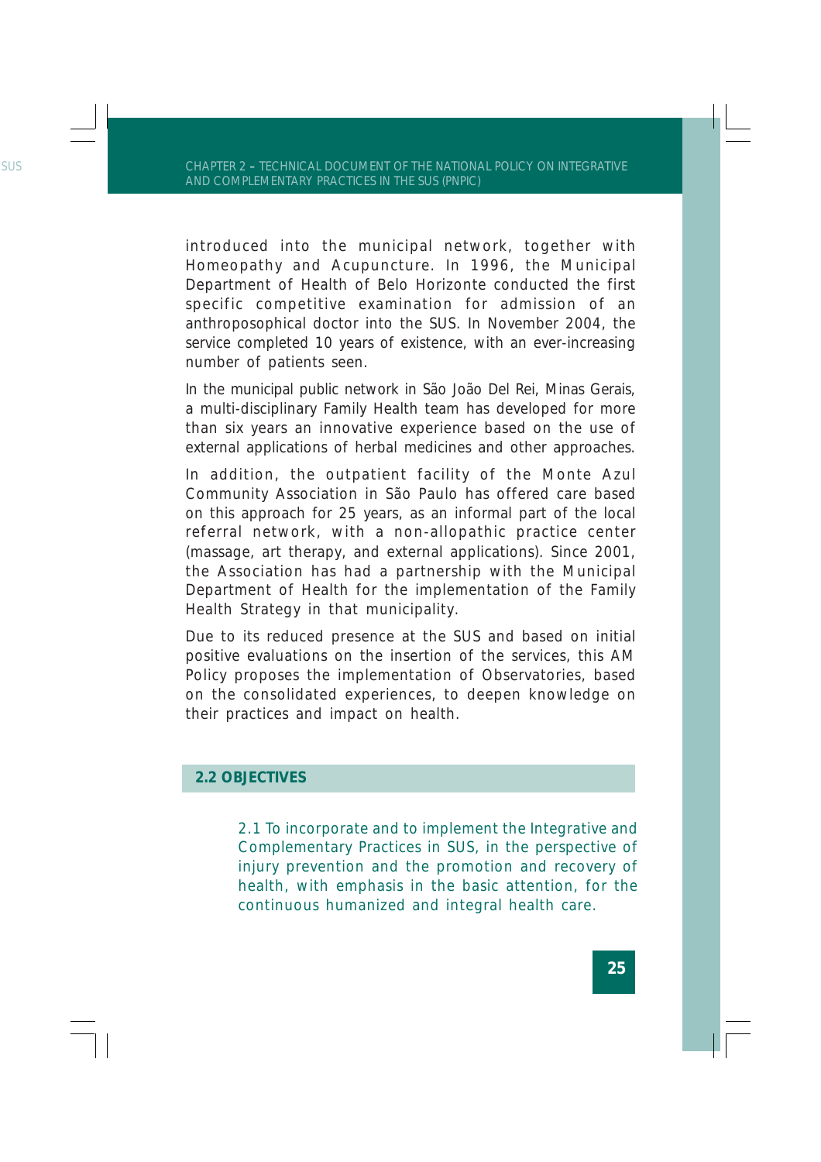> introduced into the municipal network, together with Homeopathy and Acupuncture. In 1996, the Municipal Department of Health of Belo Horizonte conducted the first specific competitive examination for admission of an anthroposophical doctor into the SUS. In November 2004, the service completed 10 years of existence, with an ever-increasing number of patients seen.

> In the municipal public network in São João Del Rei, Minas Gerais, a multi-disciplinary Family Health team has developed for more than six years an innovative experience based on the use of external applications of herbal medicines and other approaches.

> In addition, the outpatient facility of the Monte Azul Community Association in São Paulo has offered care based on this approach for 25 years, as an informal part of the local referral network, with a non-allopathic practice center (massage, art therapy, and external applications). Since 2001, the Association has had a partnership with the Municipal Department of Health for the implementation of the Family Health Strategy in that municipality.

> Due to its reduced presence at the SUS and based on initial positive evaluations on the insertion of the services, this AM Policy proposes the implementation of Observatories, based on the consolidated experiences, to deepen knowledge on their practices and impact on health.

## **2.2 OBJECTIVES**

2.1 To incorporate and to implement the Integrative and Complementary Practices in SUS, in the perspective of injury prevention and the promotion and recovery of health, with emphasis in the basic attention, for the continuous humanized and integral health care.

**25**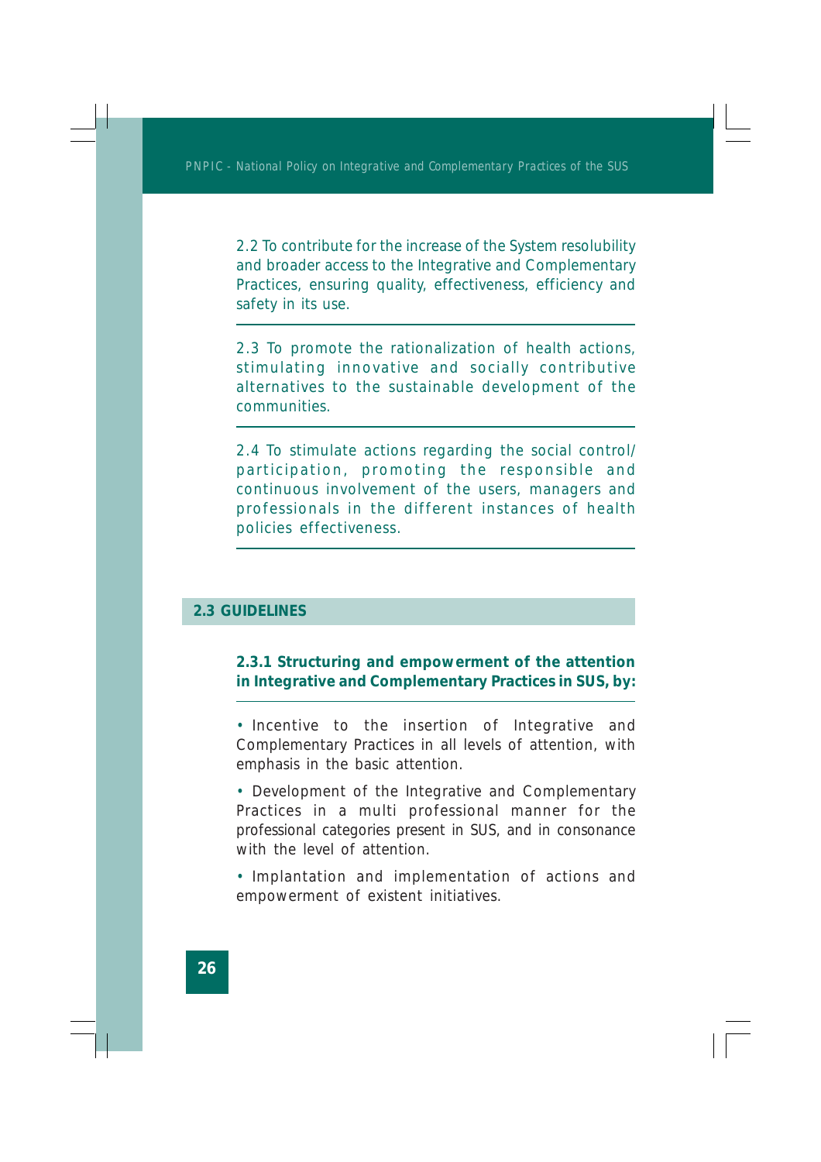2.2 To contribute for the increase of the System resolubility and broader access to the Integrative and Complementary Practices, ensuring quality, effectiveness, efficiency and safety in its use.

2.3 To promote the rationalization of health actions, stimulating innovative and socially contributive alternatives to the sustainable development of the communities.

2.4 To stimulate actions regarding the social control/ participation, promoting the responsible and continuous involvement of the users, managers and professionals in the different instances of health policies effectiveness.

## **2.3 GUIDELINES**

**2.3.1 Structuring and empowerment of the attention in Integrative and Complementary Practices in SUS, by:**

• Incentive to the insertion of Integrative and Complementary Practices in all levels of attention, with emphasis in the basic attention.

• Development of the Integrative and Complementary Practices in a multi professional manner for the professional categories present in SUS, and in consonance with the level of attention.

• Implantation and implementation of actions and empowerment of existent initiatives.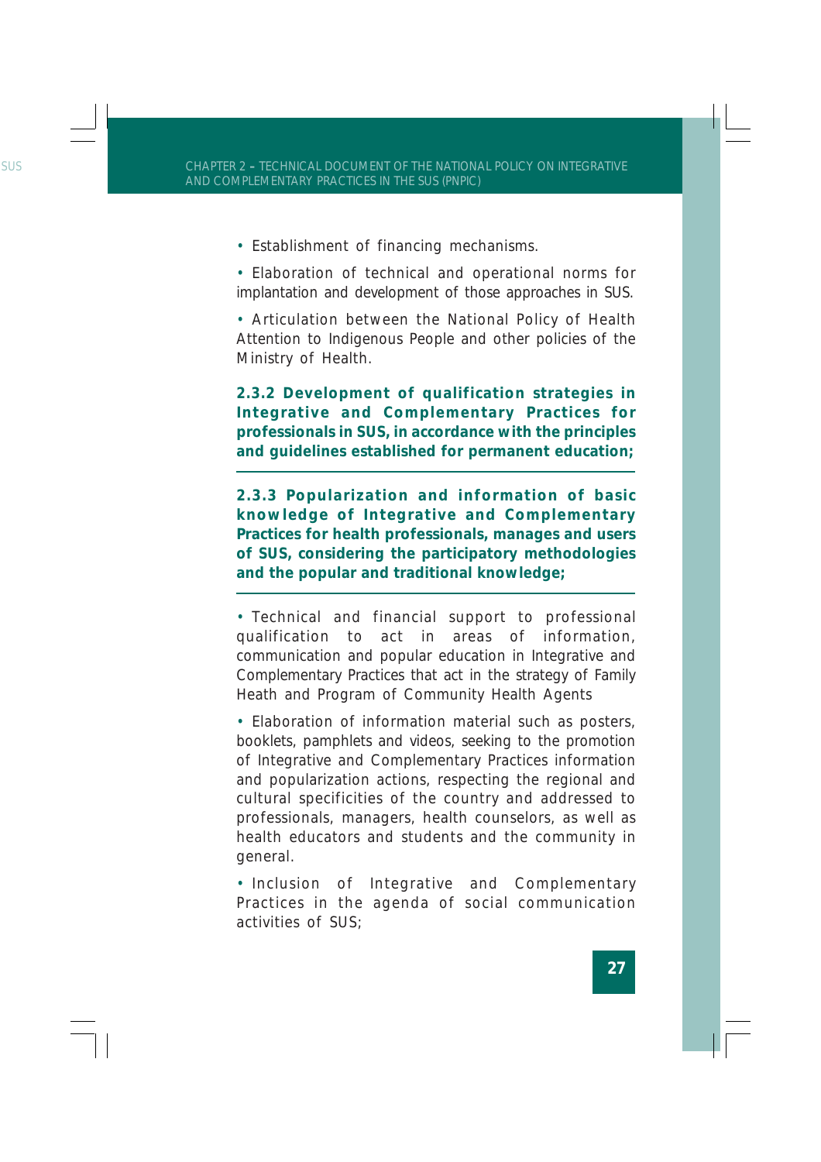• Establishment of financing mechanisms.

• Elaboration of technical and operational norms for implantation and development of those approaches in SUS.

• Articulation between the National Policy of Health Attention to Indigenous People and other policies of the Ministry of Health.

**2.3.2 Development of qualification strategies in Integrative and Complementary Practices for professionals in SUS, in accordance with the principles and guidelines established for permanent education;**

**2.3.3 Popularization and information of basic knowledge of Integrative and Complementary Practices for health professionals, manages and users of SUS, considering the participatory methodologies and the popular and traditional knowledge;**

• Technical and financial support to professional qualification to act in areas of information, communication and popular education in Integrative and Complementary Practices that act in the strategy of Family Heath and Program of Community Health Agents

• Elaboration of information material such as posters, booklets, pamphlets and videos, seeking to the promotion of Integrative and Complementary Practices information and popularization actions, respecting the regional and cultural specificities of the country and addressed to professionals, managers, health counselors, as well as health educators and students and the community in general.

• Inclusion of Integrative and Complementary Practices in the agenda of social communication activities of SUS;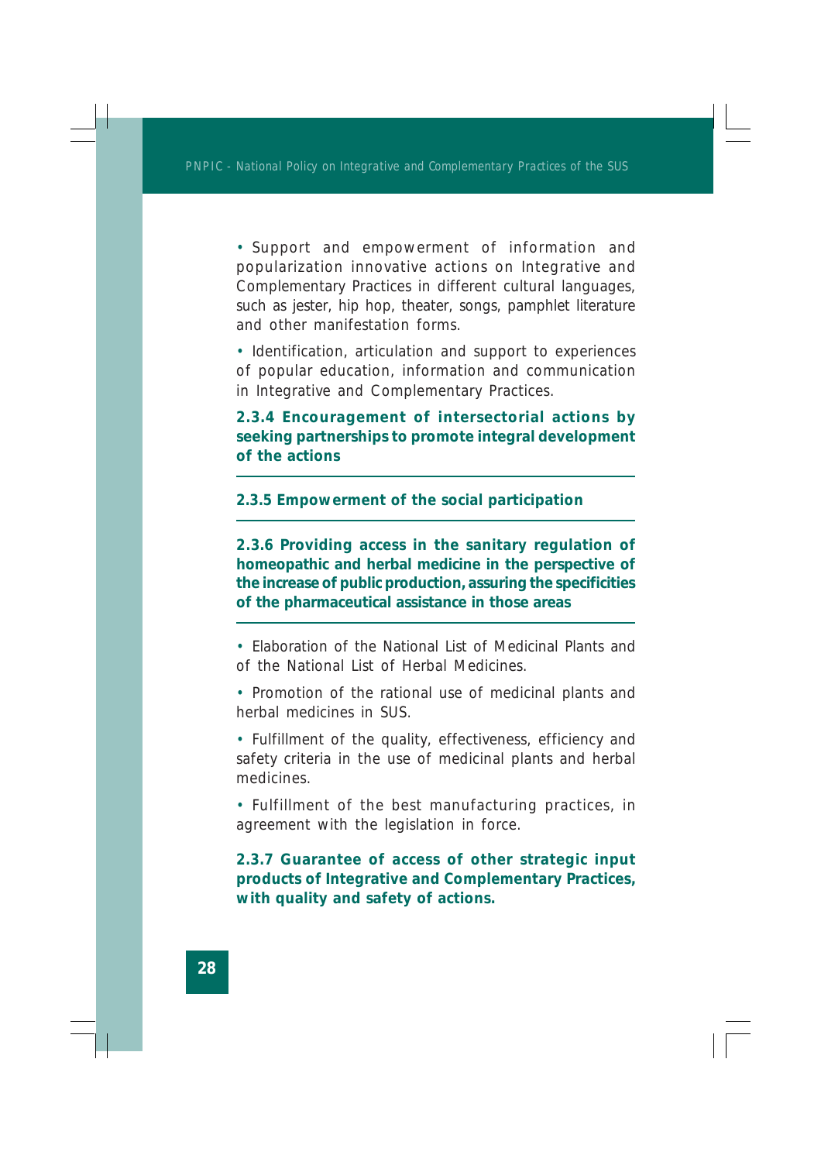• Support and empowerment of information and popularization innovative actions on Integrative and Complementary Practices in different cultural languages, such as jester, hip hop, theater, songs, pamphlet literature and other manifestation forms.

• Identification, articulation and support to experiences of popular education, information and communication in Integrative and Complementary Practices.

## **2.3.4 Encouragement of intersectorial actions by seeking partnerships to promote integral development of the actions**

#### **2.3.5 Empowerment of the social participation**

**2.3.6 Providing access in the sanitary regulation of homeopathic and herbal medicine in the perspective of the increase of public production, assuring the specificities of the pharmaceutical assistance in those areas**

• Elaboration of the National List of Medicinal Plants and of the National List of Herbal Medicines.

• Promotion of the rational use of medicinal plants and herbal medicines in SUS.

• Fulfillment of the quality, effectiveness, efficiency and safety criteria in the use of medicinal plants and herbal medicines.

• Fulfillment of the best manufacturing practices, in agreement with the legislation in force.

**2.3.7 Guarantee of access of other strategic input products of Integrative and Complementary Practices, with quality and safety of actions.**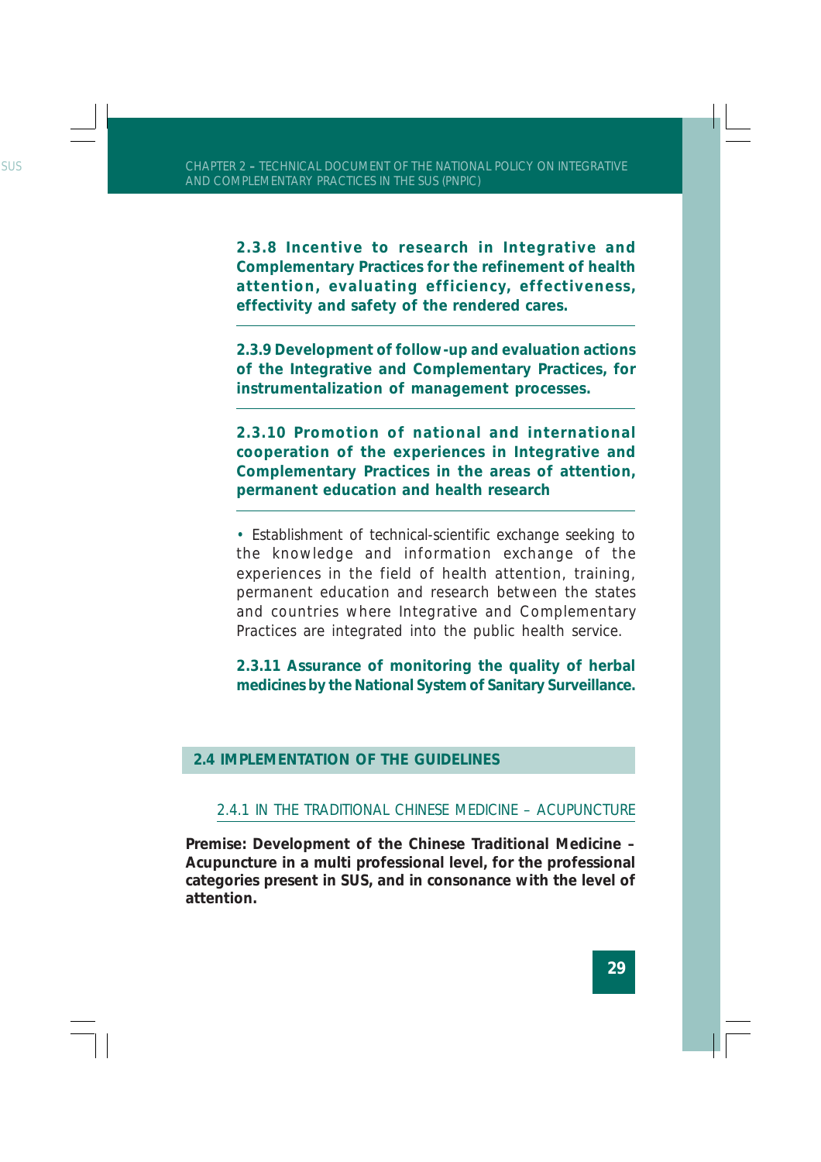> **2.3.8 Incentive to research in Integrative and Complementary Practices for the refinement of health attention, evaluating efficiency, effectiveness, effectivity and safety of the rendered cares.**

> **2.3.9 Development of follow-up and evaluation actions of the Integrative and Complementary Practices, for instrumentalization of management processes.**

> **2.3.10 Promotion of national and international cooperation of the experiences in Integrative and Complementary Practices in the areas of attention, permanent education and health research**

> • Establishment of technical-scientific exchange seeking to the knowledge and information exchange of the experiences in the field of health attention, training, permanent education and research between the states and countries where Integrative and Complementary Practices are integrated into the public health service.

> **2.3.11 Assurance of monitoring the quality of herbal medicines by the National System of Sanitary Surveillance.**

#### **2.4 IMPLEMENTATION OF THE GUIDELINES**

2.4.1 IN THE TRADITIONAL CHINESE MEDICINE – ACUPUNCTURE

**Premise: Development of the Chinese Traditional Medicine – Acupuncture in a multi professional level, for the professional categories present in SUS, and in consonance with the level of attention.**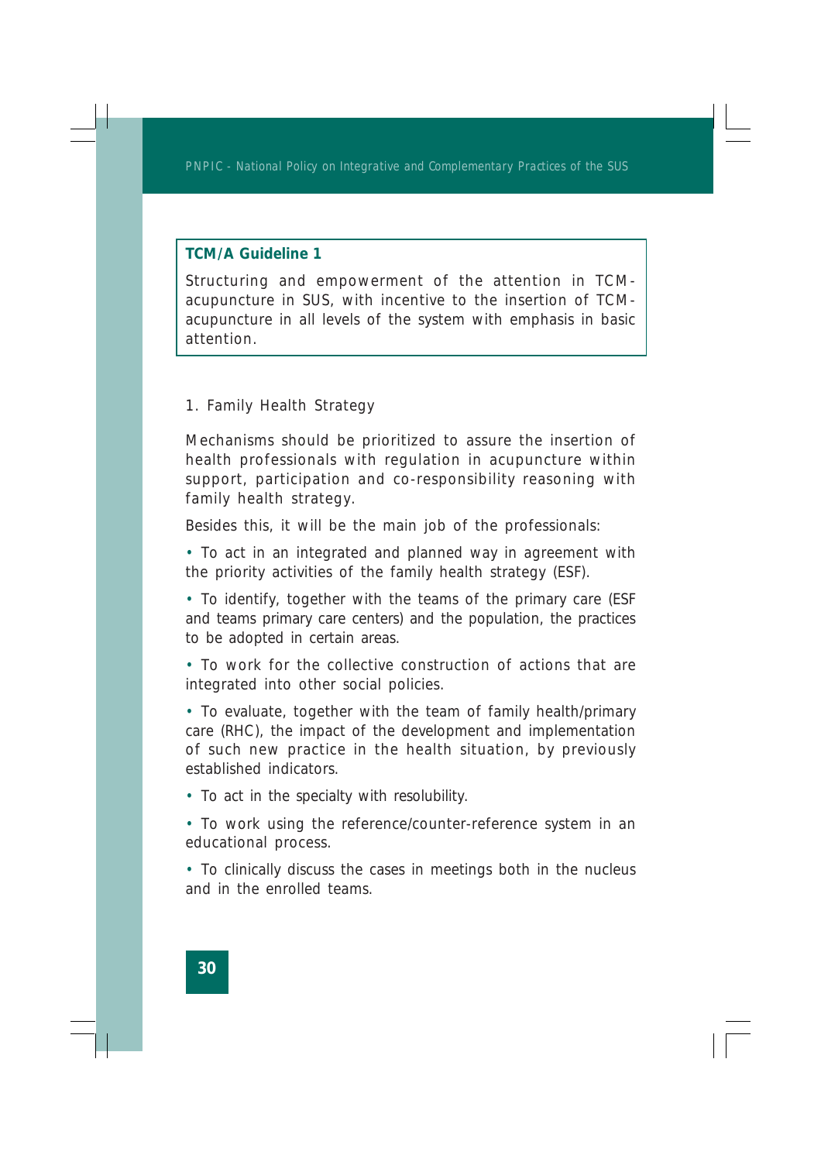## **TCM/A Guideline 1**

Structuring and empowerment of the attention in TCMacupuncture in SUS, with incentive to the insertion of TCMacupuncture in all levels of the system with emphasis in basic attention.

#### 1. Family Health Strategy

Mechanisms should be prioritized to assure the insertion of health professionals with regulation in acupuncture within support, participation and co-responsibility reasoning with family health strategy.

Besides this, it will be the main job of the professionals:

• To act in an integrated and planned way in agreement with the priority activities of the family health strategy (ESF).

• To identify, together with the teams of the primary care (ESF and teams primary care centers) and the population, the practices to be adopted in certain areas.

• To work for the collective construction of actions that are integrated into other social policies.

• To evaluate, together with the team of family health/primary care (RHC), the impact of the development and implementation of such new practice in the health situation, by previously established indicators.

• To act in the specialty with resolubility.

• To work using the reference/counter-reference system in an educational process.

• To clinically discuss the cases in meetings both in the nucleus and in the enrolled teams.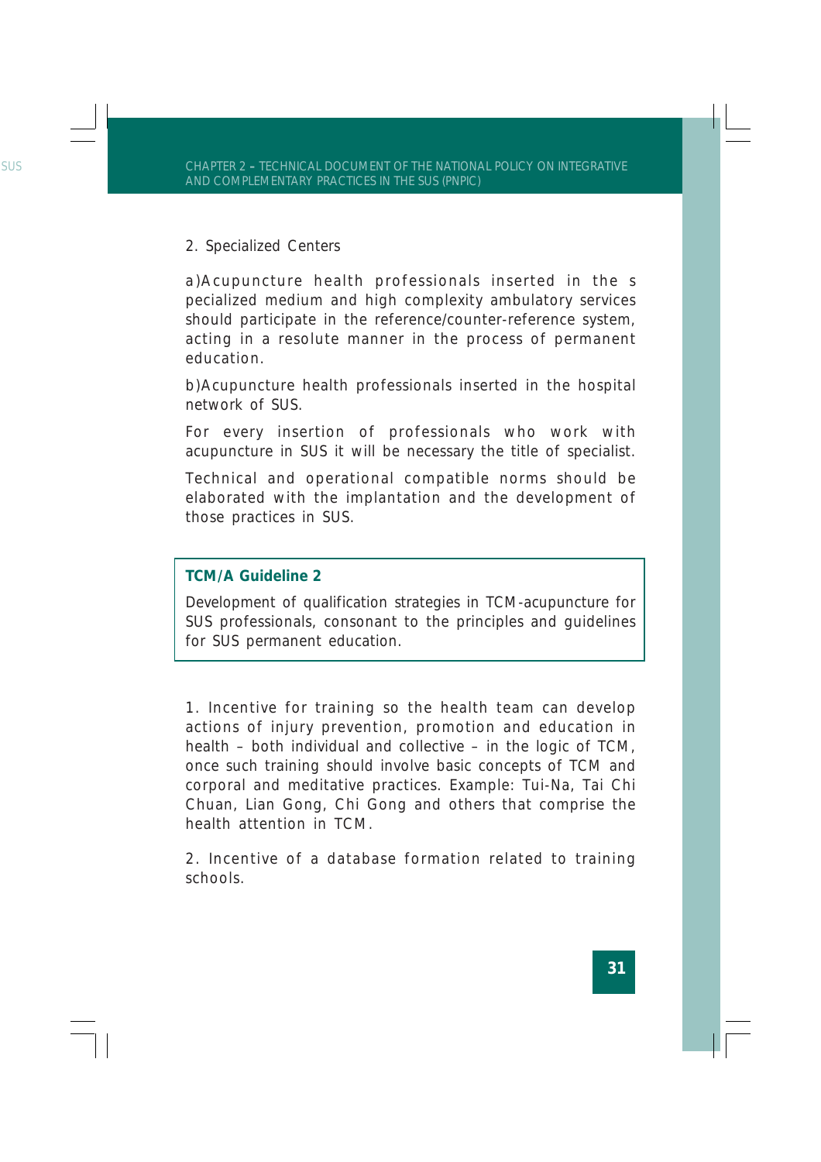#### 2. Specialized Centers

a)Acupuncture health professionals inserted in the s pecialized medium and high complexity ambulatory services should participate in the reference/counter-reference system, acting in a resolute manner in the process of permanent education.

b)Acupuncture health professionals inserted in the hospital network of SUS.

For every insertion of professionals who work with acupuncture in SUS it will be necessary the title of specialist.

Technical and operational compatible norms should be elaborated with the implantation and the development of those practices in SUS.

#### **TCM/A Guideline 2**

Development of qualification strategies in TCM-acupuncture for SUS professionals, consonant to the principles and guidelines for SUS permanent education.

1. Incentive for training so the health team can develop actions of injury prevention, promotion and education in health – both individual and collective – in the logic of TCM, once such training should involve basic concepts of TCM and corporal and meditative practices. Example: Tui-Na, Tai Chi Chuan, Lian Gong, Chi Gong and others that comprise the health attention in TCM.

2. Incentive of a database formation related to training schools.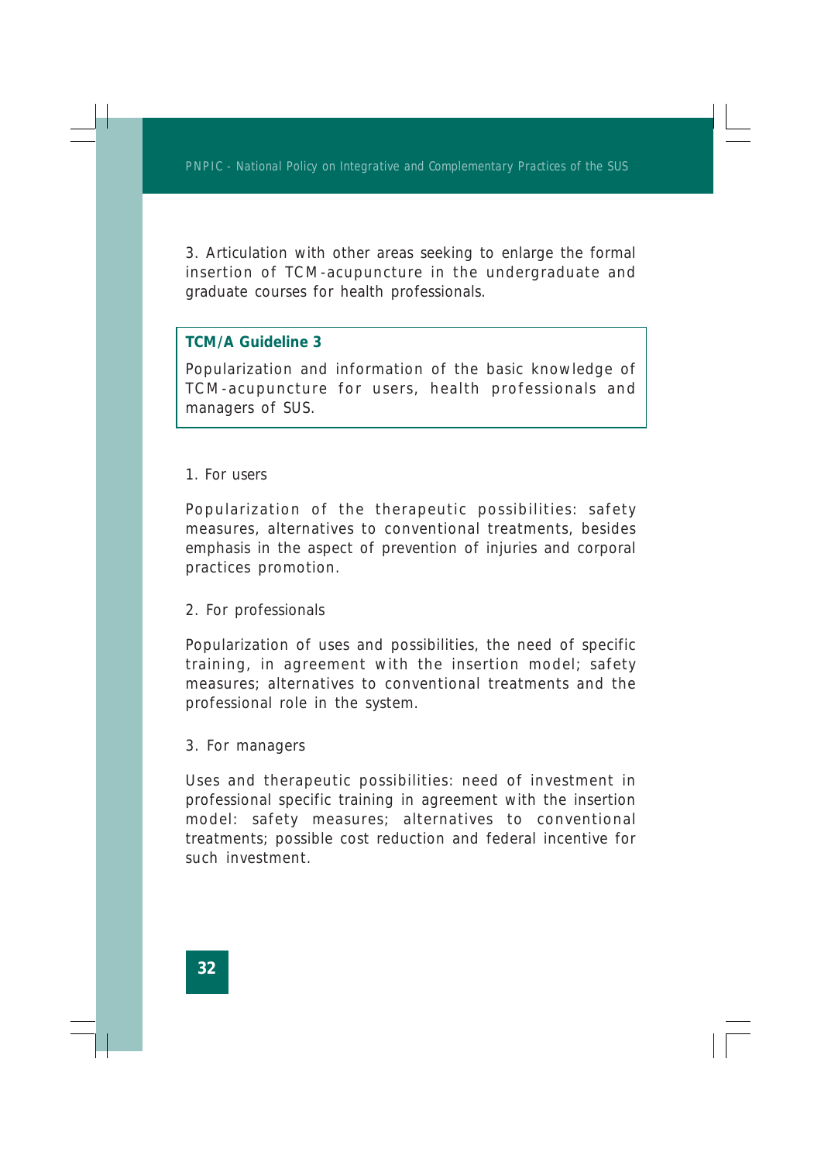3. Articulation with other areas seeking to enlarge the formal insertion of TCM-acupuncture in the undergraduate and graduate courses for health professionals.

## **TCM/A Guideline 3**

Popularization and information of the basic knowledge of TCM-acupuncture for users, health professionals and managers of SUS.

#### 1. For users

Popularization of the therapeutic possibilities: safety measures, alternatives to conventional treatments, besides emphasis in the aspect of prevention of injuries and corporal practices promotion.

#### 2. For professionals

Popularization of uses and possibilities, the need of specific training, in agreement with the insertion model; safety measures; alternatives to conventional treatments and the professional role in the system.

#### 3. For managers

Uses and therapeutic possibilities: need of investment in professional specific training in agreement with the insertion model: safety measures; alternatives to conventional treatments; possible cost reduction and federal incentive for such investment.

**32**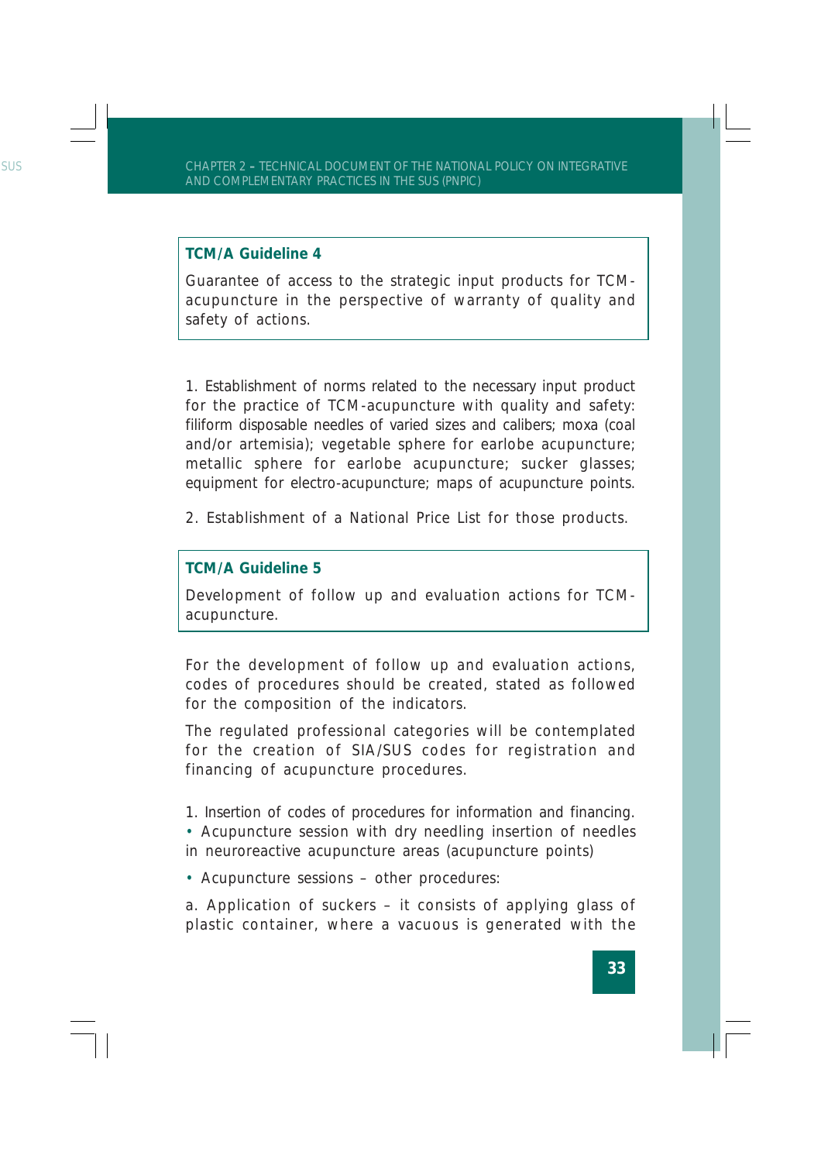## **TCM/A Guideline 4**

Guarantee of access to the strategic input products for TCMacupuncture in the perspective of warranty of quality and safety of actions.

1. Establishment of norms related to the necessary input product for the practice of TCM-acupuncture with quality and safety: filiform disposable needles of varied sizes and calibers; moxa (coal and/or artemisia); vegetable sphere for earlobe acupuncture; metallic sphere for earlobe acupuncture; sucker glasses; equipment for electro-acupuncture; maps of acupuncture points.

2. Establishment of a National Price List for those products.

## **TCM/A Guideline 5**

Development of follow up and evaluation actions for TCMacupuncture.

For the development of follow up and evaluation actions, codes of procedures should be created, stated as followed for the composition of the indicators.

The regulated professional categories will be contemplated for the creation of SIA/SUS codes for registration and financing of acupuncture procedures.

1. Insertion of codes of procedures for information and financing.

• Acupuncture session with dry needling insertion of needles in neuroreactive acupuncture areas (acupuncture points)

• Acupuncture sessions – other procedures:

a. Application of suckers – it consists of applying glass of plastic container, where a vacuous is generated with the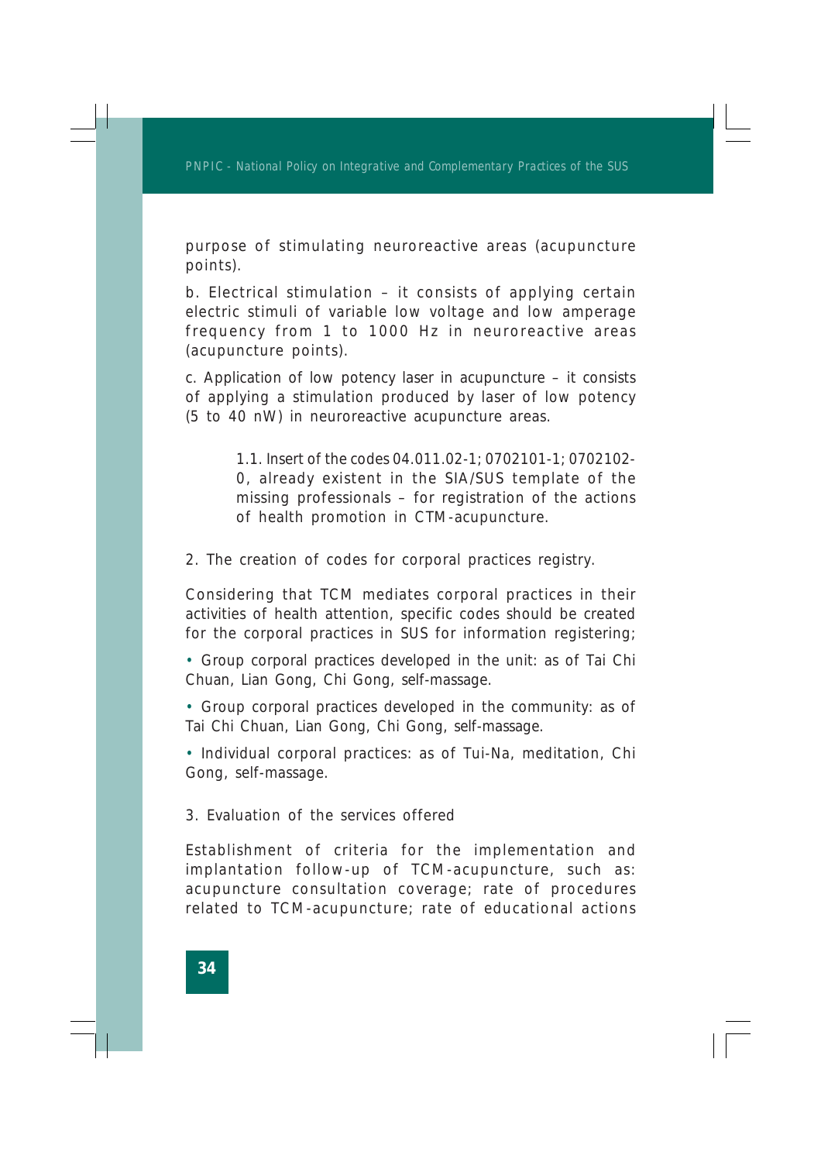purpose of stimulating neuroreactive areas (acupuncture points).

b. Electrical stimulation – it consists of applying certain electric stimuli of variable low voltage and low amperage frequency from 1 to 1000 Hz in neuroreactive areas (acupuncture points).

c. Application of low potency laser in acupuncture – it consists of applying a stimulation produced by laser of low potency (5 to 40 nW) in neuroreactive acupuncture areas.

> 1.1. Insert of the codes 04.011.02-1; 0702101-1; 0702102- 0, already existent in the SIA/SUS template of the missing professionals – for registration of the actions of health promotion in CTM-acupuncture.

2. The creation of codes for corporal practices registry.

Considering that TCM mediates corporal practices in their activities of health attention, specific codes should be created for the corporal practices in SUS for information registering;

• Group corporal practices developed in the unit: as of Tai Chi Chuan, Lian Gong, Chi Gong, self-massage.

• Group corporal practices developed in the community: as of Tai Chi Chuan, Lian Gong, Chi Gong, self-massage.

• Individual corporal practices: as of Tui-Na, meditation, Chi Gong, self-massage.

3. Evaluation of the services offered

Establishment of criteria for the implementation and implantation follow-up of TCM-acupuncture, such as: acupuncture consultation coverage; rate of procedures related to TCM-acupuncture; rate of educational actions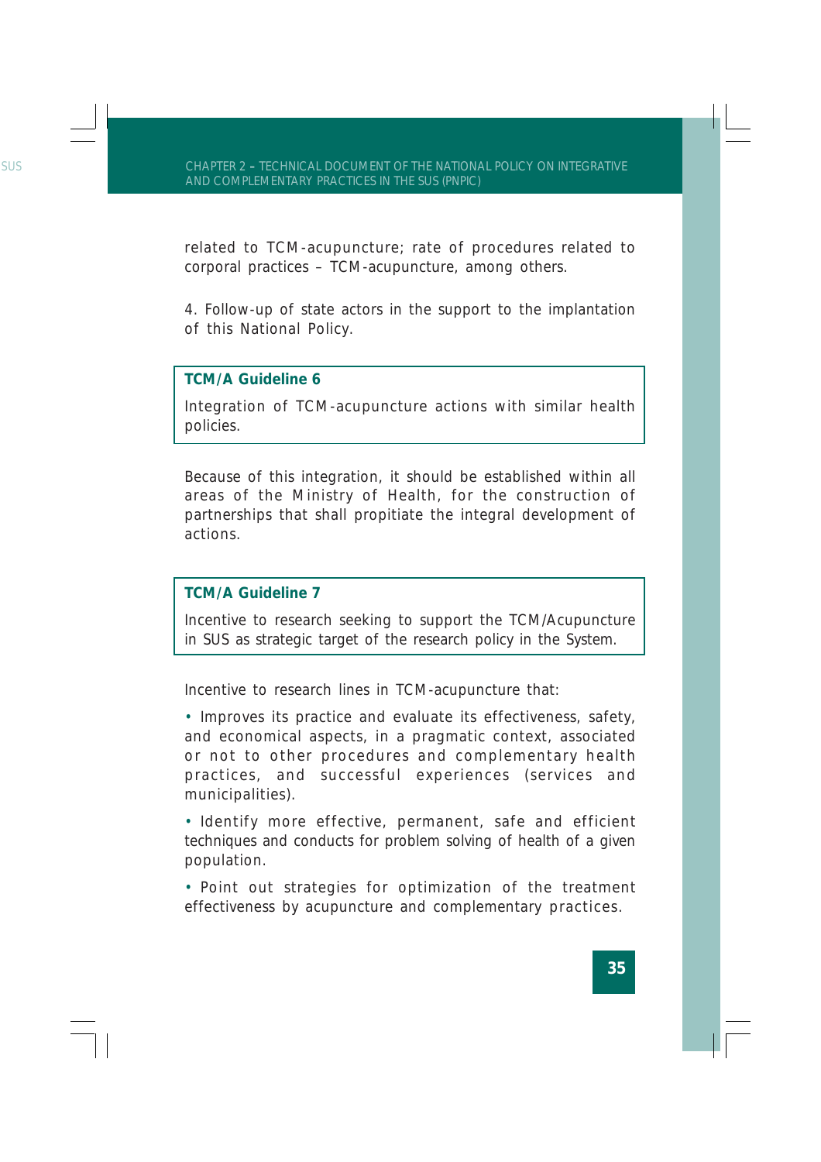> related to TCM-acupuncture; rate of procedures related to corporal practices – TCM-acupuncture, among others.

> 4. Follow-up of state actors in the support to the implantation of this National Policy.

## **TCM/A Guideline 6**

Integration of TCM-acupuncture actions with similar health policies.

Because of this integration, it should be established within all areas of the Ministry of Health, for the construction of partnerships that shall propitiate the integral development of actions.

### **TCM/A Guideline 7**

Incentive to research seeking to support the TCM/Acupuncture in SUS as strategic target of the research policy in the System.

Incentive to research lines in TCM-acupuncture that:

• Improves its practice and evaluate its effectiveness, safety, and economical aspects, in a pragmatic context, associated or not to other procedures and complementary health practices, and successful experiences (services and municipalities).

• Identify more effective, permanent, safe and efficient techniques and conducts for problem solving of health of a given population.

• Point out strategies for optimization of the treatment effectiveness by acupuncture and complementary practices.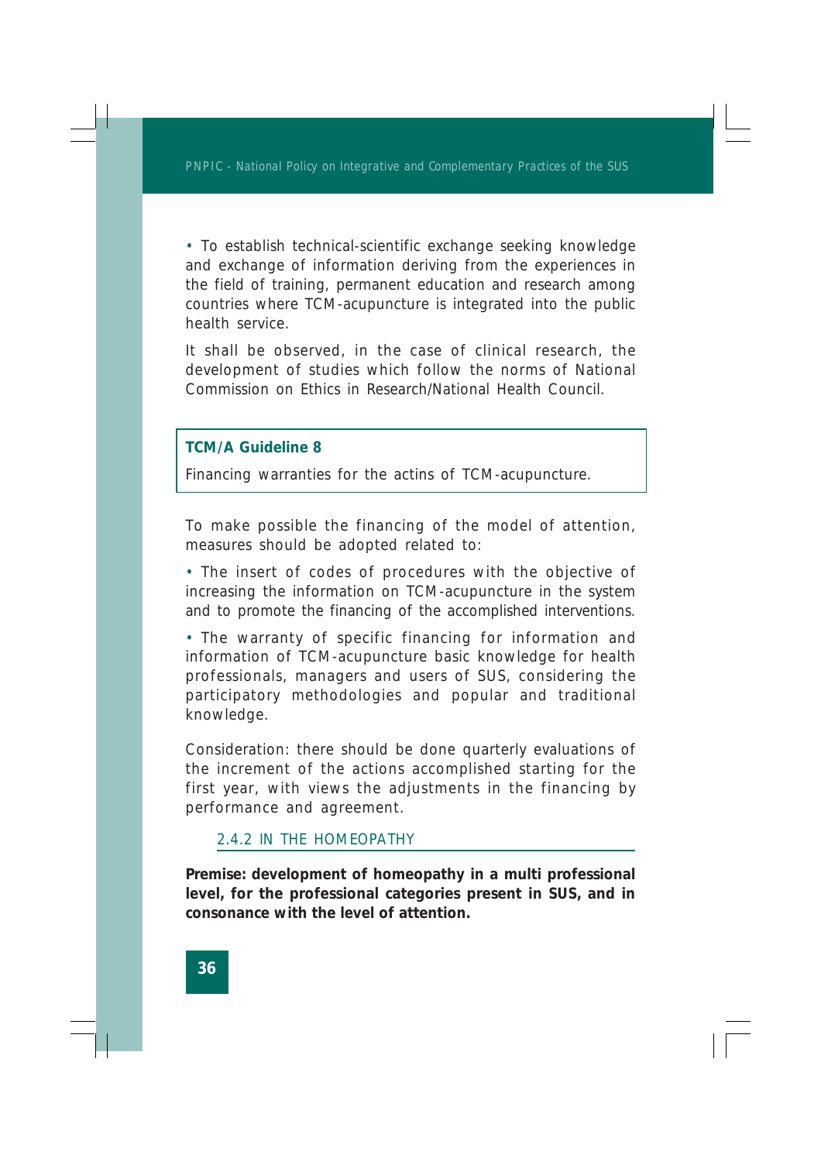• To establish technical-scientific exchange seeking knowledge and exchange of information deriving from the experiences in the field of training, permanent education and research among countries where TCM-acupuncture is integrated into the public health service.

It shall be observed, in the case of clinical research, the development of studies which follow the norms of National Commission on Ethics in Research/National Health Council.

# **TCM/A Guideline 8**

Financing warranties for the actins of TCM-acupuncture.

To make possible the financing of the model of attention, measures should be adopted related to:

• The insert of codes of procedures with the objective of increasing the information on TCM-acupuncture in the system and to promote the financing of the accomplished interventions.

• The warranty of specific financing for information and information of TCM-acupuncture basic knowledge for health professionals, managers and users of SUS, considering the participatory methodologies and popular and traditional knowledge.

Consideration: there should be done quarterly evaluations of the increment of the actions accomplished starting for the first year, with views the adjustments in the financing by performance and agreement.

# 2.4.2 IN THE HOMEOPATHY

**Premise: development of homeopathy in a multi professional level, for the professional categories present in SUS, and in consonance with the level of attention.**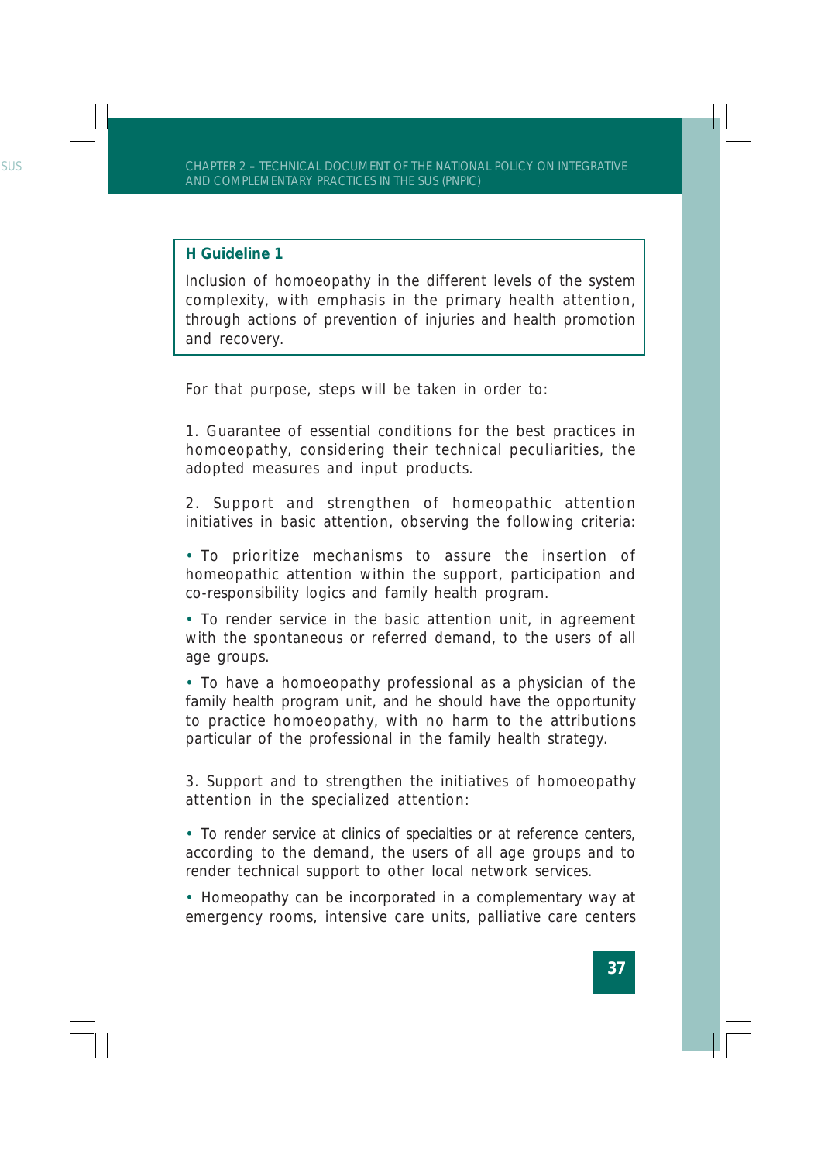## **H Guideline 1**

Inclusion of homoeopathy in the different levels of the system complexity, with emphasis in the primary health attention, through actions of prevention of injuries and health promotion and recovery.

For that purpose, steps will be taken in order to:

1. Guarantee of essential conditions for the best practices in homoeopathy, considering their technical peculiarities, the adopted measures and input products.

2. Support and strengthen of homeopathic attention initiatives in basic attention, observing the following criteria:

• To prioritize mechanisms to assure the insertion of homeopathic attention within the support, participation and co-responsibility logics and family health program.

• To render service in the basic attention unit, in agreement with the spontaneous or referred demand, to the users of all age groups.

• To have a homoeopathy professional as a physician of the family health program unit, and he should have the opportunity to practice homoeopathy, with no harm to the attributions particular of the professional in the family health strategy.

3. Support and to strengthen the initiatives of homoeopathy attention in the specialized attention:

• To render service at clinics of specialties or at reference centers, according to the demand, the users of all age groups and to render technical support to other local network services.

• Homeopathy can be incorporated in a complementary way at emergency rooms, intensive care units, palliative care centers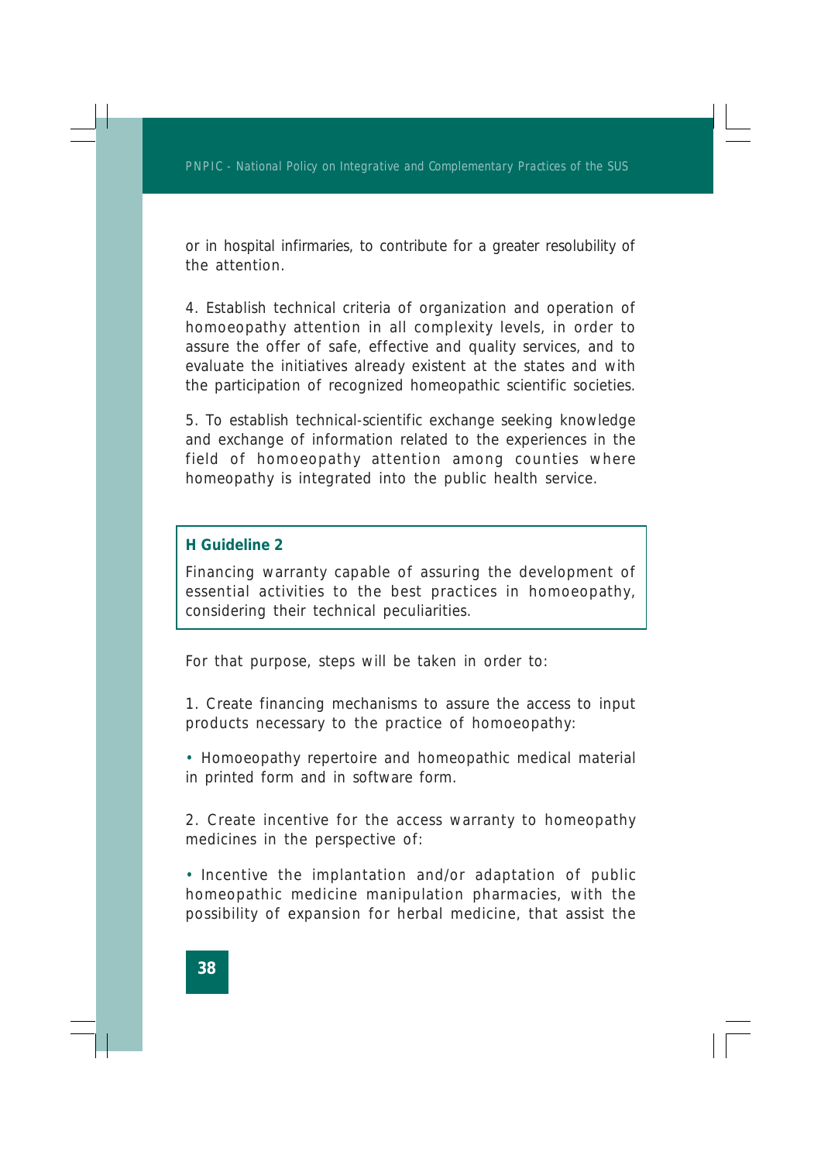or in hospital infirmaries, to contribute for a greater resolubility of the attention.

4. Establish technical criteria of organization and operation of homoeopathy attention in all complexity levels, in order to assure the offer of safe, effective and quality services, and to evaluate the initiatives already existent at the states and with the participation of recognized homeopathic scientific societies.

5. To establish technical-scientific exchange seeking knowledge and exchange of information related to the experiences in the field of homoeopathy attention among counties where homeopathy is integrated into the public health service.

#### **H Guideline 2**

Financing warranty capable of assuring the development of essential activities to the best practices in homoeopathy, considering their technical peculiarities.

For that purpose, steps will be taken in order to:

1. Create financing mechanisms to assure the access to input products necessary to the practice of homoeopathy:

• Homoeopathy repertoire and homeopathic medical material in printed form and in software form.

2. Create incentive for the access warranty to homeopathy medicines in the perspective of:

• Incentive the implantation and/or adaptation of public homeopathic medicine manipulation pharmacies, with the possibility of expansion for herbal medicine, that assist the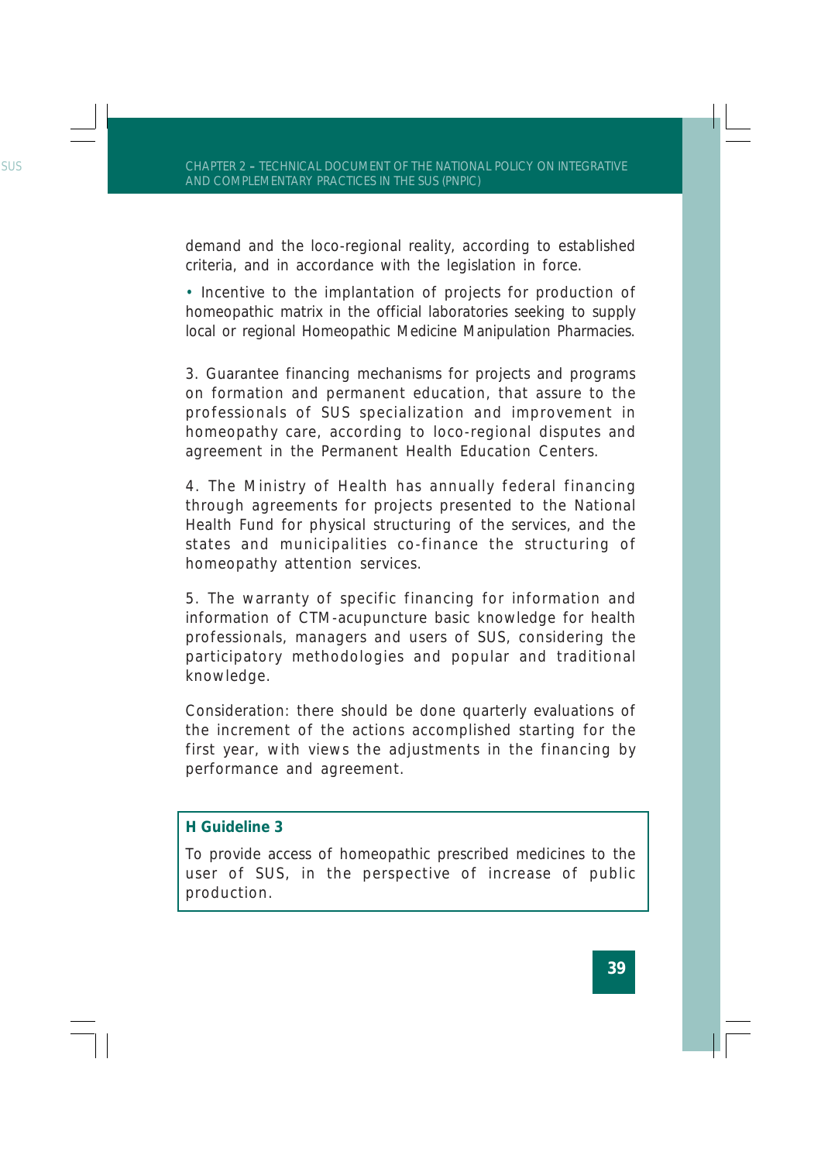> demand and the loco-regional reality, according to established criteria, and in accordance with the legislation in force.

> • Incentive to the implantation of projects for production of homeopathic matrix in the official laboratories seeking to supply local or regional Homeopathic Medicine Manipulation Pharmacies.

> 3. Guarantee financing mechanisms for projects and programs on formation and permanent education, that assure to the professionals of SUS specialization and improvement in homeopathy care, according to loco-regional disputes and agreement in the Permanent Health Education Centers.

> 4. The Ministry of Health has annually federal financing through agreements for projects presented to the National Health Fund for physical structuring of the services, and the states and municipalities co-finance the structuring of homeopathy attention services.

> 5. The warranty of specific financing for information and information of CTM-acupuncture basic knowledge for health professionals, managers and users of SUS, considering the participatory methodologies and popular and traditional knowledge.

> Consideration: there should be done quarterly evaluations of the increment of the actions accomplished starting for the first year, with views the adjustments in the financing by performance and agreement.

#### **H Guideline 3**

To provide access of homeopathic prescribed medicines to the user of SUS, in the perspective of increase of public production.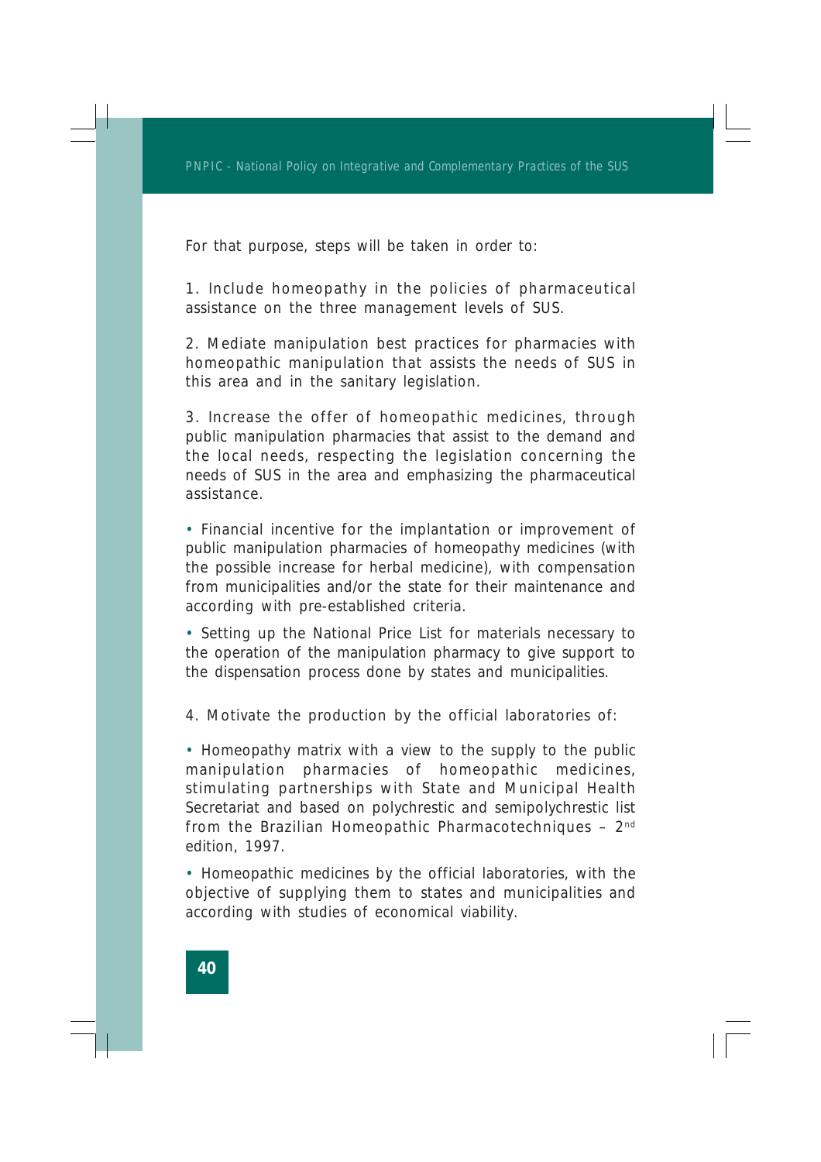For that purpose, steps will be taken in order to:

1. Include homeopathy in the policies of pharmaceutical assistance on the three management levels of SUS.

2. Mediate manipulation best practices for pharmacies with homeopathic manipulation that assists the needs of SUS in this area and in the sanitary legislation.

3. Increase the offer of homeopathic medicines, through public manipulation pharmacies that assist to the demand and the local needs, respecting the legislation concerning the needs of SUS in the area and emphasizing the pharmaceutical assistance.

• Financial incentive for the implantation or improvement of public manipulation pharmacies of homeopathy medicines (with the possible increase for herbal medicine), with compensation from municipalities and/or the state for their maintenance and according with pre-established criteria.

• Setting up the National Price List for materials necessary to the operation of the manipulation pharmacy to give support to the dispensation process done by states and municipalities.

4. Motivate the production by the official laboratories of:

• Homeopathy matrix with a view to the supply to the public manipulation pharmacies of homeopathic medicines, stimulating partnerships with State and Municipal Health Secretariat and based on polychrestic and semipolychrestic list from the Brazilian Homeopathic Pharmacotechniques – 2nd edition, 1997.

• Homeopathic medicines by the official laboratories, with the objective of supplying them to states and municipalities and according with studies of economical viability.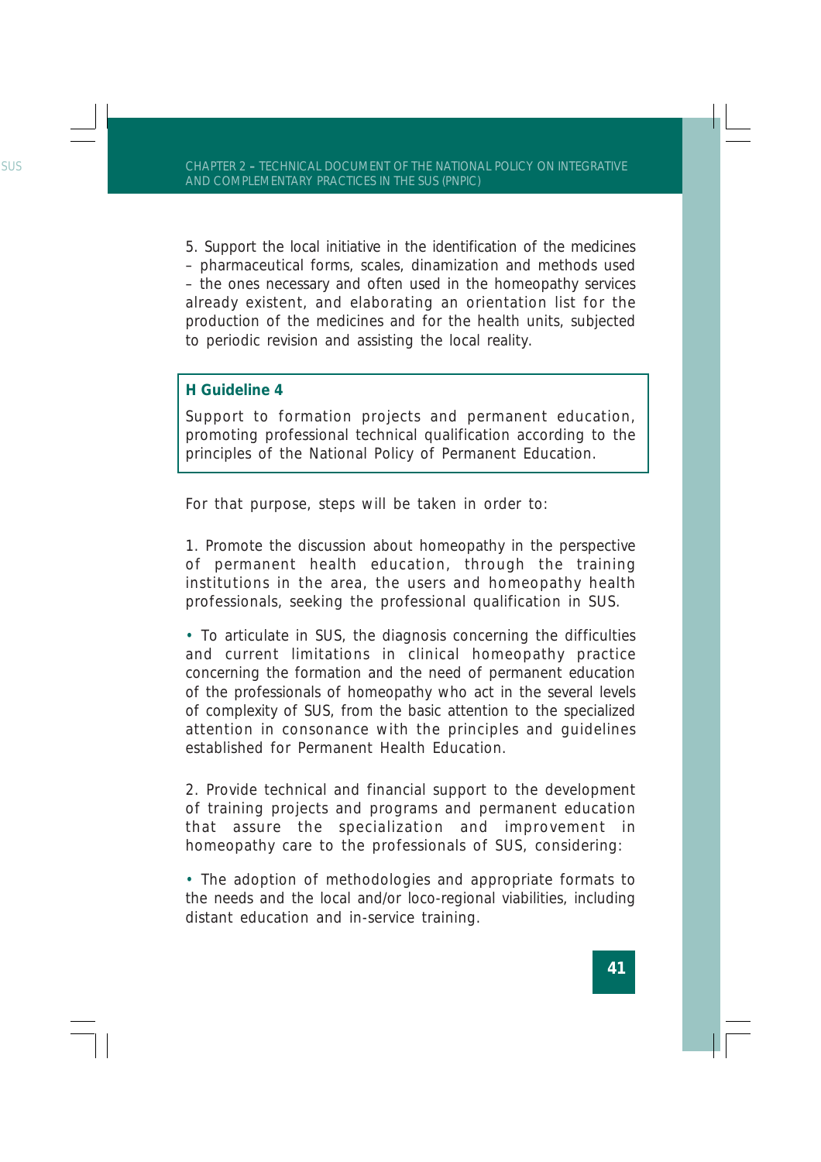> 5. Support the local initiative in the identification of the medicines – pharmaceutical forms, scales, dinamization and methods used – the ones necessary and often used in the homeopathy services already existent, and elaborating an orientation list for the production of the medicines and for the health units, subjected to periodic revision and assisting the local reality.

# **H Guideline 4**

Support to formation projects and permanent education, promoting professional technical qualification according to the principles of the National Policy of Permanent Education.

For that purpose, steps will be taken in order to:

1. Promote the discussion about homeopathy in the perspective of permanent health education, through the training institutions in the area, the users and homeopathy health professionals, seeking the professional qualification in SUS.

• To articulate in SUS, the diagnosis concerning the difficulties and current limitations in clinical homeopathy practice concerning the formation and the need of permanent education of the professionals of homeopathy who act in the several levels of complexity of SUS, from the basic attention to the specialized attention in consonance with the principles and guidelines established for Permanent Health Education.

2. Provide technical and financial support to the development of training projects and programs and permanent education that assure the specialization and improvement in homeopathy care to the professionals of SUS, considering:

• The adoption of methodologies and appropriate formats to the needs and the local and/or loco-regional viabilities, including distant education and in-service training.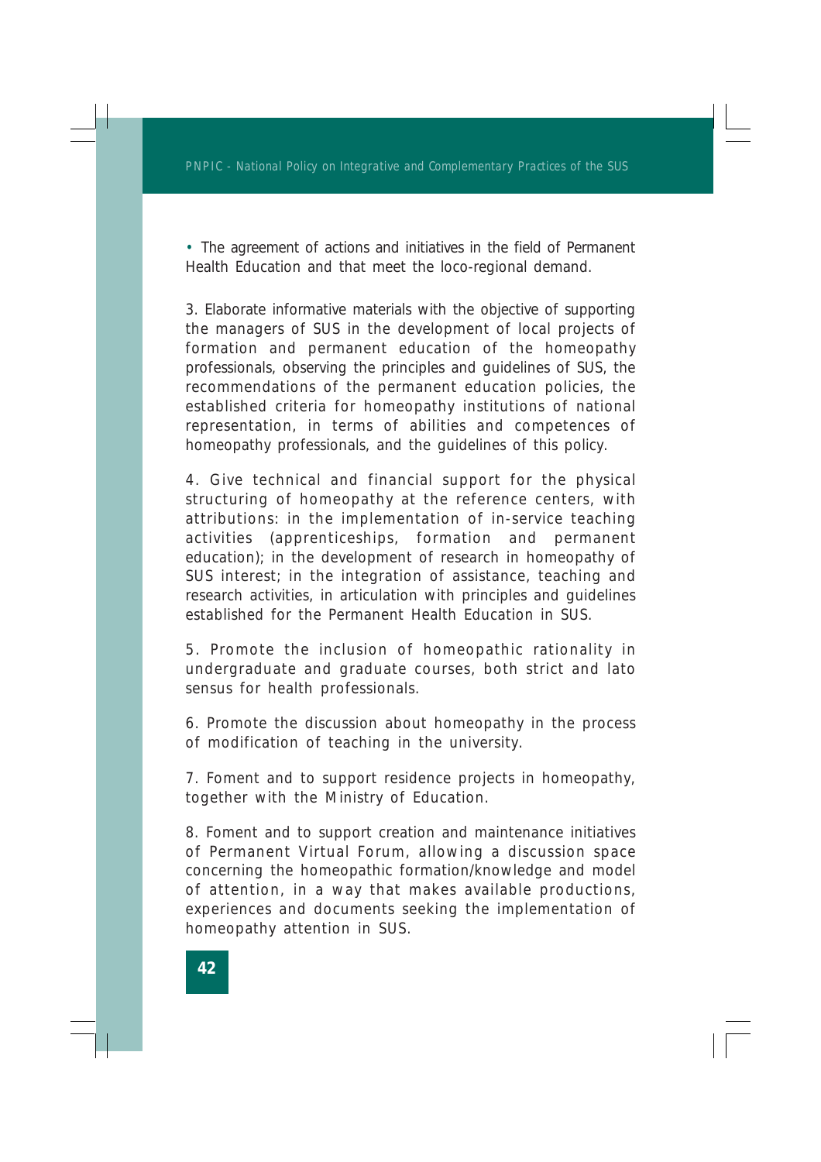• The agreement of actions and initiatives in the field of Permanent Health Education and that meet the loco-regional demand.

3. Elaborate informative materials with the objective of supporting the managers of SUS in the development of local projects of formation and permanent education of the homeopathy professionals, observing the principles and guidelines of SUS, the recommendations of the permanent education policies, the established criteria for homeopathy institutions of national representation, in terms of abilities and competences of homeopathy professionals, and the guidelines of this policy.

4. Give technical and financial support for the physical structuring of homeopathy at the reference centers, with attributions: in the implementation of in-service teaching activities (apprenticeships, formation and permanent education); in the development of research in homeopathy of SUS interest; in the integration of assistance, teaching and research activities, in articulation with principles and guidelines established for the Permanent Health Education in SUS.

5. Promote the inclusion of homeopathic rationality in undergraduate and graduate courses, both strict and lato sensus for health professionals.

6. Promote the discussion about homeopathy in the process of modification of teaching in the university.

7. Foment and to support residence projects in homeopathy, together with the Ministry of Education.

8. Foment and to support creation and maintenance initiatives of Permanent Virtual Forum, allowing a discussion space concerning the homeopathic formation/knowledge and model of attention, in a way that makes available productions, experiences and documents seeking the implementation of homeopathy attention in SUS.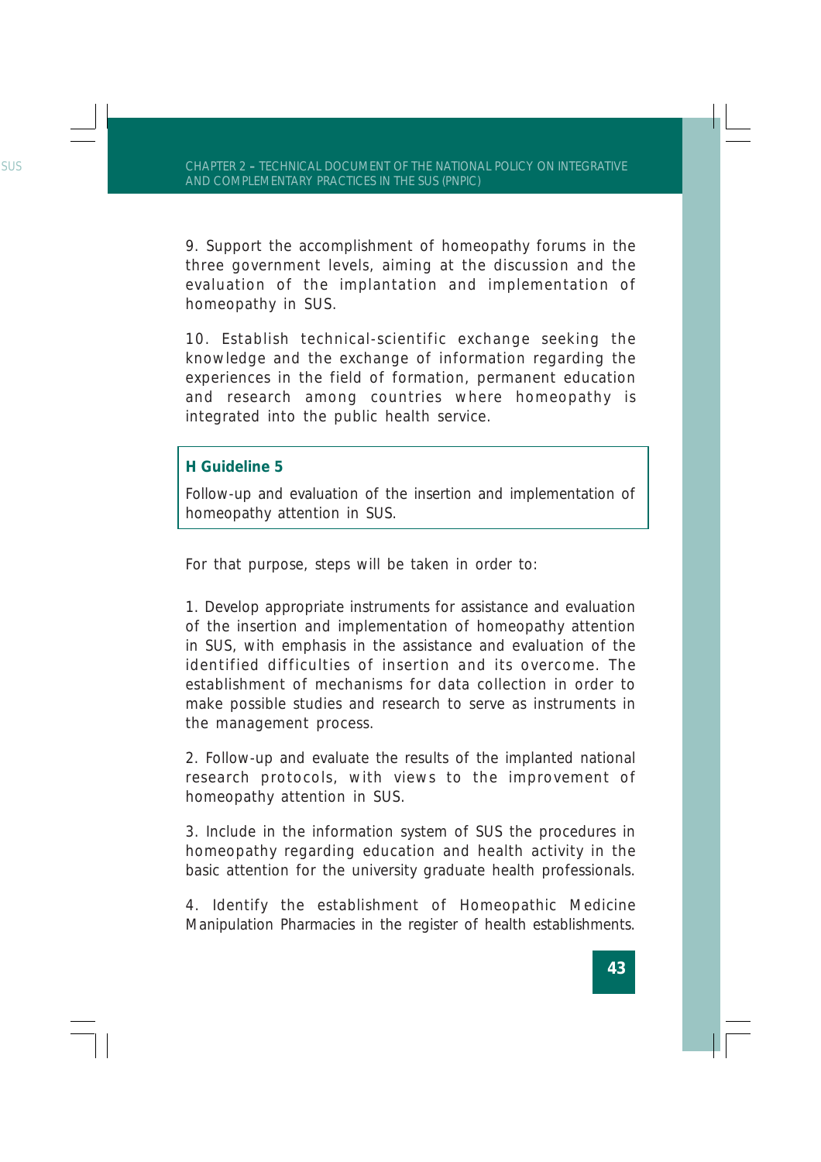> 9. Support the accomplishment of homeopathy forums in the three government levels, aiming at the discussion and the evaluation of the implantation and implementation of homeopathy in SUS.

> 10. Establish technical-scientific exchange seeking the knowledge and the exchange of information regarding the experiences in the field of formation, permanent education and research among countries where homeopathy is integrated into the public health service.

# **H Guideline 5**

Follow-up and evaluation of the insertion and implementation of homeopathy attention in SUS.

For that purpose, steps will be taken in order to:

1. Develop appropriate instruments for assistance and evaluation of the insertion and implementation of homeopathy attention in SUS, with emphasis in the assistance and evaluation of the identified difficulties of insertion and its overcome. The establishment of mechanisms for data collection in order to make possible studies and research to serve as instruments in the management process.

2. Follow-up and evaluate the results of the implanted national research protocols, with views to the improvement of homeopathy attention in SUS.

3. Include in the information system of SUS the procedures in homeopathy regarding education and health activity in the basic attention for the university graduate health professionals.

4. Identify the establishment of Homeopathic Medicine Manipulation Pharmacies in the register of health establishments.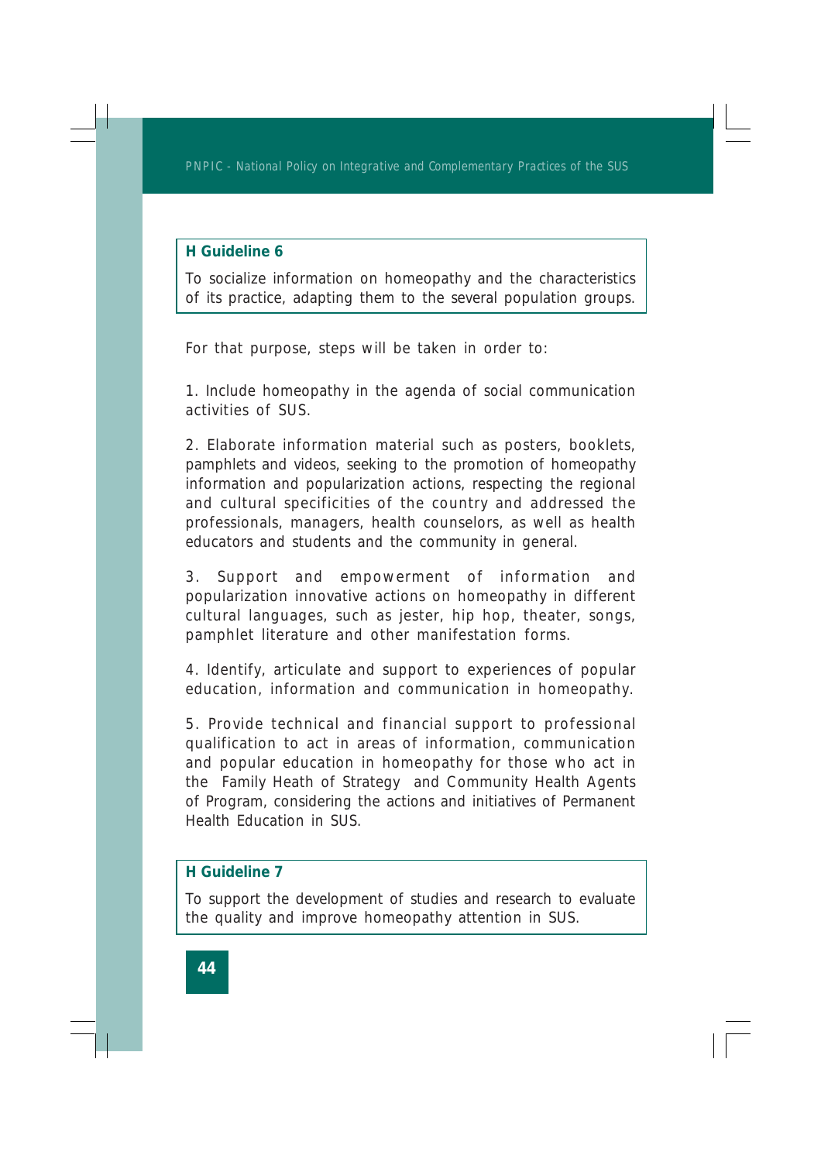# **H Guideline 6**

To socialize information on homeopathy and the characteristics of its practice, adapting them to the several population groups.

For that purpose, steps will be taken in order to:

1. Include homeopathy in the agenda of social communication activities of SUS.

2. Elaborate information material such as posters, booklets, pamphlets and videos, seeking to the promotion of homeopathy information and popularization actions, respecting the regional and cultural specificities of the country and addressed the professionals, managers, health counselors, as well as health educators and students and the community in general.

3. Support and empowerment of information and popularization innovative actions on homeopathy in different cultural languages, such as jester, hip hop, theater, songs, pamphlet literature and other manifestation forms.

4. Identify, articulate and support to experiences of popular education, information and communication in homeopathy.

5. Provide technical and financial support to professional qualification to act in areas of information, communication and popular education in homeopathy for those who act in the Family Heath of Strategy and Community Health Agents of Program, considering the actions and initiatives of Permanent Health Education in SUS.

# **H Guideline 7**

To support the development of studies and research to evaluate the quality and improve homeopathy attention in SUS.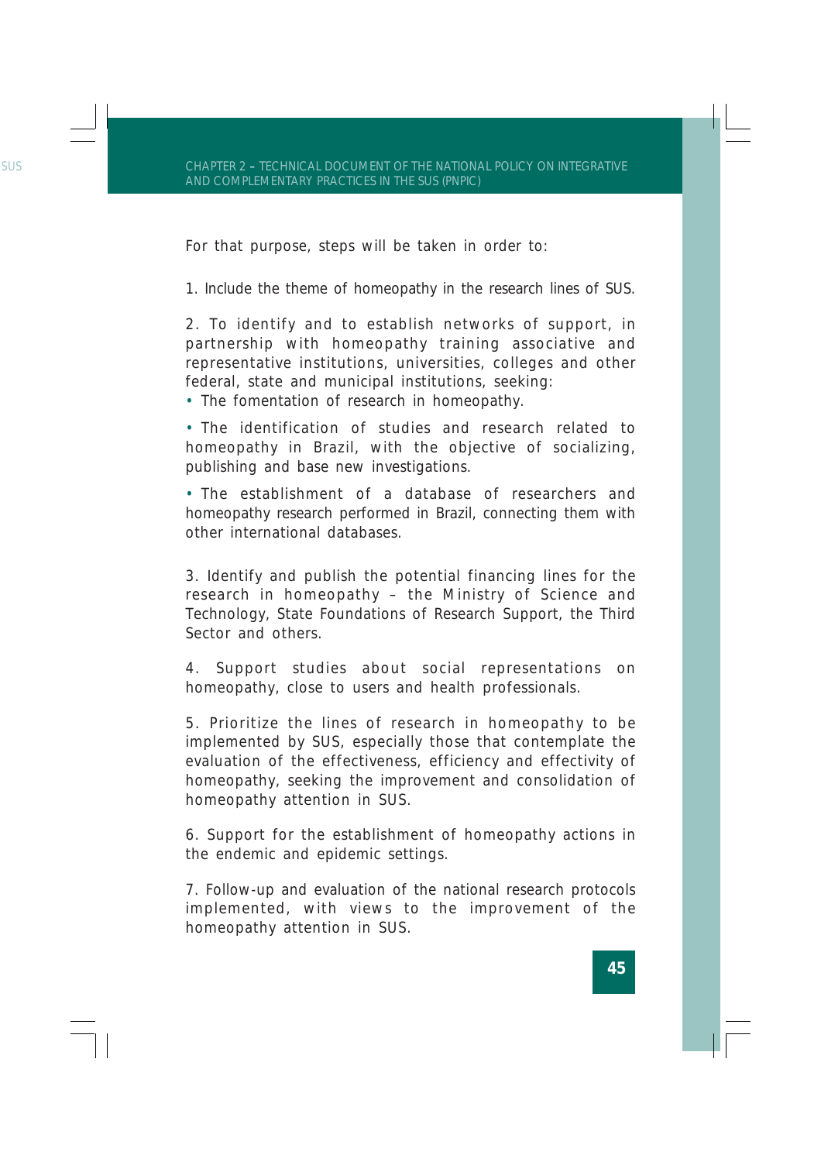For that purpose, steps will be taken in order to:

1. Include the theme of homeopathy in the research lines of SUS.

2. To identify and to establish networks of support, in partnership with homeopathy training associative and representative institutions, universities, colleges and other federal, state and municipal institutions, seeking:

• The fomentation of research in homeopathy.

• The identification of studies and research related to homeopathy in Brazil, with the objective of socializing, publishing and base new investigations.

• The establishment of a database of researchers and homeopathy research performed in Brazil, connecting them with other international databases.

3. Identify and publish the potential financing lines for the research in homeopathy – the Ministry of Science and Technology, State Foundations of Research Support, the Third Sector and others.

4. Support studies about social representations on homeopathy, close to users and health professionals.

5. Prioritize the lines of research in homeopathy to be implemented by SUS, especially those that contemplate the evaluation of the effectiveness, efficiency and effectivity of homeopathy, seeking the improvement and consolidation of homeopathy attention in SUS.

6. Support for the establishment of homeopathy actions in the endemic and epidemic settings.

7. Follow-up and evaluation of the national research protocols implemented, with views to the improvement of the homeopathy attention in SUS.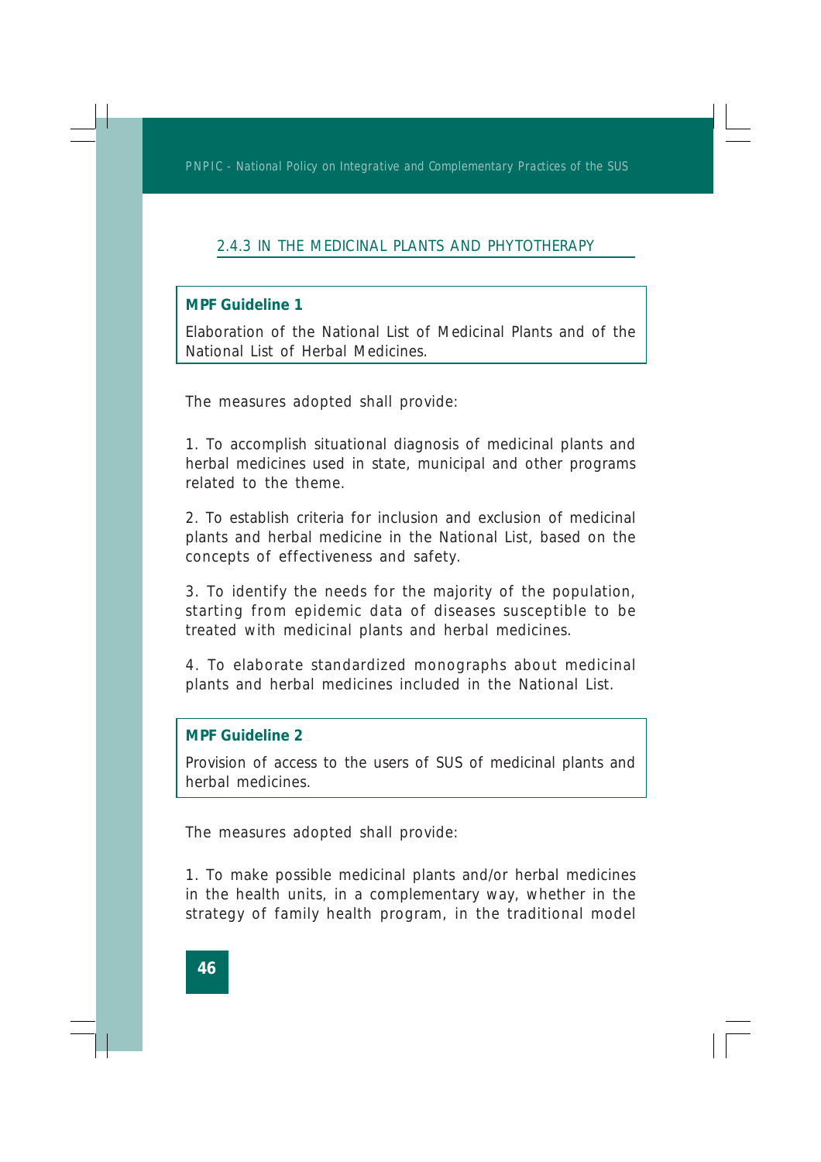#### 2.4.3 IN THE MEDICINAL PLANTS AND PHYTOTHERAPY

#### **MPF Guideline 1**

Elaboration of the National List of Medicinal Plants and of the National List of Herbal Medicines.

The measures adopted shall provide:

1. To accomplish situational diagnosis of medicinal plants and herbal medicines used in state, municipal and other programs related to the theme.

2. To establish criteria for inclusion and exclusion of medicinal plants and herbal medicine in the National List, based on the concepts of effectiveness and safety.

3. To identify the needs for the majority of the population, starting from epidemic data of diseases susceptible to be treated with medicinal plants and herbal medicines.

4. To elaborate standardized monographs about medicinal plants and herbal medicines included in the National List.

## **MPF Guideline 2**

Provision of access to the users of SUS of medicinal plants and herbal medicines.

The measures adopted shall provide:

1. To make possible medicinal plants and/or herbal medicines in the health units, in a complementary way, whether in the strategy of family health program, in the traditional model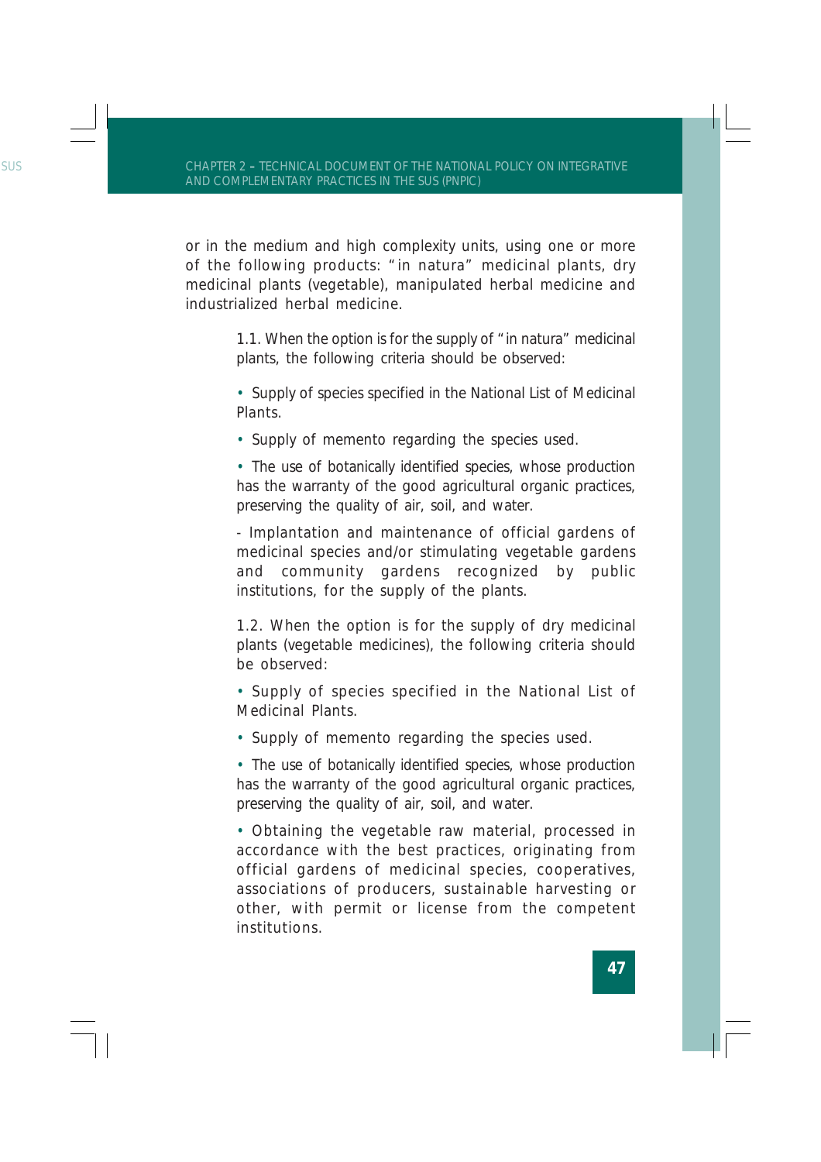> or in the medium and high complexity units, using one or more of the following products: "in natura" medicinal plants, dry medicinal plants (vegetable), manipulated herbal medicine and industrialized herbal medicine.

> > 1.1. When the option is for the supply of "in natura" medicinal plants, the following criteria should be observed:

> > • Supply of species specified in the National List of Medicinal Plants.

• Supply of memento regarding the species used.

• The use of botanically identified species, whose production has the warranty of the good agricultural organic practices, preserving the quality of air, soil, and water.

- Implantation and maintenance of official gardens of medicinal species and/or stimulating vegetable gardens and community gardens recognized by public institutions, for the supply of the plants.

1.2. When the option is for the supply of dry medicinal plants (vegetable medicines), the following criteria should be observed:

• Supply of species specified in the National List of Medicinal Plants.

• Supply of memento regarding the species used.

• The use of botanically identified species, whose production has the warranty of the good agricultural organic practices, preserving the quality of air, soil, and water.

• Obtaining the vegetable raw material, processed in accordance with the best practices, originating from official gardens of medicinal species, cooperatives, associations of producers, sustainable harvesting or other, with permit or license from the competent institutions.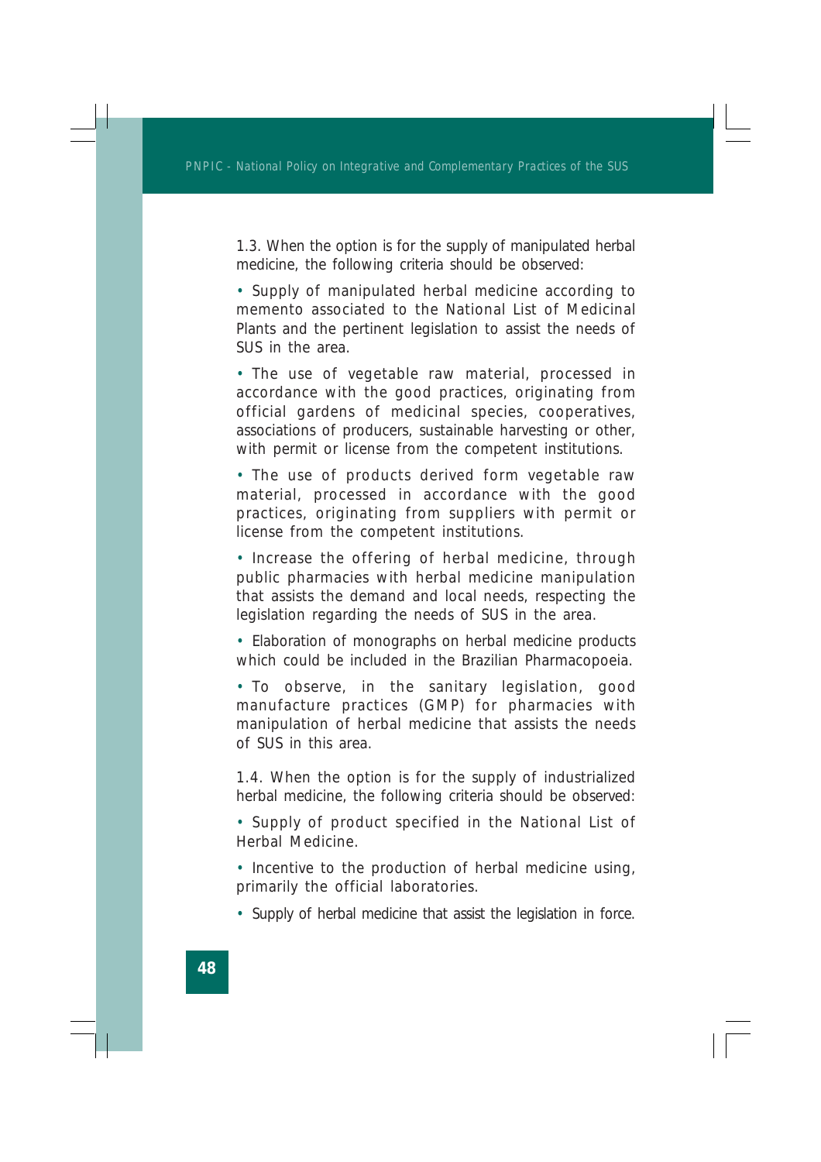1.3. When the option is for the supply of manipulated herbal medicine, the following criteria should be observed:

• Supply of manipulated herbal medicine according to memento associated to the National List of Medicinal Plants and the pertinent legislation to assist the needs of SUS in the area.

• The use of vegetable raw material, processed in accordance with the good practices, originating from official gardens of medicinal species, cooperatives, associations of producers, sustainable harvesting or other, with permit or license from the competent institutions.

• The use of products derived form vegetable raw material, processed in accordance with the good practices, originating from suppliers with permit or license from the competent institutions.

• Increase the offering of herbal medicine, through public pharmacies with herbal medicine manipulation that assists the demand and local needs, respecting the legislation regarding the needs of SUS in the area.

• Elaboration of monographs on herbal medicine products which could be included in the Brazilian Pharmacopoeia.

• To observe, in the sanitary legislation, good manufacture practices (GMP) for pharmacies with manipulation of herbal medicine that assists the needs of SUS in this area.

1.4. When the option is for the supply of industrialized herbal medicine, the following criteria should be observed:

• Supply of product specified in the National List of Herbal Medicine.

• Incentive to the production of herbal medicine using, primarily the official laboratories.

• Supply of herbal medicine that assist the legislation in force.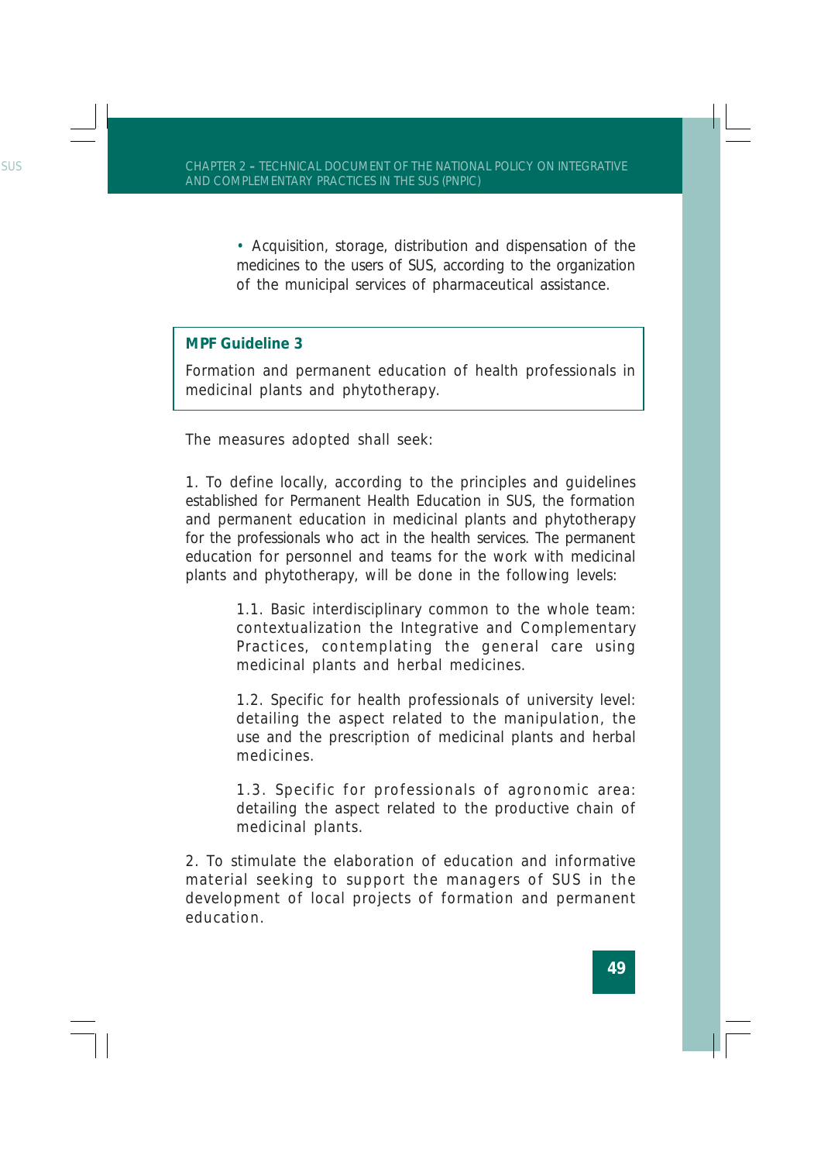> • Acquisition, storage, distribution and dispensation of the medicines to the users of SUS, according to the organization of the municipal services of pharmaceutical assistance.

# **MPF Guideline 3**

Formation and permanent education of health professionals in medicinal plants and phytotherapy.

The measures adopted shall seek:

1. To define locally, according to the principles and guidelines established for Permanent Health Education in SUS, the formation and permanent education in medicinal plants and phytotherapy for the professionals who act in the health services. The permanent education for personnel and teams for the work with medicinal plants and phytotherapy, will be done in the following levels:

> 1.1. Basic interdisciplinary common to the whole team: contextualization the Integrative and Complementary Practices, contemplating the general care using medicinal plants and herbal medicines.

> 1.2. Specific for health professionals of university level: detailing the aspect related to the manipulation, the use and the prescription of medicinal plants and herbal medicines.

> 1.3. Specific for professionals of agronomic area: detailing the aspect related to the productive chain of medicinal plants.

2. To stimulate the elaboration of education and informative material seeking to support the managers of SUS in the development of local projects of formation and permanent education.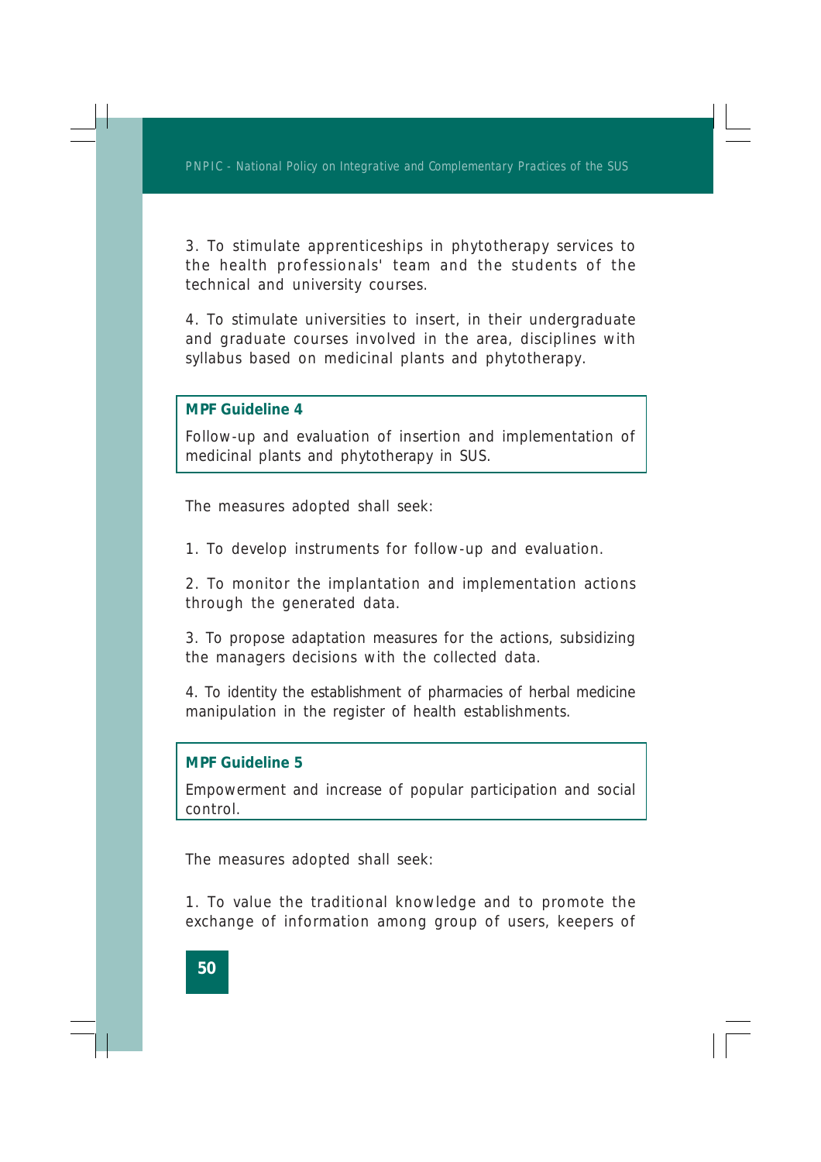3. To stimulate apprenticeships in phytotherapy services to the health professionals' team and the students of the technical and university courses.

4. To stimulate universities to insert, in their undergraduate and graduate courses involved in the area, disciplines with syllabus based on medicinal plants and phytotherapy.

# **MPF Guideline 4**

Follow-up and evaluation of insertion and implementation of medicinal plants and phytotherapy in SUS.

The measures adopted shall seek:

1. To develop instruments for follow-up and evaluation.

2. To monitor the implantation and implementation actions through the generated data.

3. To propose adaptation measures for the actions, subsidizing the managers decisions with the collected data.

4. To identity the establishment of pharmacies of herbal medicine manipulation in the register of health establishments.

### **MPF Guideline 5**

Empowerment and increase of popular participation and social control.

The measures adopted shall seek:

1. To value the traditional knowledge and to promote the exchange of information among group of users, keepers of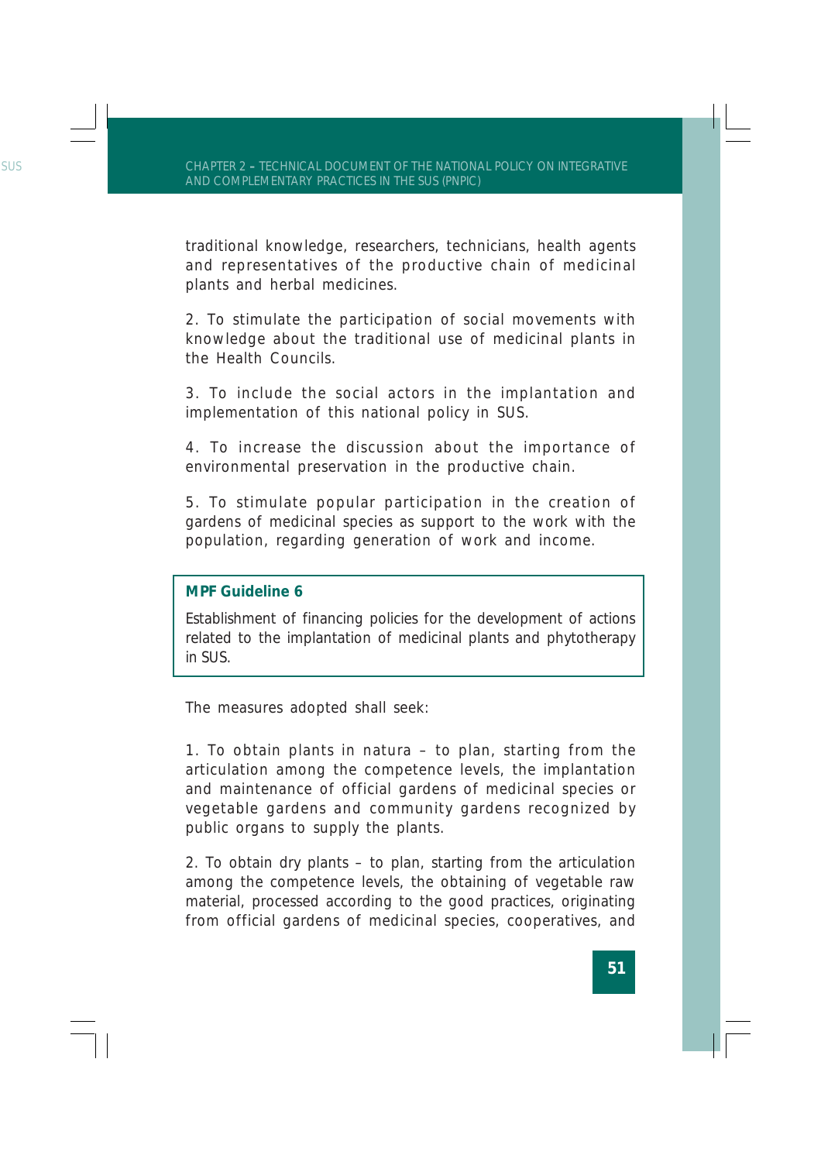> traditional knowledge, researchers, technicians, health agents and representatives of the productive chain of medicinal plants and herbal medicines.

> 2. To stimulate the participation of social movements with knowledge about the traditional use of medicinal plants in the Health Councils.

> 3. To include the social actors in the implantation and implementation of this national policy in SUS.

> 4. To increase the discussion about the importance of environmental preservation in the productive chain.

> 5. To stimulate popular participation in the creation of gardens of medicinal species as support to the work with the population, regarding generation of work and income.

### **MPF Guideline 6**

Establishment of financing policies for the development of actions related to the implantation of medicinal plants and phytotherapy in SUS.

The measures adopted shall seek:

1. To obtain plants in natura – to plan, starting from the articulation among the competence levels, the implantation and maintenance of official gardens of medicinal species or vegetable gardens and community gardens recognized by public organs to supply the plants.

2. To obtain dry plants – to plan, starting from the articulation among the competence levels, the obtaining of vegetable raw material, processed according to the good practices, originating from official gardens of medicinal species, cooperatives, and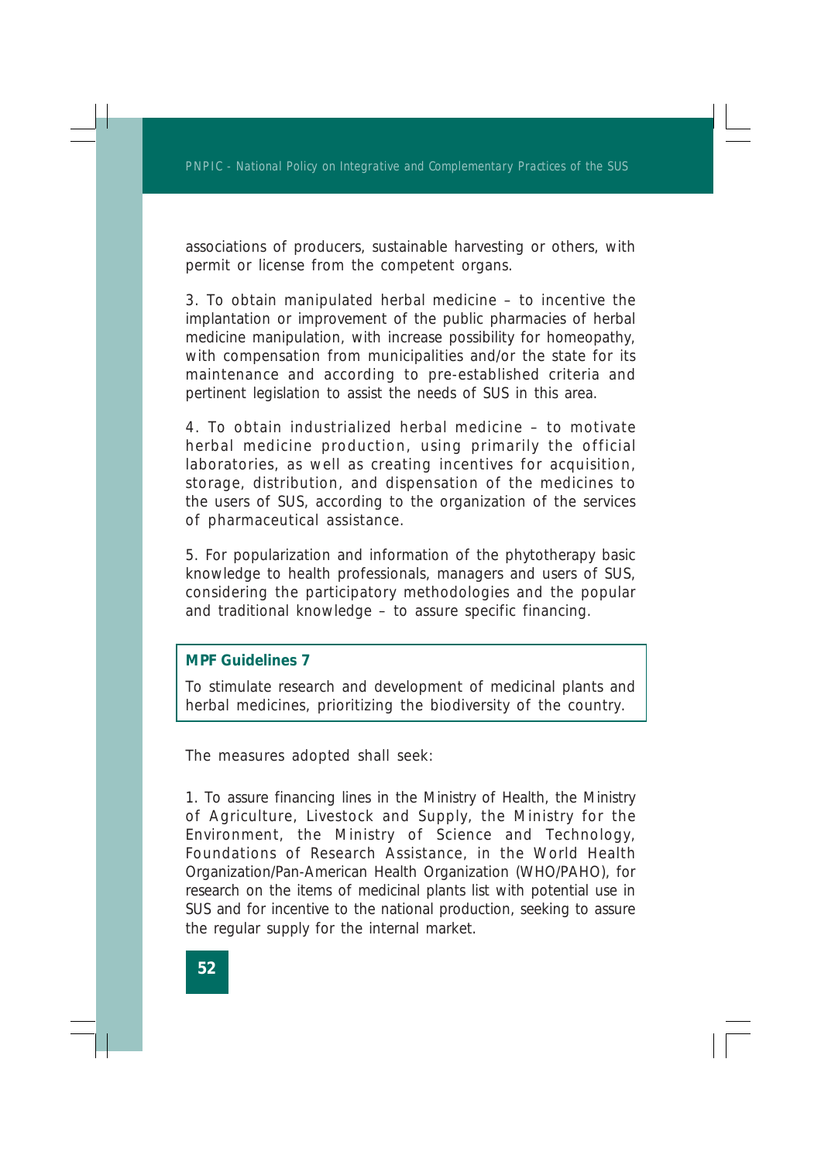associations of producers, sustainable harvesting or others, with permit or license from the competent organs.

3. To obtain manipulated herbal medicine – to incentive the implantation or improvement of the public pharmacies of herbal medicine manipulation, with increase possibility for homeopathy, with compensation from municipalities and/or the state for its maintenance and according to pre-established criteria and pertinent legislation to assist the needs of SUS in this area.

4. To obtain industrialized herbal medicine – to motivate herbal medicine production, using primarily the official laboratories, as well as creating incentives for acquisition, storage, distribution, and dispensation of the medicines to the users of SUS, according to the organization of the services of pharmaceutical assistance.

5. For popularization and information of the phytotherapy basic knowledge to health professionals, managers and users of SUS, considering the participatory methodologies and the popular and traditional knowledge – to assure specific financing.

# **MPF Guidelines 7**

To stimulate research and development of medicinal plants and herbal medicines, prioritizing the biodiversity of the country.

The measures adopted shall seek:

1. To assure financing lines in the Ministry of Health, the Ministry of Agriculture, Livestock and Supply, the Ministry for the Environment, the Ministry of Science and Technology, Foundations of Research Assistance, in the World Health Organization/Pan-American Health Organization (WHO/PAHO), for research on the items of medicinal plants list with potential use in SUS and for incentive to the national production, seeking to assure the regular supply for the internal market.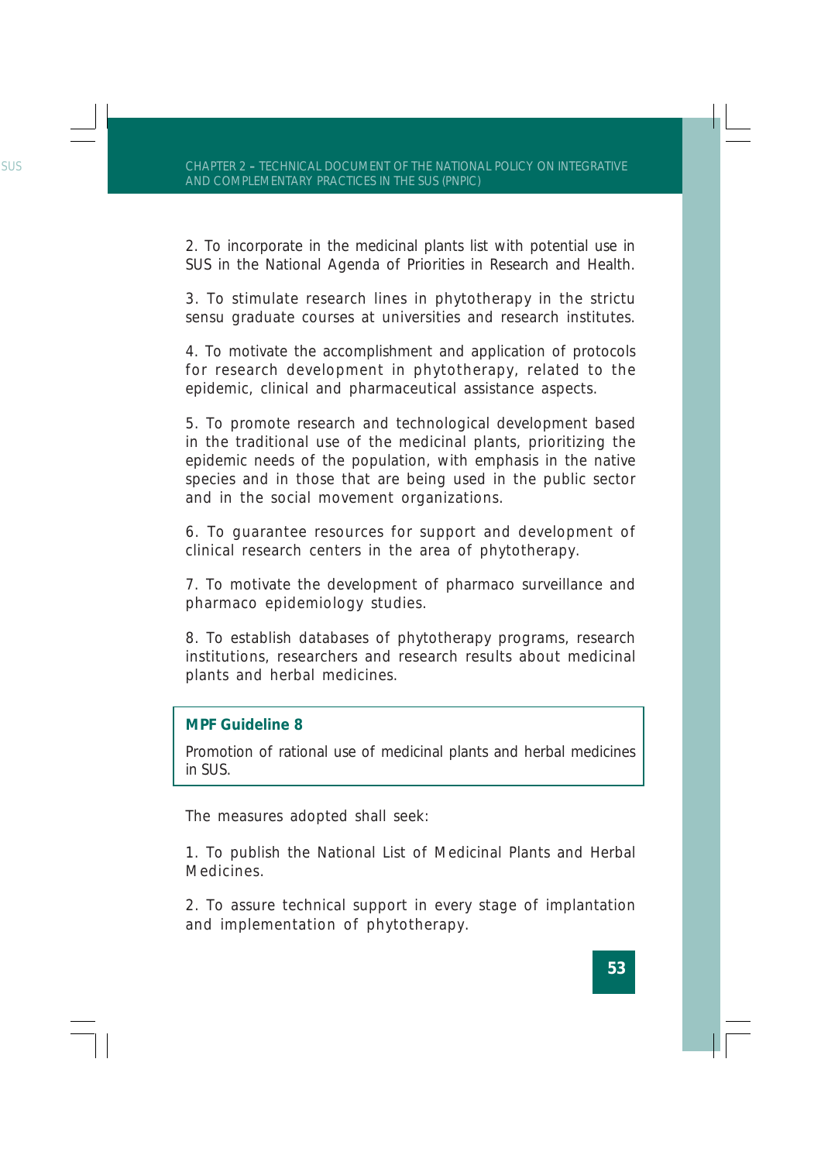> 2. To incorporate in the medicinal plants list with potential use in SUS in the National Agenda of Priorities in Research and Health.

> 3. To stimulate research lines in phytotherapy in the strictu sensu graduate courses at universities and research institutes.

> 4. To motivate the accomplishment and application of protocols for research development in phytotherapy, related to the epidemic, clinical and pharmaceutical assistance aspects.

> 5. To promote research and technological development based in the traditional use of the medicinal plants, prioritizing the epidemic needs of the population, with emphasis in the native species and in those that are being used in the public sector and in the social movement organizations.

> 6. To guarantee resources for support and development of clinical research centers in the area of phytotherapy.

> 7. To motivate the development of pharmaco surveillance and pharmaco epidemiology studies.

> 8. To establish databases of phytotherapy programs, research institutions, researchers and research results about medicinal plants and herbal medicines.

#### **MPF Guideline 8**

Promotion of rational use of medicinal plants and herbal medicines in SUS.

The measures adopted shall seek:

1. To publish the National List of Medicinal Plants and Herbal Medicines.

2. To assure technical support in every stage of implantation and implementation of phytotherapy.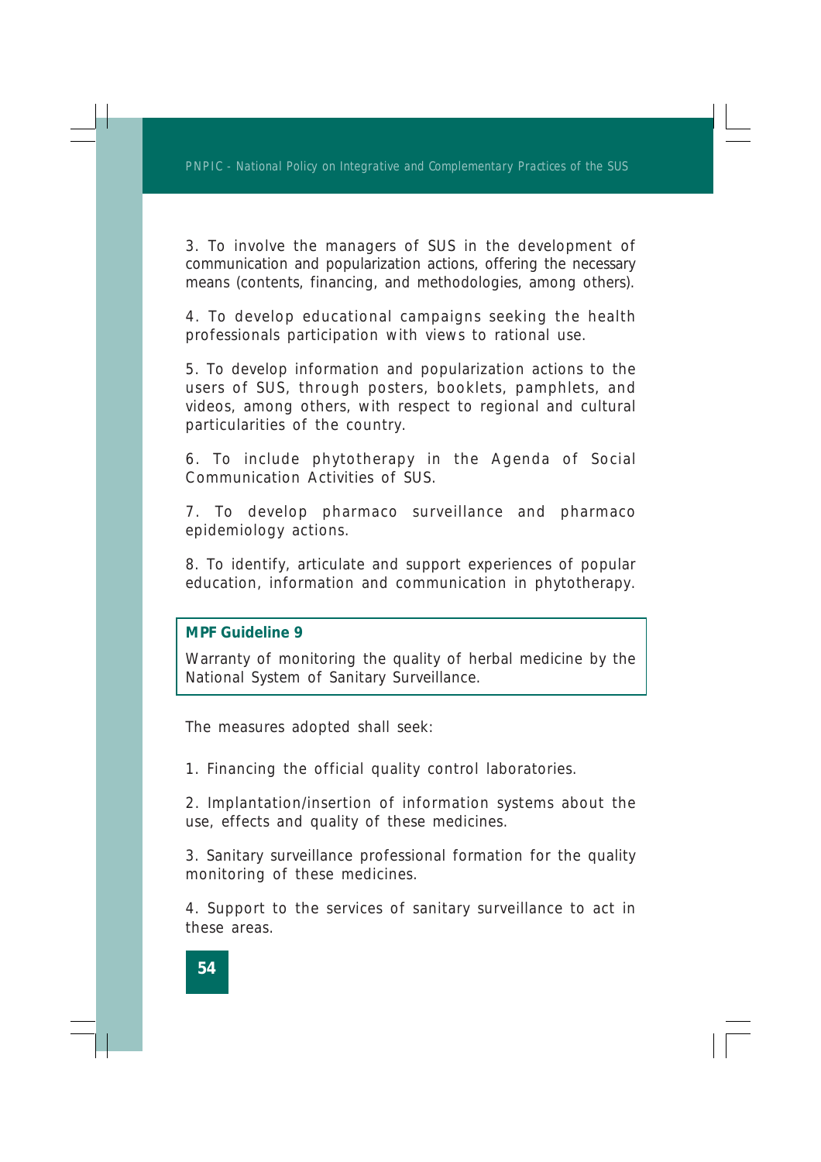3. To involve the managers of SUS in the development of communication and popularization actions, offering the necessary means (contents, financing, and methodologies, among others).

4. To develop educational campaigns seeking the health professionals participation with views to rational use.

5. To develop information and popularization actions to the users of SUS, through posters, booklets, pamphlets, and videos, among others, with respect to regional and cultural particularities of the country.

6. To include phytotherapy in the Agenda of Social Communication Activities of SUS.

7. To develop pharmaco surveillance and pharmaco epidemiology actions.

8. To identify, articulate and support experiences of popular education, information and communication in phytotherapy.

### **MPF Guideline 9**

Warranty of monitoring the quality of herbal medicine by the National System of Sanitary Surveillance.

The measures adopted shall seek:

1. Financing the official quality control laboratories.

2. Implantation/insertion of information systems about the use, effects and quality of these medicines.

3. Sanitary surveillance professional formation for the quality monitoring of these medicines.

4. Support to the services of sanitary surveillance to act in these areas.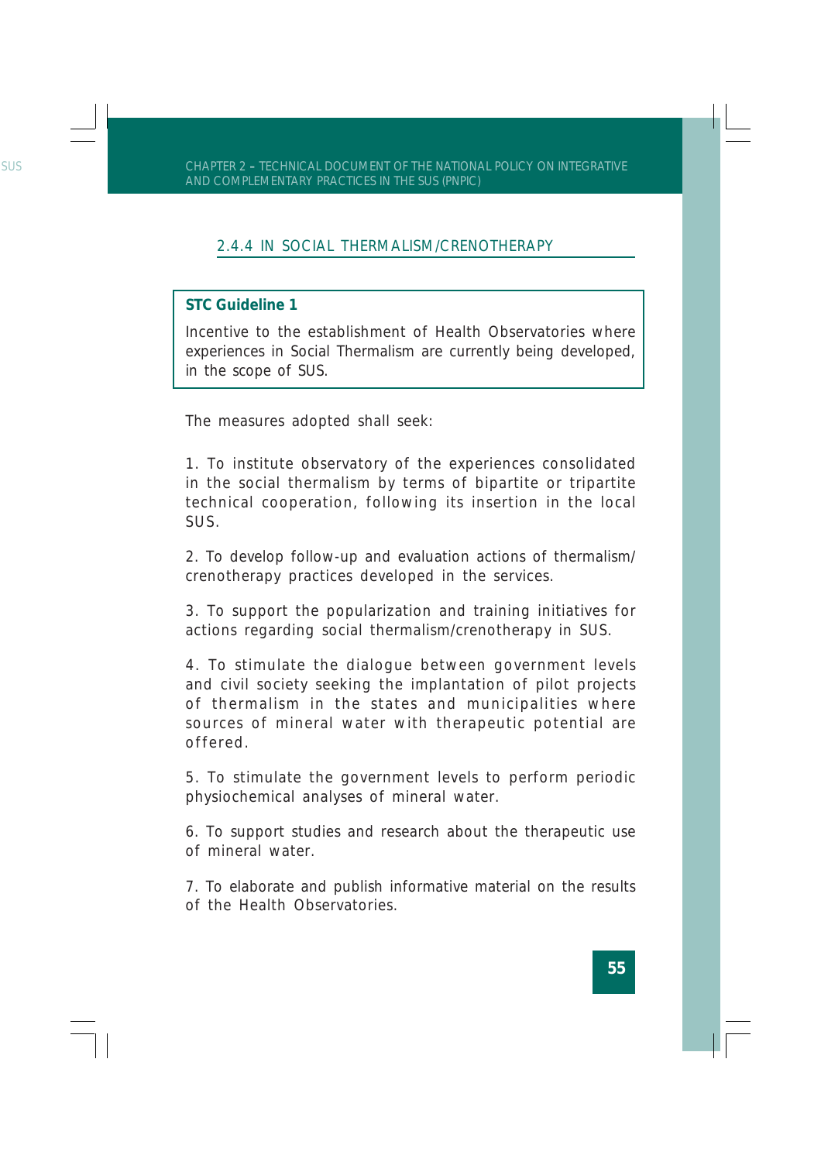#### 2.4.4 IN SOCIAL THERMALISM/CRENOTHERAPY

#### **STC Guideline 1**

Incentive to the establishment of Health Observatories where experiences in Social Thermalism are currently being developed, in the scope of SUS.

The measures adopted shall seek:

1. To institute observatory of the experiences consolidated in the social thermalism by terms of bipartite or tripartite technical cooperation, following its insertion in the local SUS.

2. To develop follow-up and evaluation actions of thermalism/ crenotherapy practices developed in the services.

3. To support the popularization and training initiatives for actions regarding social thermalism/crenotherapy in SUS.

4. To stimulate the dialogue between government levels and civil society seeking the implantation of pilot projects of thermalism in the states and municipalities where sources of mineral water with therapeutic potential are offered.

5. To stimulate the government levels to perform periodic physiochemical analyses of mineral water.

6. To support studies and research about the therapeutic use of mineral water.

7. To elaborate and publish informative material on the results of the Health Observatories.

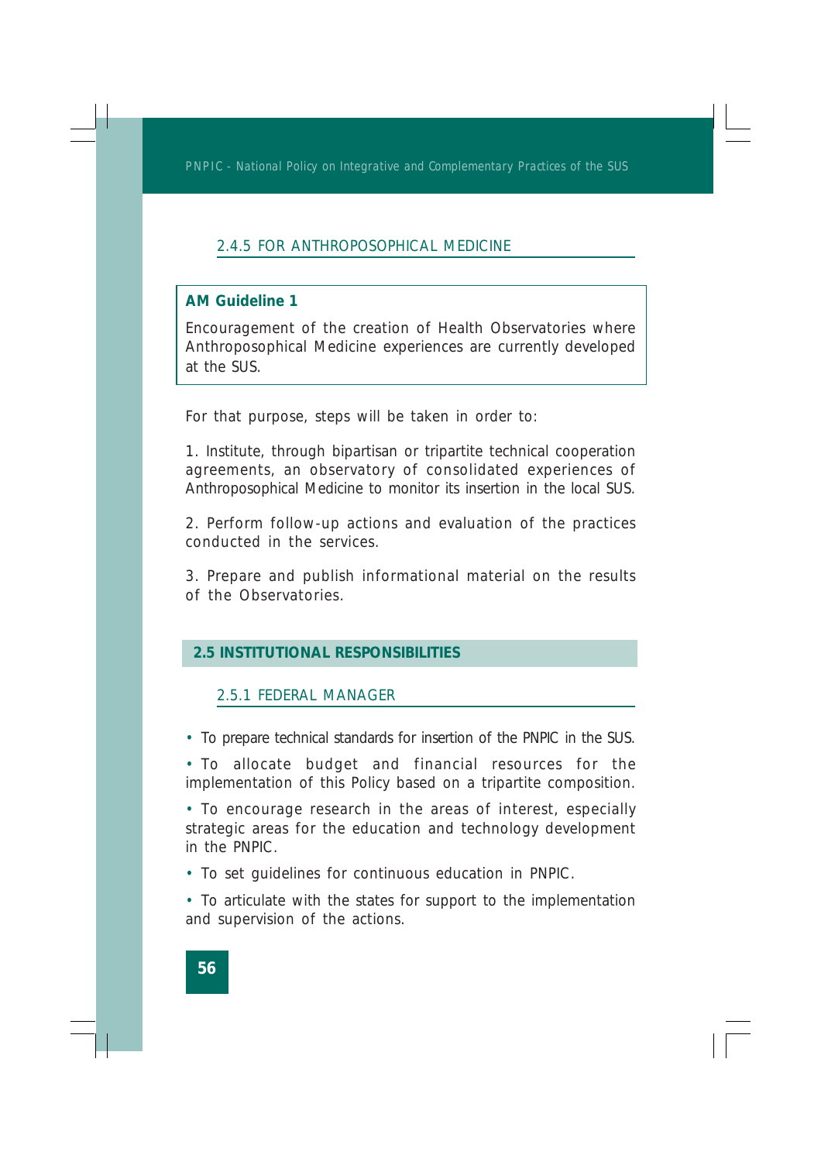## 2.4.5 FOR ANTHROPOSOPHICAL MEDICINE

### **AM Guideline 1**

Encouragement of the creation of Health Observatories where Anthroposophical Medicine experiences are currently developed at the SUS.

For that purpose, steps will be taken in order to:

1. Institute, through bipartisan or tripartite technical cooperation agreements, an observatory of consolidated experiences of Anthroposophical Medicine to monitor its insertion in the local SUS.

2. Perform follow-up actions and evaluation of the practices conducted in the services.

3. Prepare and publish informational material on the results of the Observatories.

# **2.5 INSTITUTIONAL RESPONSIBILITIES**

#### 2.5.1 FEDERAL MANAGER

• To prepare technical standards for insertion of the PNPIC in the SUS.

• To allocate budget and financial resources for the implementation of this Policy based on a tripartite composition.

• To encourage research in the areas of interest, especially strategic areas for the education and technology development in the PNPIC.

• To set guidelines for continuous education in PNPIC.

• To articulate with the states for support to the implementation and supervision of the actions.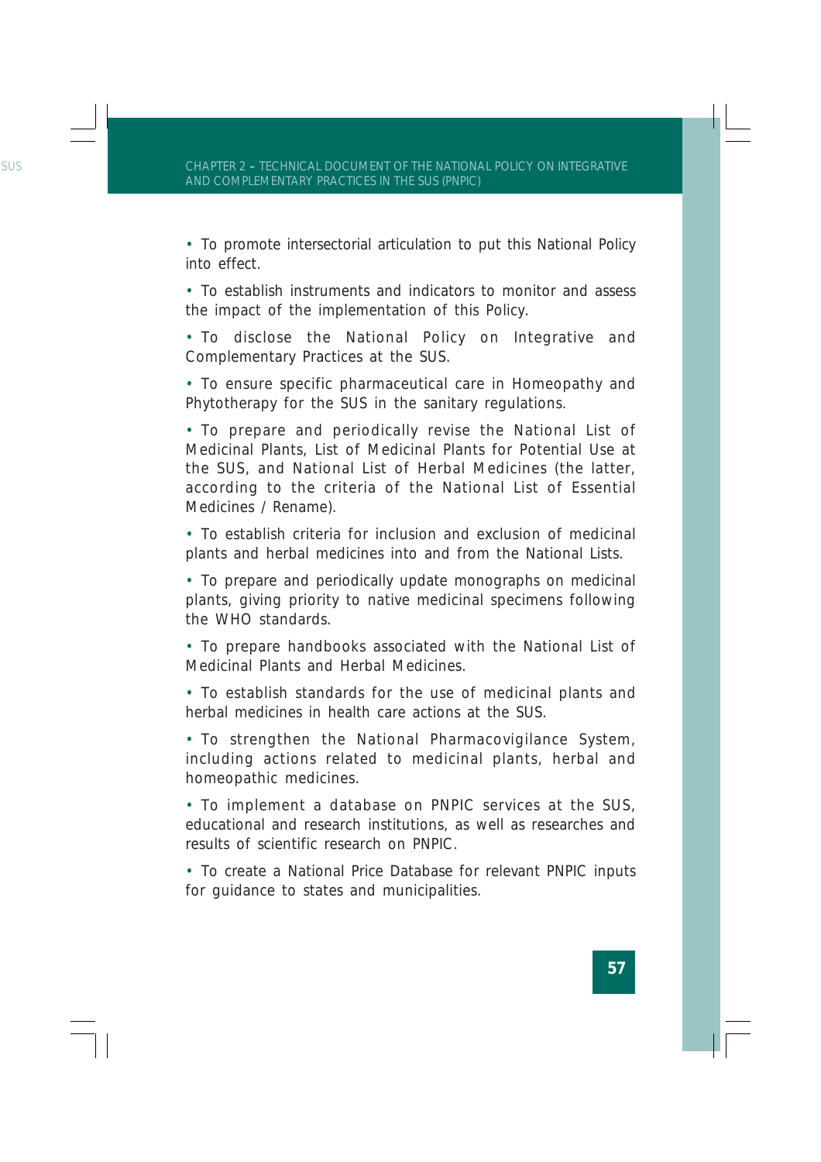> • To promote intersectorial articulation to put this National Policy into effect.

> • To establish instruments and indicators to monitor and assess the impact of the implementation of this Policy.

> • To disclose the National Policy on Integrative and Complementary Practices at the SUS.

> • To ensure specific pharmaceutical care in Homeopathy and Phytotherapy for the SUS in the sanitary regulations.

> • To prepare and periodically revise the National List of Medicinal Plants, List of Medicinal Plants for Potential Use at the SUS, and National List of Herbal Medicines (the latter, according to the criteria of the National List of Essential Medicines / Rename).

> • To establish criteria for inclusion and exclusion of medicinal plants and herbal medicines into and from the National Lists.

> • To prepare and periodically update monographs on medicinal plants, giving priority to native medicinal specimens following the WHO standards.

> • To prepare handbooks associated with the National List of Medicinal Plants and Herbal Medicines.

> • To establish standards for the use of medicinal plants and herbal medicines in health care actions at the SUS.

> • To strengthen the National Pharmacovigilance System, including actions related to medicinal plants, herbal and homeopathic medicines.

> • To implement a database on PNPIC services at the SUS, educational and research institutions, as well as researches and results of scientific research on PNPIC.

> • To create a National Price Database for relevant PNPIC inputs for guidance to states and municipalities.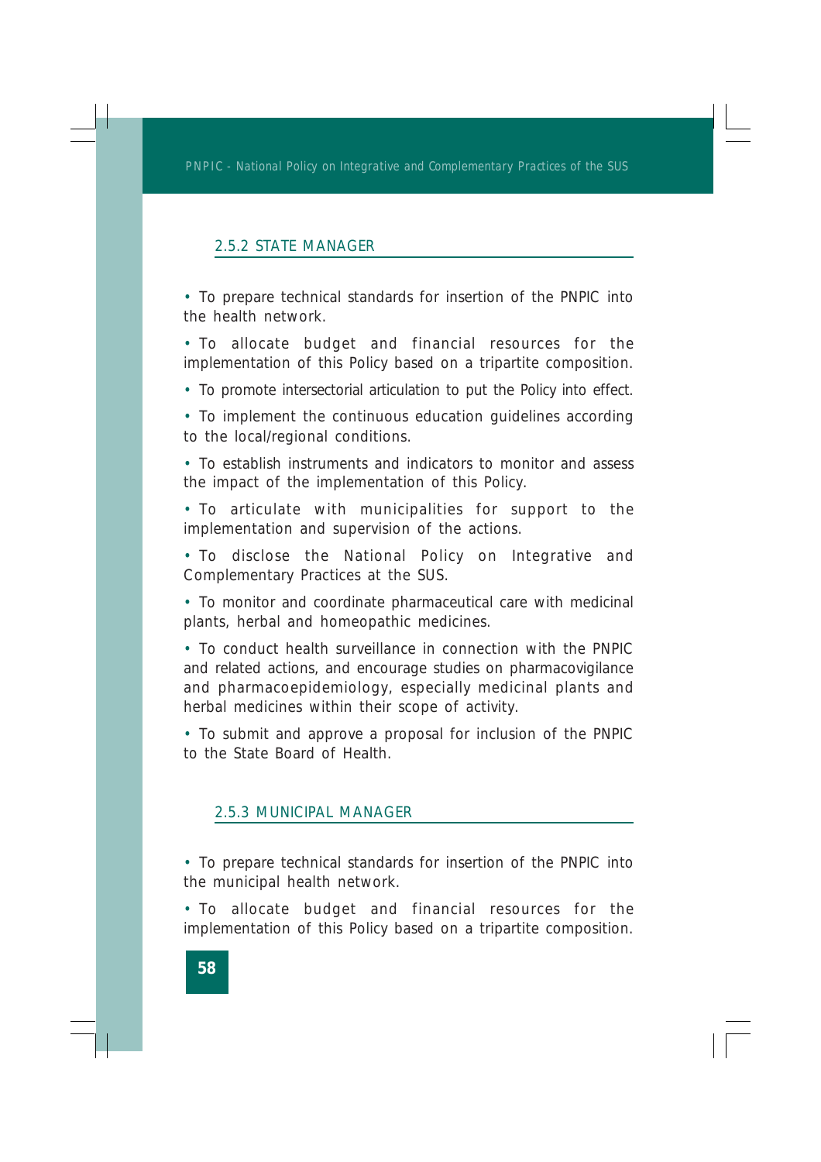#### 2.5.2 STATE MANAGER

• To prepare technical standards for insertion of the PNPIC into the health network.

• To allocate budget and financial resources for the implementation of this Policy based on a tripartite composition.

- To promote intersectorial articulation to put the Policy into effect.
- To implement the continuous education guidelines according to the local/regional conditions.

• To establish instruments and indicators to monitor and assess the impact of the implementation of this Policy.

• To articulate with municipalities for support to the implementation and supervision of the actions.

• To disclose the National Policy on Integrative and Complementary Practices at the SUS.

• To monitor and coordinate pharmaceutical care with medicinal plants, herbal and homeopathic medicines.

• To conduct health surveillance in connection with the PNPIC and related actions, and encourage studies on pharmacovigilance and pharmacoepidemiology, especially medicinal plants and herbal medicines within their scope of activity.

• To submit and approve a proposal for inclusion of the PNPIC to the State Board of Health.

2.5.3 MUNICIPAL MANAGER

• To prepare technical standards for insertion of the PNPIC into the municipal health network.

• To allocate budget and financial resources for the implementation of this Policy based on a tripartite composition.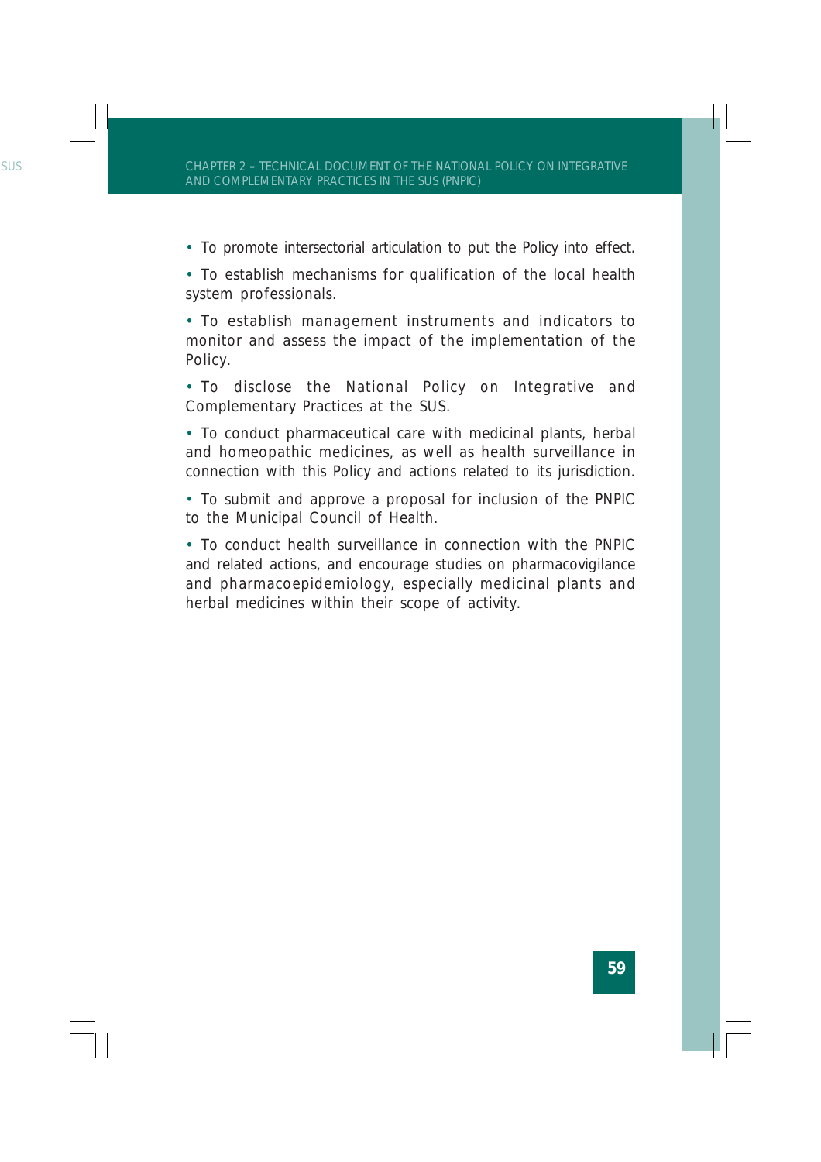• To promote intersectorial articulation to put the Policy into effect.

• To establish mechanisms for qualification of the local health system professionals.

• To establish management instruments and indicators to monitor and assess the impact of the implementation of the Policy.

• To disclose the National Policy on Integrative and Complementary Practices at the SUS.

• To conduct pharmaceutical care with medicinal plants, herbal and homeopathic medicines, as well as health surveillance in connection with this Policy and actions related to its jurisdiction.

• To submit and approve a proposal for inclusion of the PNPIC to the Municipal Council of Health.

• To conduct health surveillance in connection with the PNPIC and related actions, and encourage studies on pharmacovigilance and pharmacoepidemiology, especially medicinal plants and herbal medicines within their scope of activity.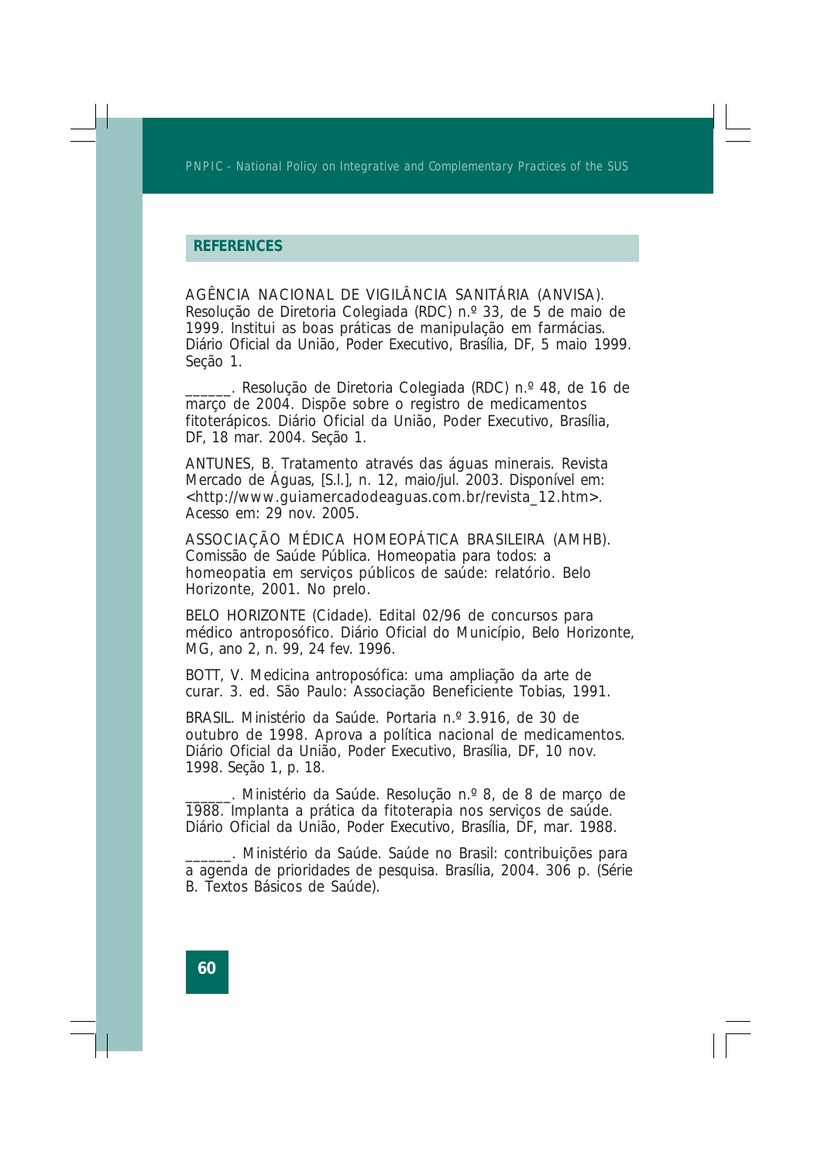### **REFERENCES**

AGÊNCIA NACIONAL DE VIGILÂNCIA SANITÁRIA (ANVISA). Resolução de Diretoria Colegiada (RDC) n.º 33, de 5 de maio de 1999. Institui as boas práticas de manipulação em farmácias. *Diário Oficial da União,* Poder Executivo*,* Brasília, DF, 5 maio 1999. Seção 1.

. Resolução de Diretoria Colegiada (RDC) n.º 48, de 16 de março de 2004. Dispõe sobre o registro de medicamentos fitoterápicos. *Diário Oficial da União,* Poder Executivo*,* Brasília, DF, 18 mar. 2004. Seção 1.

ANTUNES, B. Tratamento através das águas minerais. *Revista Mercado de Águas*, [S.l.], n. 12, maio/jul. 2003. Disponível em: <http://www.guiamercadodeaguas.com.br/revista\_12.htm>. Acesso em: 29 nov. 2005.

ASSOCIAÇÃO MÉDICA HOMEOPÁTICA BRASILEIRA (AMHB). Comissão de Saúde Pública. *Homeopatia para todos*: a homeopatia em serviços públicos de saúde: relatório. Belo Horizonte, 2001. No prelo.

BELO HORIZONTE (Cidade). Edital 02/96 de concursos para médico antroposófico. *Diário Oficial do Município*, Belo Horizonte, MG, ano 2, n. 99, 24 fev. 1996.

BOTT, V. *Medicina antroposófica*: uma ampliação da arte de curar. 3. ed. São Paulo: Associação Beneficiente Tobias, 1991.

BRASIL. Ministério da Saúde. Portaria n.º 3.916, de 30 de outubro de 1998. Aprova a política nacional de medicamentos. *Diário Oficial da União*, Poder Executivo, Brasília, DF, 10 nov. 1998. Seção 1, p. 18.

. Ministério da Saúde. Resolução n.º 8, de 8 de março de 1988. Implanta a prática da fitoterapia nos serviços de saúde. *Diário Oficial da União,* Poder Executivo*,* Brasília, DF, mar. 1988.

\_\_\_\_\_\_. Ministério da Saúde. *Saúde no Brasil:* contribuições para a agenda de prioridades de pesquisa. Brasília, 2004. 306 p. (Série B. Textos Básicos de Saúde).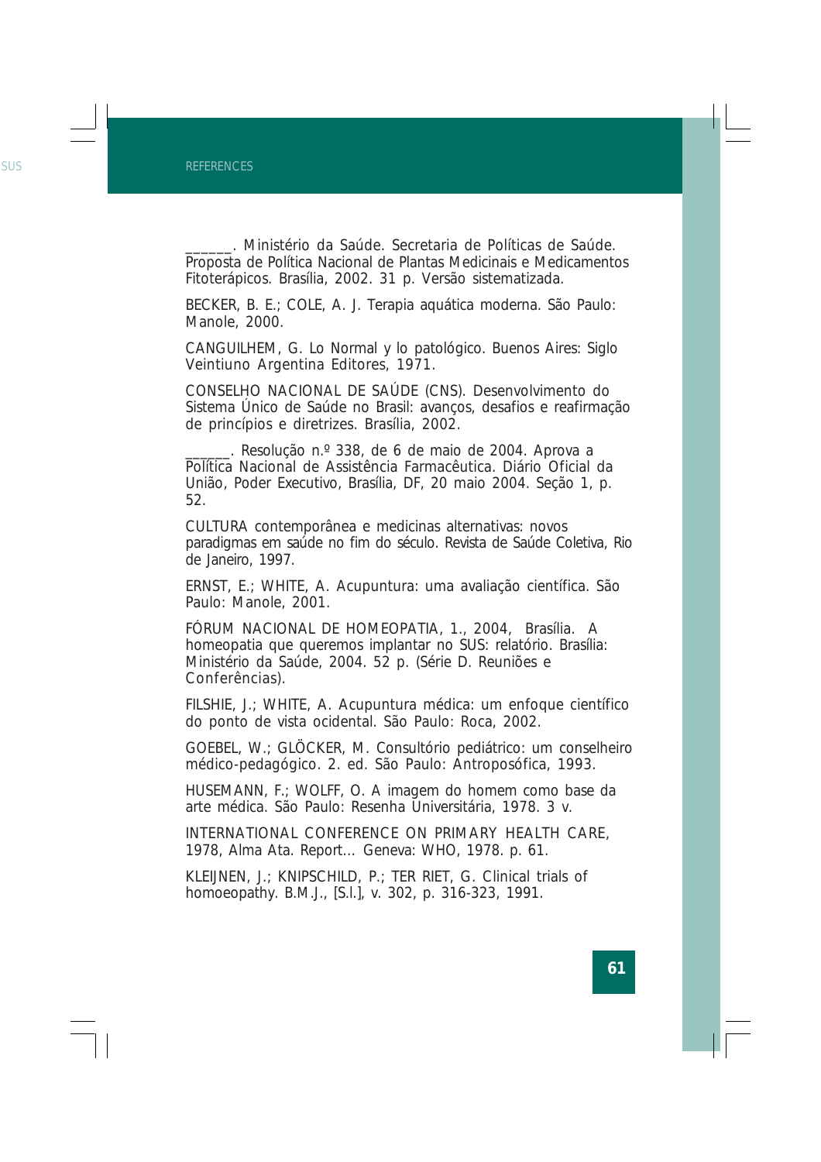\_\_\_\_\_\_. Ministério da Saúde. Secretaria de Políticas de Saúde. *Proposta de Política Nacional de Plantas Medicinais e Medicamentos Fitoterápicos.* Brasília, 2002. 31 p. Versão sistematizada.

BECKER, B. E.; COLE, A. J. *Terapia aquática moderna*. São Paulo: Manole, 2000.

CANGUILHEM, G. *Lo Normal y lo patológico.* Buenos Aires: Siglo Veintiuno Argentina Editores, 1971.

CONSELHO NACIONAL DE SAÚDE (CNS). *Desenvolvimento do Sistema Único de Saúde no Brasil:* avanços, desafios e reafirmação de princípios e diretrizes*.* Brasília, 2002.

\_\_\_\_\_\_. Resolução n.º 338, de 6 de maio de 2004. Aprova a Política Nacional de Assistência Farmacêutica. *Diário Oficial da União*, Poder Executivo, Brasília, DF, 20 maio 2004. Seção 1, p. 52.

CULTURA contemporânea e medicinas alternativas*:* novos paradigmas em saúde no fim do século. *Revista de Saúde Coletiva*, Rio de Janeiro, 1997.

ERNST, E.; WHITE, A. *Acupuntura:* uma avaliação científica. São Paulo: Manole, 2001.

FÓRUM NACIONAL DE HOMEOPATIA, 1., 2004, Brasília. *A homeopatia que queremos implantar no SUS:* relatório. Brasília: Ministério da Saúde, 2004. 52 p. (Série D. Reuniões e Conferências).

FILSHIE, J.; WHITE, A. *Acupuntura médica:* um enfoque científico do ponto de vista ocidental. São Paulo: Roca, 2002.

GOEBEL, W.; GLÖCKER, M. *Consultório pediátrico*: um conselheiro médico-pedagógico. 2. ed. São Paulo: Antroposófica, 1993.

HUSEMANN, F.; WOLFF, O. *A imagem do homem como base da arte médica.* São Paulo: Resenha Universitária, 1978. 3 v.

INTERNATIONAL CONFERENCE ON PRIMARY HEALTH CARE, 1978, Alma Ata. *Report…* Geneva: WHO, 1978. p. 61.

KLEIJNEN, J.; KNIPSCHILD, P.; TER RIET, G. Clinical trials of homoeopathy. *B.M.J.,* [S.l.], v. 302, p. 316-323, 1991.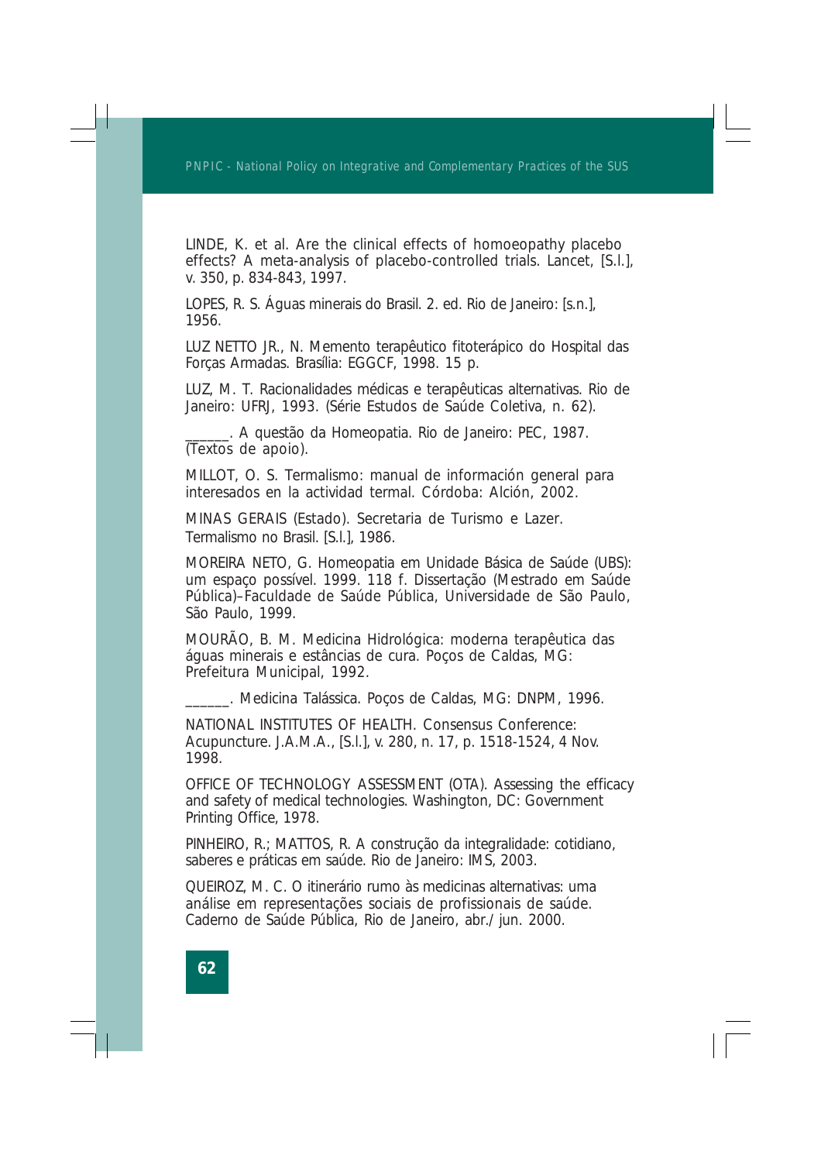LINDE, K. et al. Are the clinical effects of homoeopathy placebo effects? A meta-analysis of placebo-controlled trials. *Lancet,* [S.l.], v. 350, p. 834-843, 1997.

LOPES, R. S. *Águas minerais do Brasil*. 2. ed. Rio de Janeiro: [s.n.], 1956.

LUZ NETTO JR., N. *Memento terapêutico fitoterápico do Hospital das Forças Armadas*. Brasília: EGGCF, 1998. 15 p.

LUZ, M. T. *Racionalidades médicas e terapêuticas alternativas*. Rio de Janeiro: UFRJ, 1993. (Série Estudos de Saúde Coletiva, n. 62).

\_\_\_\_\_\_. *A questão da Homeopatia.* Rio de Janeiro: PEC, 1987. (Textos de apoio).

MILLOT, O. S. *Termalismo*: manual de información general para interesados en la actividad termal. Córdoba: Alción, 2002.

MINAS GERAIS (Estado)*.* Secretaria de Turismo e Lazer. *Termalismo no Brasil*. [S.l.], 1986.

MOREIRA NETO, G. *Homeopatia em Unidade Básica de Saúde (UBS)*: um espaço possível. 1999. 118 f. Dissertação (Mestrado em Saúde Pública)–Faculdade de Saúde Pública, Universidade de São Paulo, São Paulo, 1999.

MOURÃO, B. M. *Medicina Hidrológica*: moderna terapêutica das águas minerais e estâncias de cura. Poços de Caldas, MG: Prefeitura Municipal, 1992.

\_\_\_\_\_\_. *Medicina Talássica*. Poços de Caldas, MG: DNPM, 1996.

NATIONAL INSTITUTES OF HEALTH. Consensus Conference: Acupuncture. *J.A.M.A.*, [S.l.], v. 280, n. 17, p. 1518-1524, 4 Nov. 1998.

OFFICE OF TECHNOLOGY ASSESSMENT (OTA). *Assessing the efficacy and safety of medical technologies*. Washington, DC: Government Printing Office, 1978.

PINHEIRO, R.; MATTOS, R. *A construção da integralidade:* cotidiano, saberes e práticas em saúde. Rio de Janeiro: IMS, 2003.

QUEIROZ, M. C. O itinerário rumo às medicinas alternativas: uma análise em representações sociais de profissionais de saúde*. Caderno de Saúde Pública,* Rio de Janeiro, abr./ jun. 2000.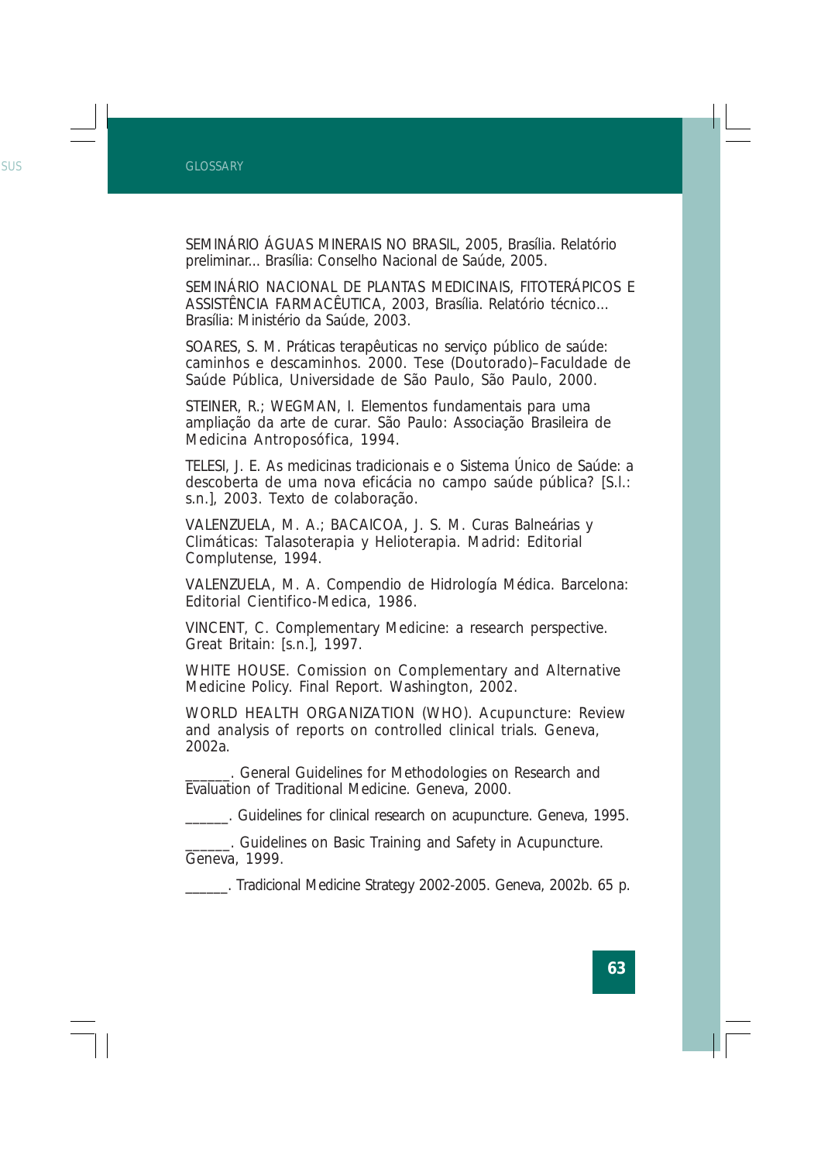GLOSSARY

SEMINÁRIO ÁGUAS MINERAIS NO BRASIL, 2005, Brasília. *Relatório preliminar...* Brasília: Conselho Nacional de Saúde, 2005.

SEMINÁRIO NACIONAL DE PLANTAS MEDICINAIS, FITOTERÁPICOS E ASSISTÊNCIA FARMACÊUTICA, 2003, Brasília. *Relatório técnico...* Brasília: Ministério da Saúde, 2003.

SOARES, S. M. *Práticas terapêuticas no serviço público de saúde*: caminhos e descaminhos. 2000. Tese (Doutorado)–Faculdade de Saúde Pública, Universidade de São Paulo, São Paulo, 2000.

STEINER, R.; WEGMAN, I. *Elementos fundamentais para uma ampliação da arte de curar*. São Paulo: Associação Brasileira de Medicina Antroposófica, 1994.

TELESI, J. E. *As medicinas tradicionais e o Sistema Único de Saúde*: a descoberta de uma nova eficácia no campo saúde pública? [S.l.: s.n.], 2003. Texto de colaboração.

VALENZUELA, M. A.; BACAICOA, J. S. M. *Curas Balneárias y Climáticas*: Talasoterapia y Helioterapia. Madrid: Editorial Complutense, 1994.

VALENZUELA, M. A. *Compendio de Hidrología Médica.* Barcelona: Editorial Cientifico-Medica, 1986.

VINCENT, C. *Complementary Medicine:* a research perspective*.* Great Britain: [s.n.], 1997.

WHITE HOUSE. Comission on Complementary and Alternative Medicine Policy. *Final Report.* Washington, 2002.

WORLD HEALTH ORGANIZATION (WHO). *Acupuncture:* Review and analysis of reports on controlled clinical trials. Geneva, 2002a.

\_\_\_\_\_\_. *General Guidelines for Methodologies on Research and Evaluation of Traditional Medicine.* Geneva, 2000.

\_\_\_\_\_\_. *Guidelines for clinical research on acupuncture*. Geneva, 1995.

\_\_\_\_\_\_. *Guidelines on Basic Training and Safety in Acupuncture.* Geneva, 1999.

\_\_\_\_\_\_. *Tradicional Medicine Strategy 2002-2005*. Geneva, 2002b. 65 p.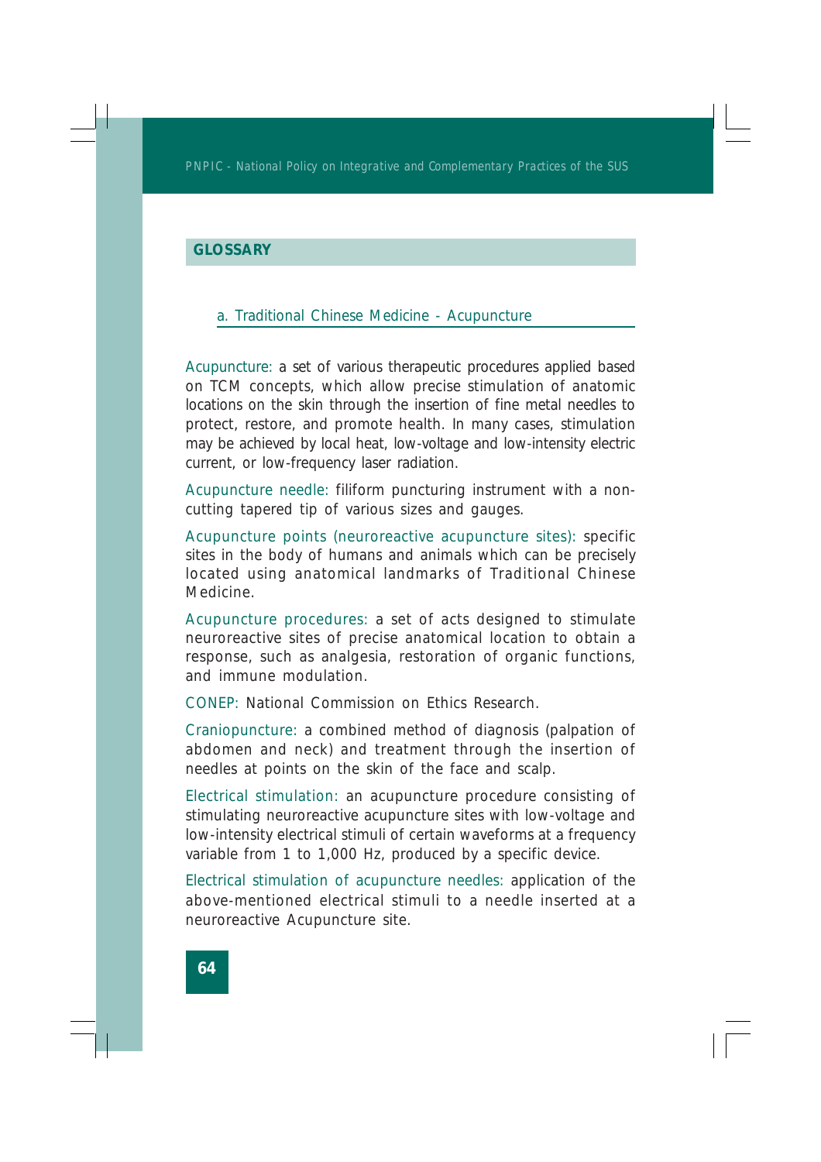## **GLOSSARY**

### a. Traditional Chinese Medicine - Acupuncture

Acupuncture: a set of various therapeutic procedures applied based on TCM concepts, which allow precise stimulation of anatomic locations on the skin through the insertion of fine metal needles to protect, restore, and promote health. In many cases, stimulation may be achieved by local heat, low-voltage and low-intensity electric current, or low-frequency laser radiation.

Acupuncture needle: filiform puncturing instrument with a noncutting tapered tip of various sizes and gauges.

Acupuncture points (neuroreactive acupuncture sites): specific sites in the body of humans and animals which can be precisely located using anatomical landmarks of Traditional Chinese Medicine.

Acupuncture procedures: a set of acts designed to stimulate neuroreactive sites of precise anatomical location to obtain a response, such as analgesia, restoration of organic functions, and immune modulation.

CONEP: National Commission on Ethics Research.

Craniopuncture: a combined method of diagnosis (palpation of abdomen and neck) and treatment through the insertion of needles at points on the skin of the face and scalp.

Electrical stimulation: an acupuncture procedure consisting of stimulating neuroreactive acupuncture sites with low-voltage and low-intensity electrical stimuli of certain waveforms at a frequency variable from 1 to 1,000 Hz, produced by a specific device.

Electrical stimulation of acupuncture needles: application of the above-mentioned electrical stimuli to a needle inserted at a neuroreactive Acupuncture site.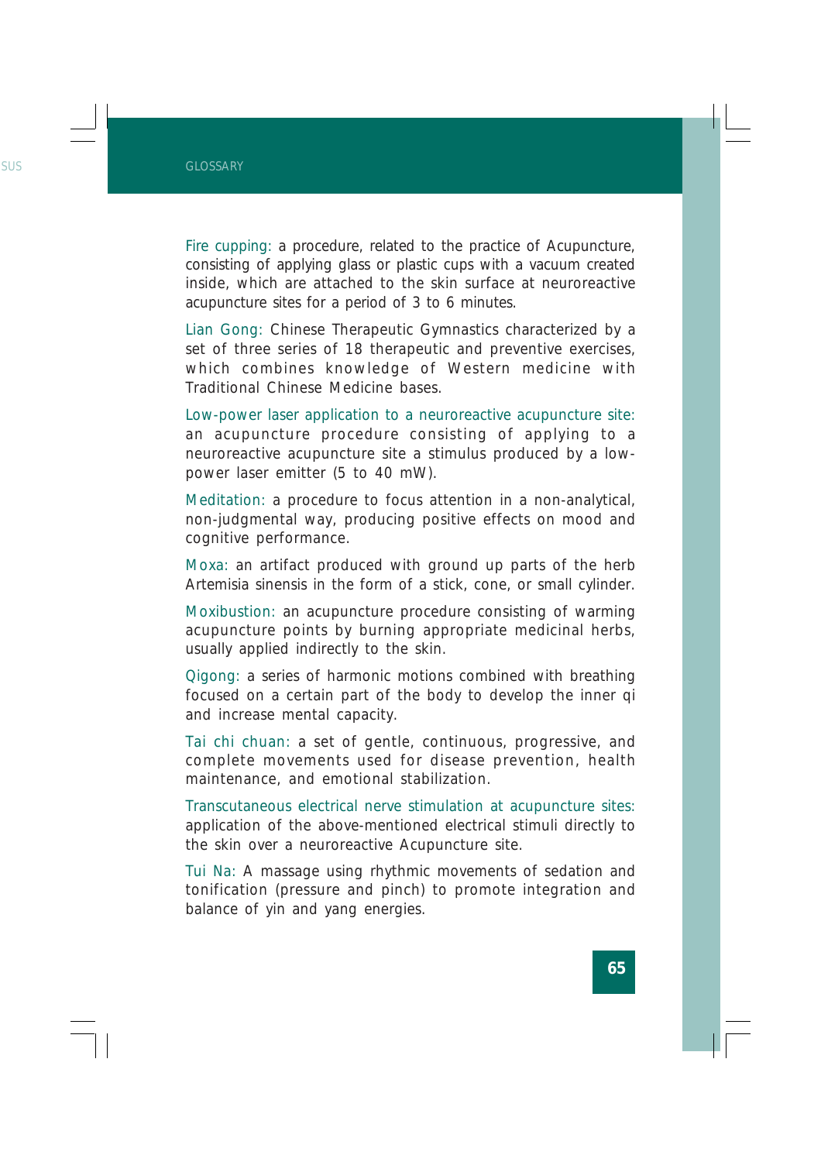SUS GLOSSARY

Fire cupping: a procedure, related to the practice of Acupuncture, consisting of applying glass or plastic cups with a vacuum created inside, which are attached to the skin surface at neuroreactive acupuncture sites for a period of 3 to 6 minutes.

Lian Gong: Chinese Therapeutic Gymnastics characterized by a set of three series of 18 therapeutic and preventive exercises, which combines knowledge of Western medicine with Traditional Chinese Medicine bases.

Low-power laser application to a neuroreactive acupuncture site: an acupuncture procedure consisting of applying to a neuroreactive acupuncture site a stimulus produced by a lowpower laser emitter (5 to 40 mW).

Meditation: a procedure to focus attention in a non-analytical, non-judgmental way, producing positive effects on mood and cognitive performance.

Moxa: an artifact produced with ground up parts of the herb Artemisia sinensis in the form of a stick, cone, or small cylinder.

Moxibustion: an acupuncture procedure consisting of warming acupuncture points by burning appropriate medicinal herbs, usually applied indirectly to the skin.

Qigong: a series of harmonic motions combined with breathing focused on a certain part of the body to develop the inner qi and increase mental capacity.

Tai chi chuan: a set of gentle, continuous, progressive, and complete movements used for disease prevention, health maintenance, and emotional stabilization.

Transcutaneous electrical nerve stimulation at acupuncture sites: application of the above-mentioned electrical stimuli directly to the skin over a neuroreactive Acupuncture site.

Tui Na: A massage using rhythmic movements of sedation and tonification (pressure and pinch) to promote integration and balance of yin and yang energies.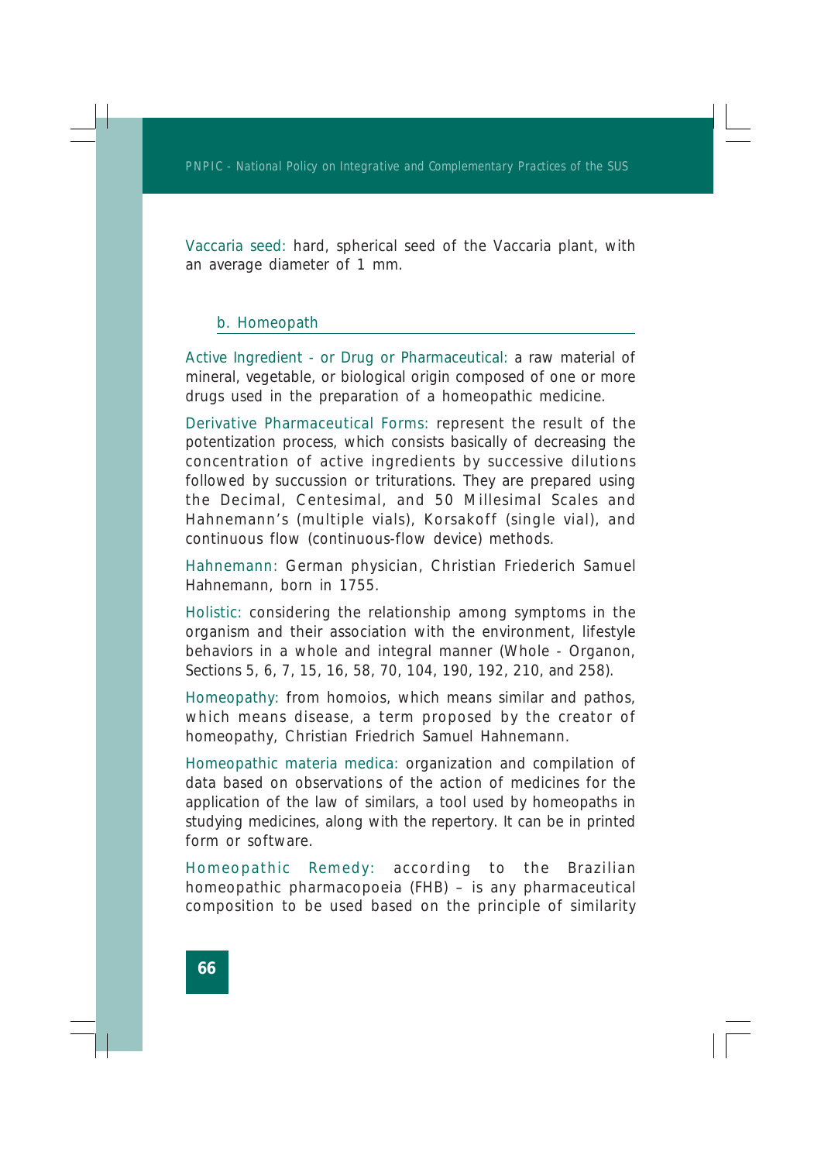Vaccaria seed: hard, spherical seed of the Vaccaria plant, with an average diameter of 1 mm.

#### b. Homeopath

Active Ingredient - or Drug or Pharmaceutical: a raw material of mineral, vegetable, or biological origin composed of one or more drugs used in the preparation of a homeopathic medicine.

Derivative Pharmaceutical Forms: represent the result of the potentization process, which consists basically of decreasing the concentration of active ingredients by successive dilutions followed by succussion or triturations. They are prepared using the Decimal, Centesimal, and 50 Millesimal Scales and Hahnemann's (multiple vials), Korsakoff (single vial), and continuous flow (continuous-flow device) methods.

Hahnemann: German physician, Christian Friederich Samuel Hahnemann, born in 1755.

Holistic: considering the relationship among symptoms in the organism and their association with the environment, lifestyle behaviors in a whole and integral manner (Whole - Organon, Sections 5, 6, 7, 15, 16, 58, 70, 104, 190, 192, 210, and 258).

Homeopathy: from homoios, which means similar and pathos, which means disease, a term proposed by the creator of homeopathy, Christian Friedrich Samuel Hahnemann.

Homeopathic materia medica: organization and compilation of data based on observations of the action of medicines for the application of the law of similars, a tool used by homeopaths in studying medicines, along with the repertory. It can be in printed form or software.

Homeopathic Remedy: according to the Brazilian homeopathic pharmacopoeia (FHB) – is any pharmaceutical composition to be used based on the principle of similarity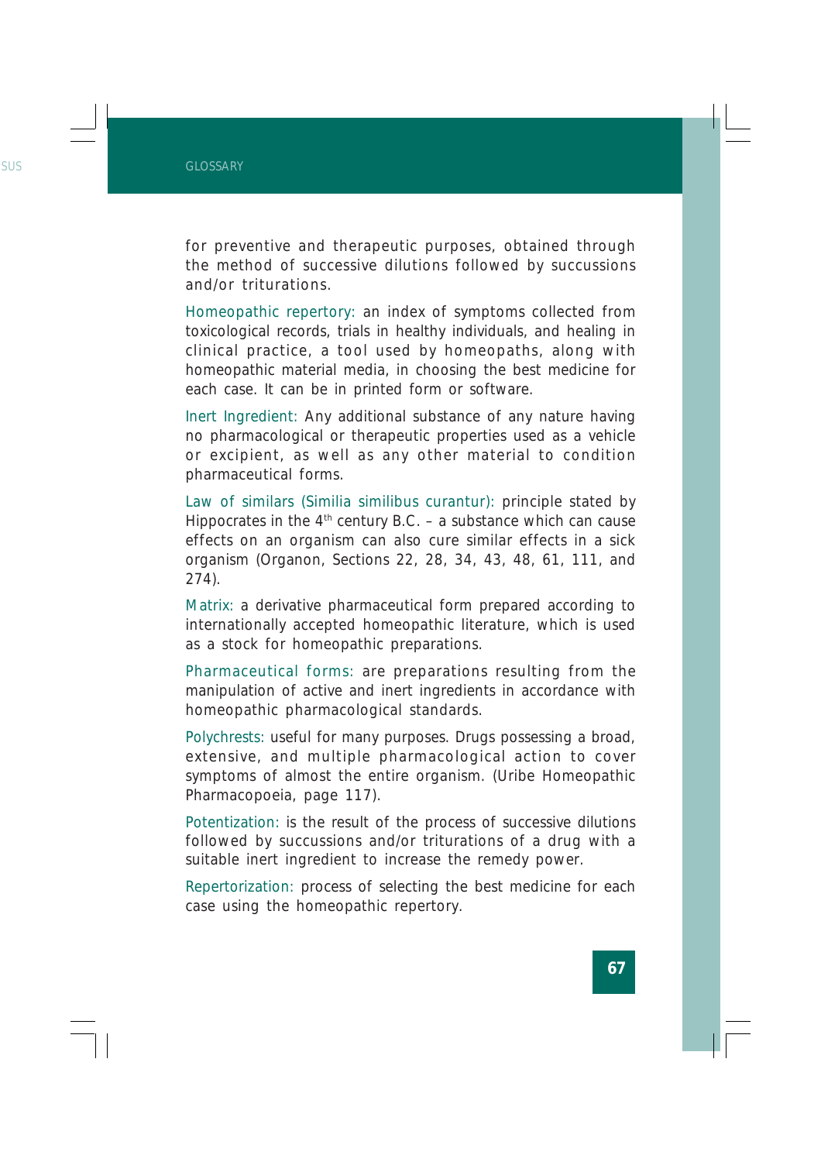SUS GLOSSARY

for preventive and therapeutic purposes, obtained through the method of successive dilutions followed by succussions and/or triturations.

Homeopathic repertory: an index of symptoms collected from toxicological records, trials in healthy individuals, and healing in clinical practice, a tool used by homeopaths, along with homeopathic material media, in choosing the best medicine for each case. It can be in printed form or software.

Inert Ingredient: Any additional substance of any nature having no pharmacological or therapeutic properties used as a vehicle or excipient, as well as any other material to condition pharmaceutical forms.

Law of similars (Similia similibus curantur): principle stated by Hippocrates in the  $4<sup>th</sup>$  century B.C. – a substance which can cause effects on an organism can also cure similar effects in a sick organism (Organon, Sections 22, 28, 34, 43, 48, 61, 111, and 274).

Matrix: a derivative pharmaceutical form prepared according to internationally accepted homeopathic literature, which is used as a stock for homeopathic preparations.

Pharmaceutical forms: are preparations resulting from the manipulation of active and inert ingredients in accordance with homeopathic pharmacological standards.

Polychrests: useful for many purposes. Drugs possessing a broad, extensive, and multiple pharmacological action to cover symptoms of almost the entire organism. (Uribe Homeopathic Pharmacopoeia, page 117).

Potentization: is the result of the process of successive dilutions followed by succussions and/or triturations of a drug with a suitable inert ingredient to increase the remedy power.

Repertorization: process of selecting the best medicine for each case using the homeopathic repertory.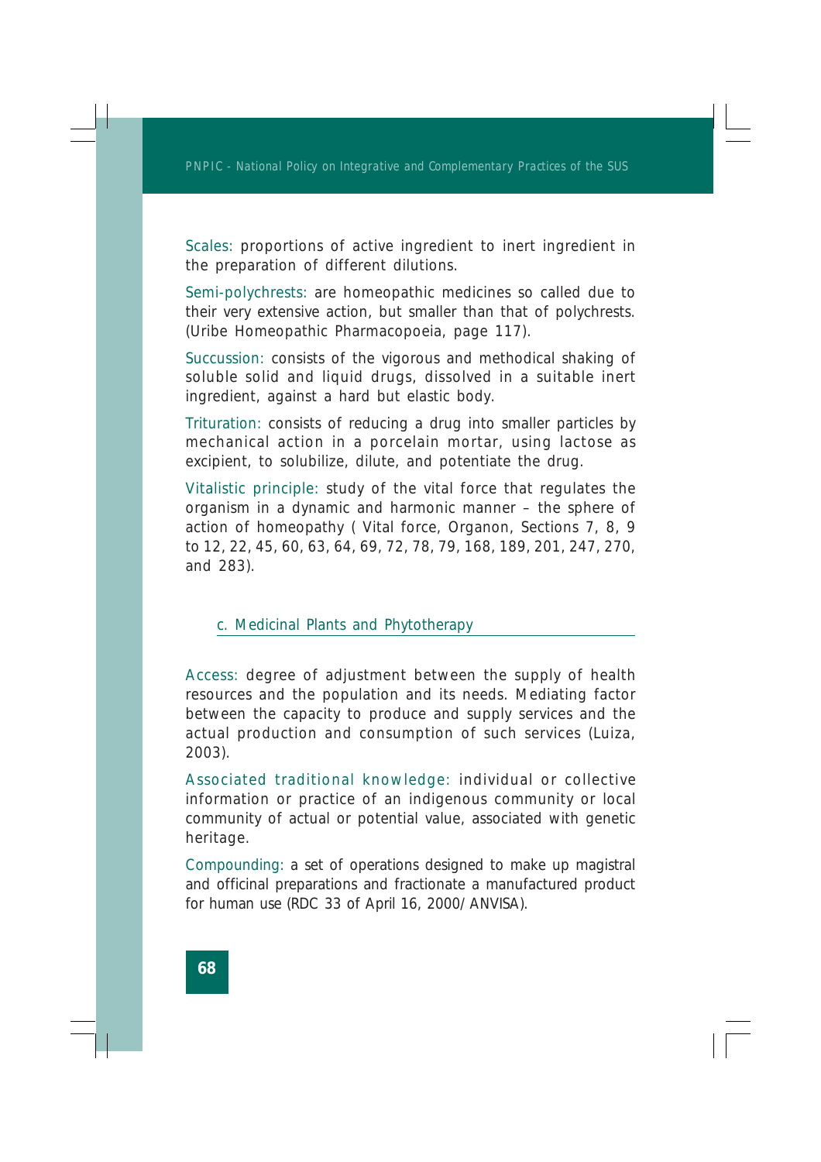Scales: proportions of active ingredient to inert ingredient in the preparation of different dilutions.

Semi-polychrests: are homeopathic medicines so called due to their very extensive action, but smaller than that of polychrests. (Uribe Homeopathic Pharmacopoeia, page 117).

Succussion: consists of the vigorous and methodical shaking of soluble solid and liquid drugs, dissolved in a suitable inert ingredient, against a hard but elastic body.

Trituration: consists of reducing a drug into smaller particles by mechanical action in a porcelain mortar, using lactose as excipient, to solubilize, dilute, and potentiate the drug.

Vitalistic principle: study of the vital force that regulates the organism in a dynamic and harmonic manner – the sphere of action of homeopathy ( Vital force, Organon, Sections 7, 8, 9 to 12, 22, 45, 60, 63, 64, 69, 72, 78, 79, 168, 189, 201, 247, 270, and 283).

# c. Medicinal Plants and Phytotherapy

Access: degree of adjustment between the supply of health resources and the population and its needs. Mediating factor between the capacity to produce and supply services and the actual production and consumption of such services (Luiza, 2003).

Associated traditional knowledge: individual or collective information or practice of an indigenous community or local community of actual or potential value, associated with genetic heritage.

Compounding: a set of operations designed to make up magistral and officinal preparations and fractionate a manufactured product for human use (RDC 33 of April 16, 2000/ ANVISA).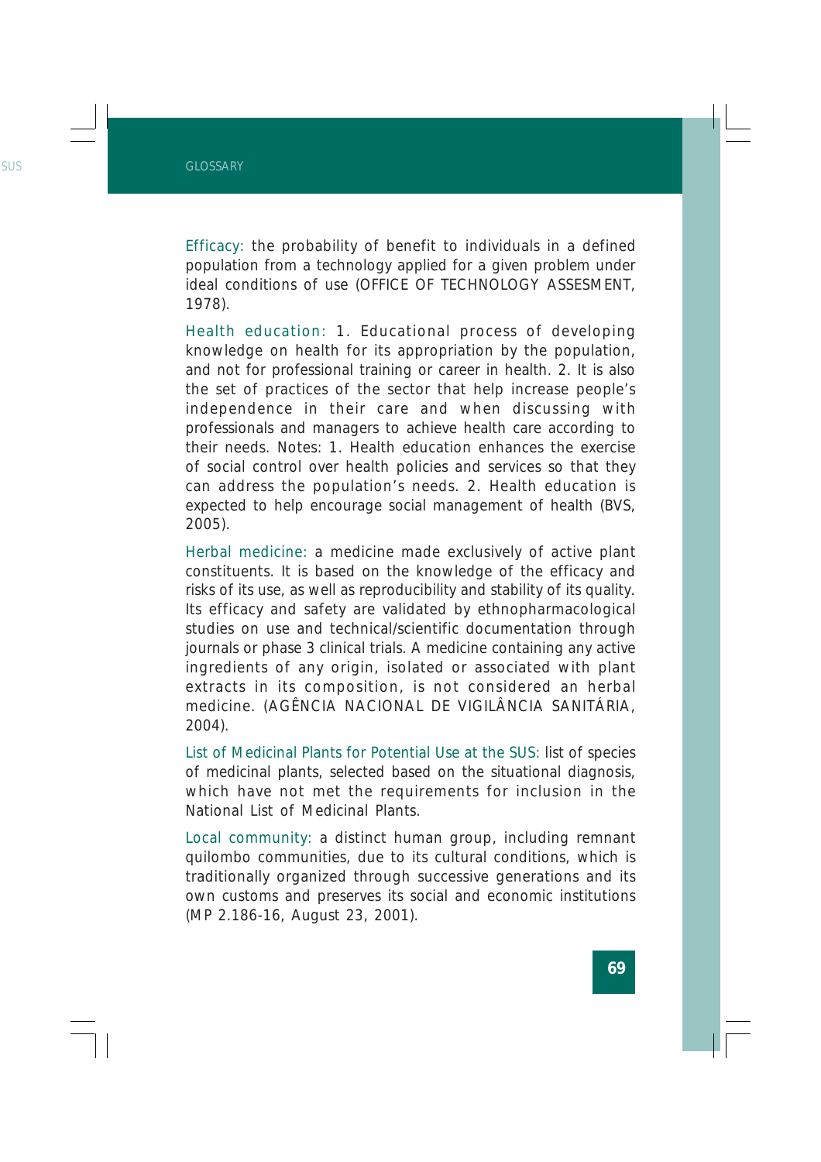SUS GLOSSARY

Efficacy: the probability of benefit to individuals in a defined population from a technology applied for a given problem under ideal conditions of use (OFFICE OF TECHNOLOGY ASSESMENT, 1978).

Health education: 1. Educational process of developing knowledge on health for its appropriation by the population, and not for professional training or career in health. 2. It is also the set of practices of the sector that help increase people's independence in their care and when discussing with professionals and managers to achieve health care according to their needs. Notes: 1. Health education enhances the exercise of social control over health policies and services so that they can address the population's needs. 2. Health education is expected to help encourage social management of health (BVS, 2005).

Herbal medicine: a medicine made exclusively of active plant constituents. It is based on the knowledge of the efficacy and risks of its use, as well as reproducibility and stability of its quality. Its efficacy and safety are validated by ethnopharmacological studies on use and technical/scientific documentation through journals or phase 3 clinical trials. A medicine containing any active ingredients of any origin, isolated or associated with plant extracts in its composition, is not considered an herbal medicine. (AGÊNCIA NACIONAL DE VIGILÂNCIA SANITÁRIA, 2004).

List of Medicinal Plants for Potential Use at the SUS: list of species of medicinal plants, selected based on the situational diagnosis, which have not met the requirements for inclusion in the National List of Medicinal Plants.

Local community: a distinct human group, including remnant quilombo communities, due to its cultural conditions, which is traditionally organized through successive generations and its own customs and preserves its social and economic institutions (MP 2.186-16, August 23, 2001).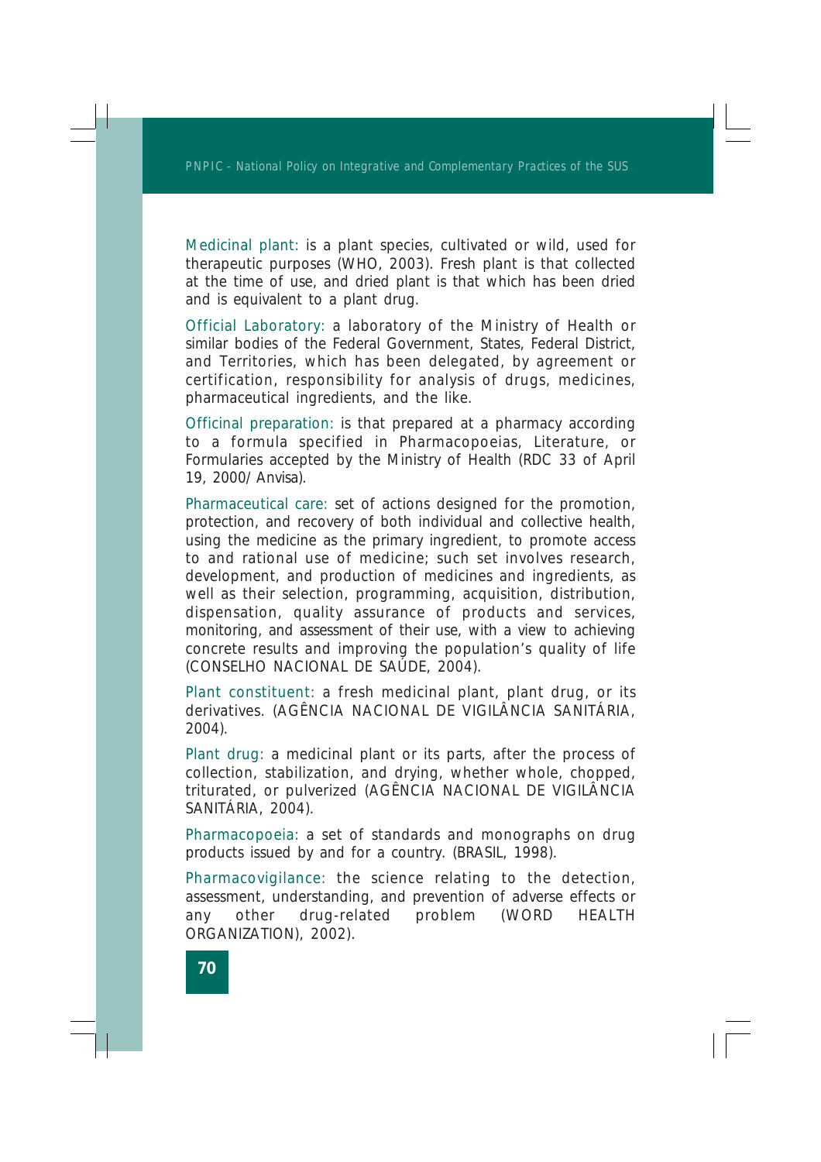Medicinal plant: is a plant species, cultivated or wild, used for therapeutic purposes (WHO, 2003). Fresh plant is that collected at the time of use, and dried plant is that which has been dried and is equivalent to a plant drug.

Official Laboratory: a laboratory of the Ministry of Health or similar bodies of the Federal Government, States, Federal District, and Territories, which has been delegated, by agreement or certification, responsibility for analysis of drugs, medicines, pharmaceutical ingredients, and the like.

Officinal preparation: is that prepared at a pharmacy according to a formula specified in Pharmacopoeias, Literature, or Formularies accepted by the Ministry of Health (RDC 33 of April 19, 2000/ Anvisa).

Pharmaceutical care: set of actions designed for the promotion, protection, and recovery of both individual and collective health, using the medicine as the primary ingredient, to promote access to and rational use of medicine; such set involves research, development, and production of medicines and ingredients, as well as their selection, programming, acquisition, distribution, dispensation, quality assurance of products and services, monitoring, and assessment of their use, with a view to achieving concrete results and improving the population's quality of life (CONSELHO NACIONAL DE SAÚDE, 2004).

Plant constituent: a fresh medicinal plant, plant drug, or its derivatives. (AGÊNCIA NACIONAL DE VIGILÂNCIA SANITÁRIA, 2004).

Plant drug: a medicinal plant or its parts, after the process of collection, stabilization, and drying, whether whole, chopped, triturated, or pulverized (AGÊNCIA NACIONAL DE VIGILÂNCIA SANITÁRIA, 2004).

Pharmacopoeia: a set of standards and monographs on drug products issued by and for a country. (BRASIL, 1998).

Pharmacovigilance: the science relating to the detection, assessment, understanding, and prevention of adverse effects or any other drug-related problem (WORD HEALTH ORGANIZATION), 2002).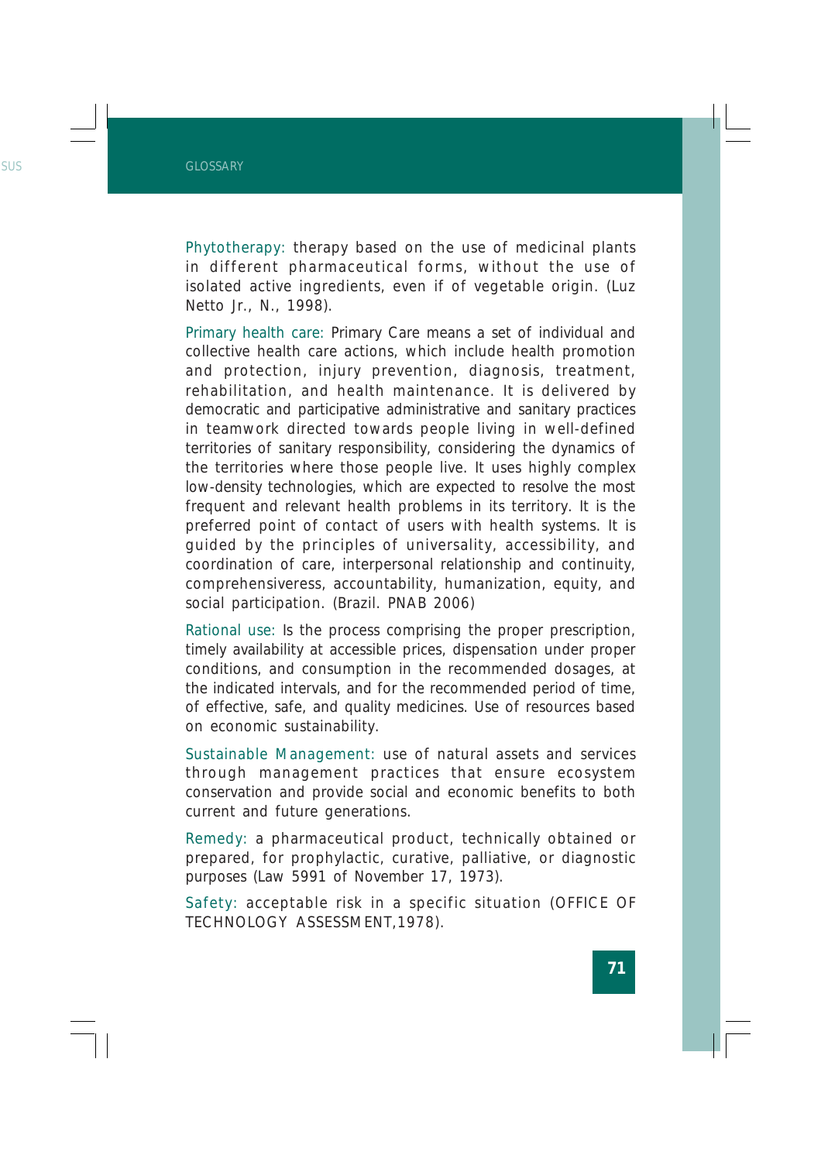SUS GLOSSARY

Phytotherapy: therapy based on the use of medicinal plants in different pharmaceutical forms, without the use of isolated active ingredients, even if of vegetable origin. (Luz Netto Jr., N., 1998).

Primary health care: Primary Care means a set of individual and collective health care actions, which include health promotion and protection, injury prevention, diagnosis, treatment, rehabilitation, and health maintenance. It is delivered by democratic and participative administrative and sanitary practices in teamwork directed towards people living in well-defined territories of sanitary responsibility, considering the dynamics of the territories where those people live. It uses highly complex low-density technologies, which are expected to resolve the most frequent and relevant health problems in its territory. It is the preferred point of contact of users with health systems. It is guided by the principles of universality, accessibility, and coordination of care, interpersonal relationship and continuity, comprehensiveress, accountability, humanization, equity, and social participation. (Brazil. PNAB 2006)

Rational use: Is the process comprising the proper prescription, timely availability at accessible prices, dispensation under proper conditions, and consumption in the recommended dosages, at the indicated intervals, and for the recommended period of time, of effective, safe, and quality medicines. Use of resources based on economic sustainability.

Sustainable Management: use of natural assets and services through management practices that ensure ecosystem conservation and provide social and economic benefits to both current and future generations.

Remedy: a pharmaceutical product, technically obtained or prepared, for prophylactic, curative, palliative, or diagnostic purposes (Law 5991 of November 17, 1973).

Safety: acceptable risk in a specific situation (OFFICE OF TECHNOLOGY ASSESSMENT,1978).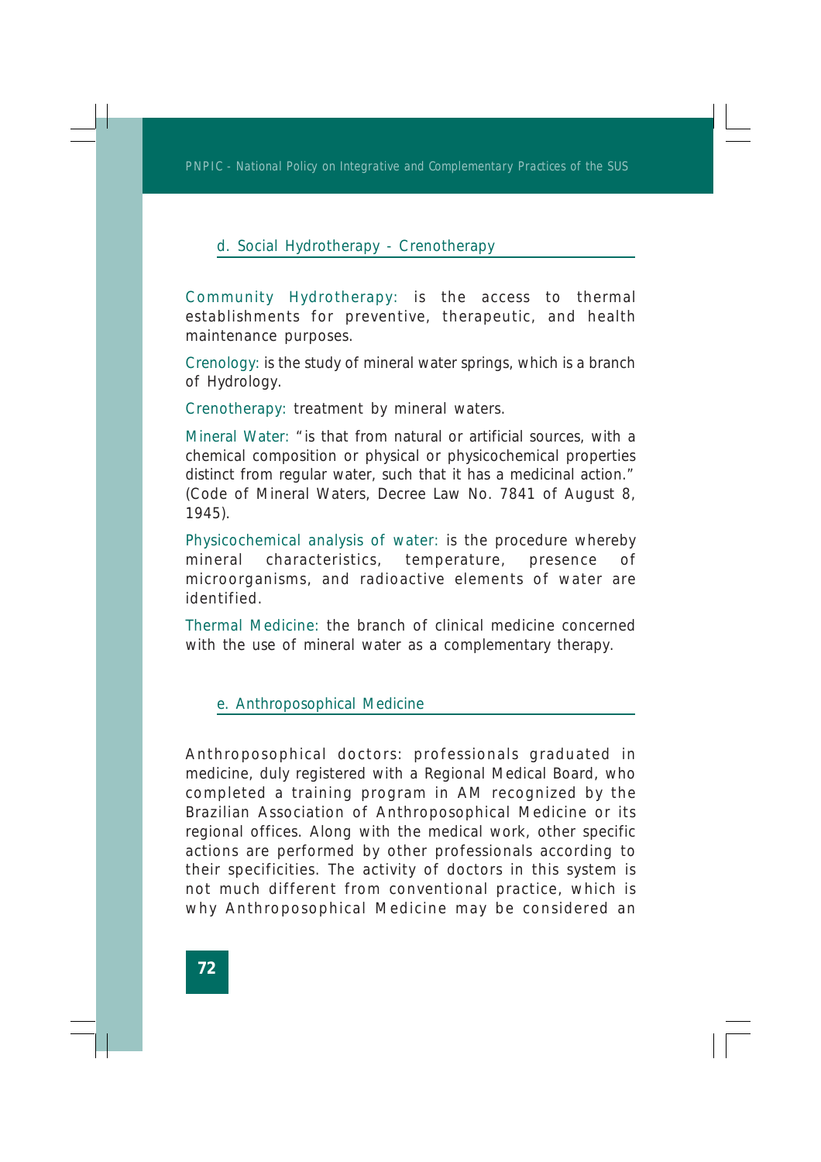#### d. Social Hydrotherapy - Crenotherapy

Community Hydrotherapy: is the access to thermal establishments for preventive, therapeutic, and health maintenance purposes.

Crenology: is the study of mineral water springs, which is a branch of Hydrology.

Crenotherapy: treatment by mineral waters.

Mineral Water: "is that from natural or artificial sources, with a chemical composition or physical or physicochemical properties distinct from regular water, such that it has a medicinal action." (Code of Mineral Waters, Decree Law No. 7841 of August 8, 1945).

Physicochemical analysis of water: is the procedure whereby mineral characteristics, temperature, presence of microorganisms, and radioactive elements of water are identified.

Thermal Medicine: the branch of clinical medicine concerned with the use of mineral water as a complementary therapy.

# e. Anthroposophical Medicine

Anthroposophical doctors: professionals graduated in medicine, duly registered with a Regional Medical Board, who completed a training program in AM recognized by the Brazilian Association of Anthroposophical Medicine or its regional offices. Along with the medical work, other specific actions are performed by other professionals according to their specificities. The activity of doctors in this system is not much different from conventional practice, which is why Anthroposophical Medicine may be considered an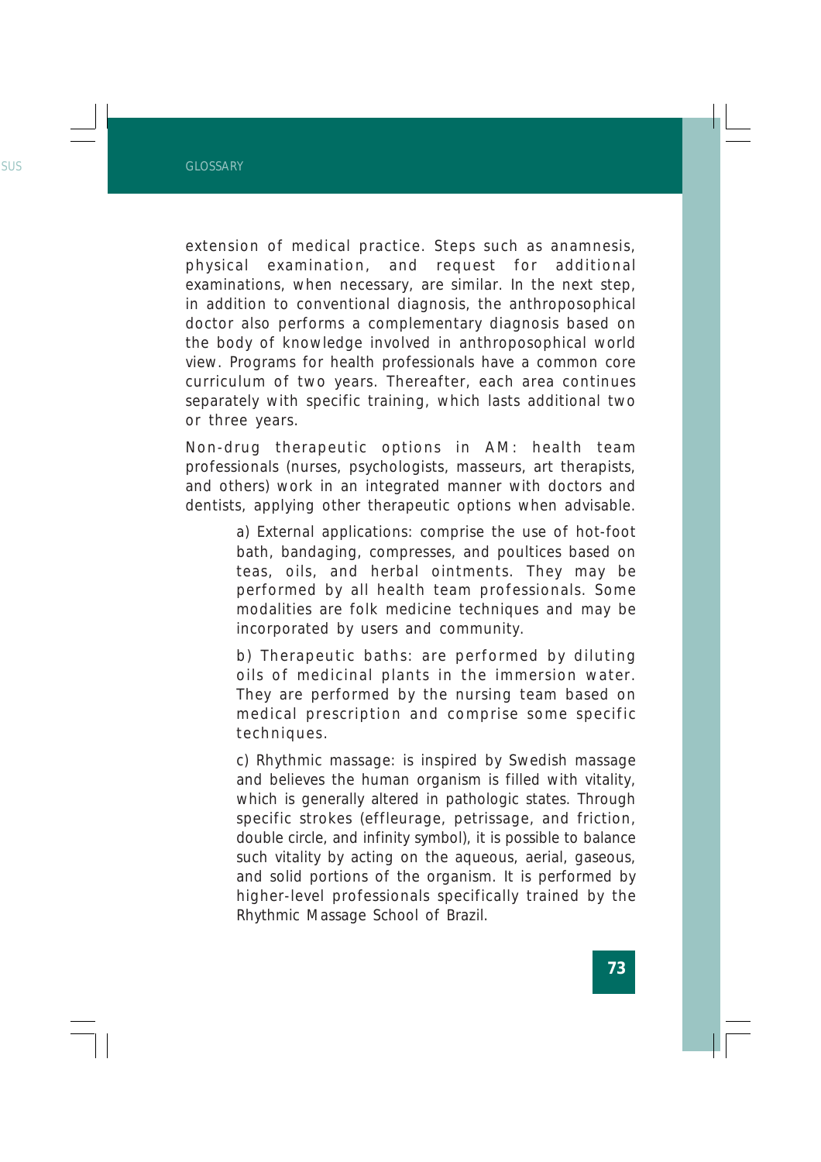SUS GLOSSARY

extension of medical practice. Steps such as anamnesis, physical examination, and request for additional examinations, when necessary, are similar. In the next step, in addition to conventional diagnosis, the anthroposophical doctor also performs a complementary diagnosis based on the body of knowledge involved in anthroposophical world view. Programs for health professionals have a common core curriculum of two years. Thereafter, each area continues separately with specific training, which lasts additional two or three years.

Non-drug therapeutic options in AM: health team professionals (nurses, psychologists, masseurs, art therapists, and others) work in an integrated manner with doctors and dentists, applying other therapeutic options when advisable.

> a) External applications: comprise the use of hot-foot bath, bandaging, compresses, and poultices based on teas, oils, and herbal ointments. They may be performed by all health team professionals. Some modalities are folk medicine techniques and may be incorporated by users and community.

> b) Therapeutic baths: are performed by diluting oils of medicinal plants in the immersion water. They are performed by the nursing team based on medical prescription and comprise some specific techniques.

> c) Rhythmic massage: is inspired by Swedish massage and believes the human organism is filled with vitality, which is generally altered in pathologic states. Through specific strokes (effleurage, petrissage, and friction, double circle, and infinity symbol), it is possible to balance such vitality by acting on the aqueous, aerial, gaseous, and solid portions of the organism. It is performed by higher-level professionals specifically trained by the Rhythmic Massage School of Brazil.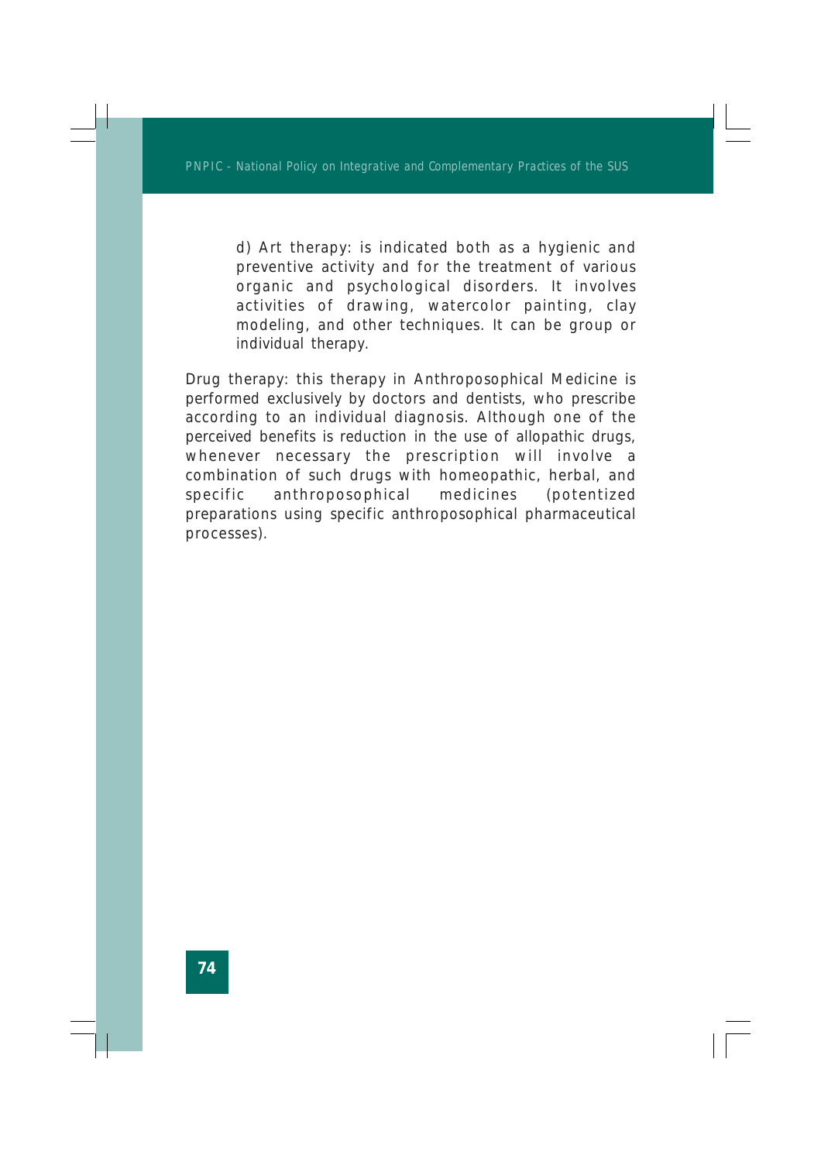d) Art therapy: is indicated both as a hygienic and preventive activity and for the treatment of various organic and psychological disorders. It involves activities of drawing, watercolor painting, clay modeling, and other techniques. It can be group or individual therapy.

Drug therapy: this therapy in Anthroposophical Medicine is performed exclusively by doctors and dentists, who prescribe according to an individual diagnosis. Although one of the perceived benefits is reduction in the use of allopathic drugs, whenever necessary the prescription will involve a combination of such drugs with homeopathic, herbal, and specific anthroposophical medicines (potentized preparations using specific anthroposophical pharmaceutical processes).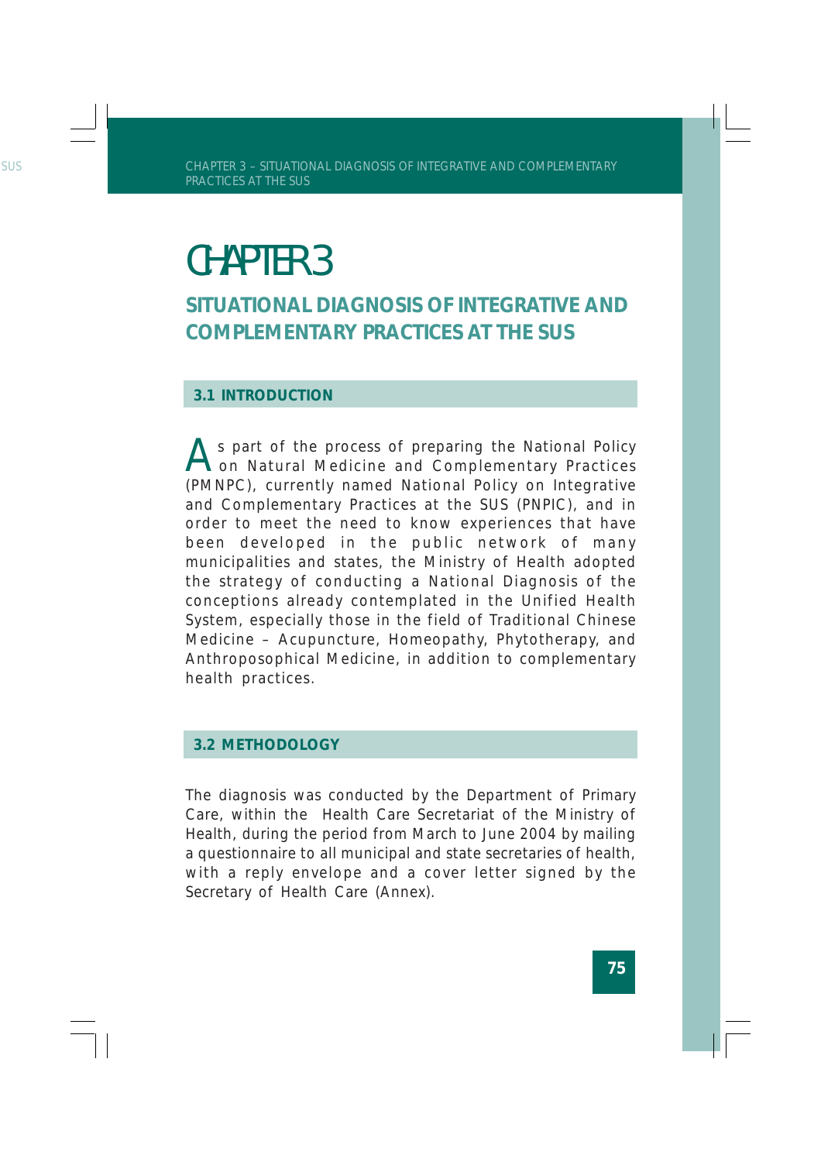# **CHAPTER 3**

**SITUATIONAL DIAGNOSIS OF INTEGRATIVE AND COMPLEMENTARY PRACTICES AT THE SUS**

# **3.1 INTRODUCTION**

As part of the process of preparing the National Policy<br>
on Natural Medicine and Complementary Practices (PMNPC), currently named National Policy on Integrative and Complementary Practices at the SUS (PNPIC), and in order to meet the need to know experiences that have been developed in the public network of many municipalities and states, the Ministry of Health adopted the strategy of conducting a National Diagnosis of the conceptions already contemplated in the Unified Health System, especially those in the field of Traditional Chinese Medicine – Acupuncture, Homeopathy, Phytotherapy, and Anthroposophical Medicine, in addition to complementary health practices.

# **3.2 METHODOLOGY**

The diagnosis was conducted by the Department of Primary Care, within the Health Care Secretariat of the Ministry of Health, during the period from March to June 2004 by mailing a questionnaire to all municipal and state secretaries of health, with a reply envelope and a cover letter signed by the Secretary of Health Care (Annex).

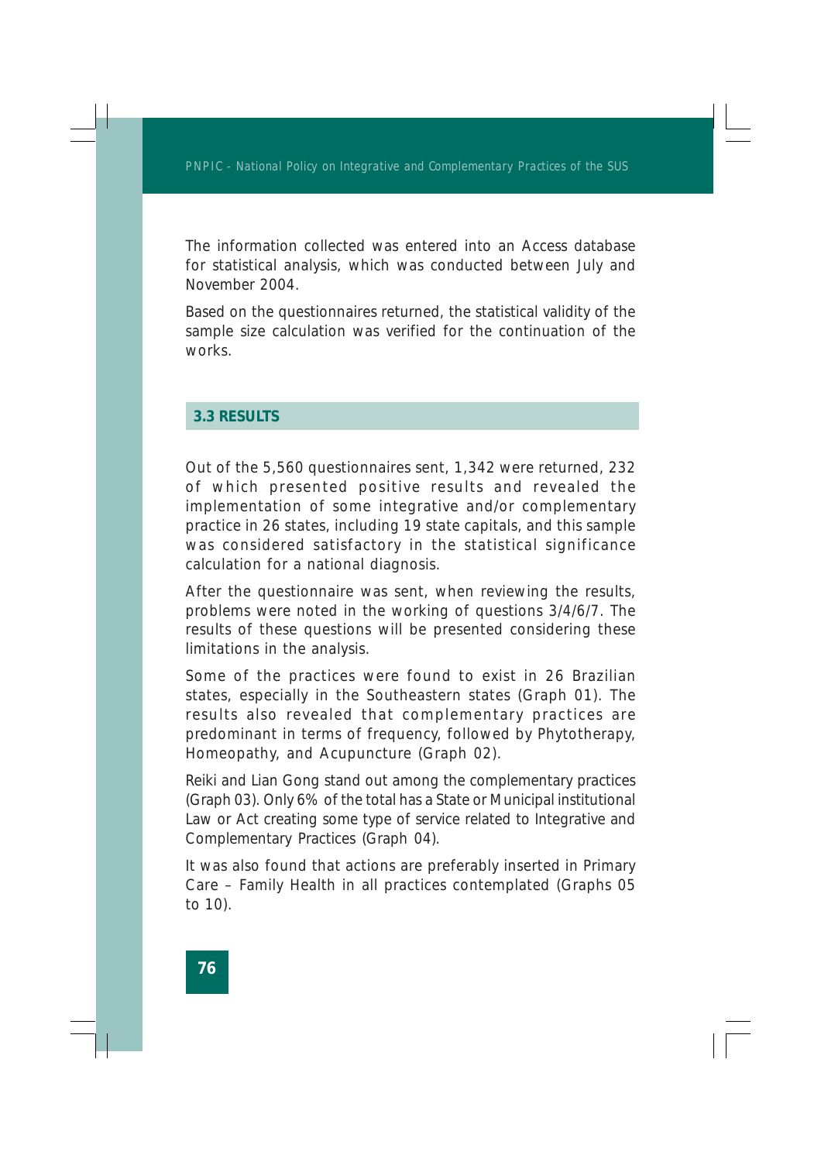The information collected was entered into an Access database for statistical analysis, which was conducted between July and November 2004.

Based on the questionnaires returned, the statistical validity of the sample size calculation was verified for the continuation of the works.

### **3.3 RESULTS**

Out of the 5,560 questionnaires sent, 1,342 were returned, 232 of which presented positive results and revealed the implementation of some integrative and/or complementary practice in 26 states, including 19 state capitals, and this sample was considered satisfactory in the statistical significance calculation for a national diagnosis.

After the questionnaire was sent, when reviewing the results, problems were noted in the working of questions 3/4/6/7. The results of these questions will be presented considering these limitations in the analysis.

Some of the practices were found to exist in 26 Brazilian states, especially in the Southeastern states (Graph 01). The results also revealed that complementary practices are predominant in terms of frequency, followed by Phytotherapy, Homeopathy, and Acupuncture (Graph 02).

Reiki and Lian Gong stand out among the complementary practices (Graph 03). Only 6% of the total has a State or Municipal institutional Law or Act creating some type of service related to Integrative and Complementary Practices (Graph 04).

It was also found that actions are preferably inserted in Primary Care – Family Health in all practices contemplated (Graphs 05 to 10).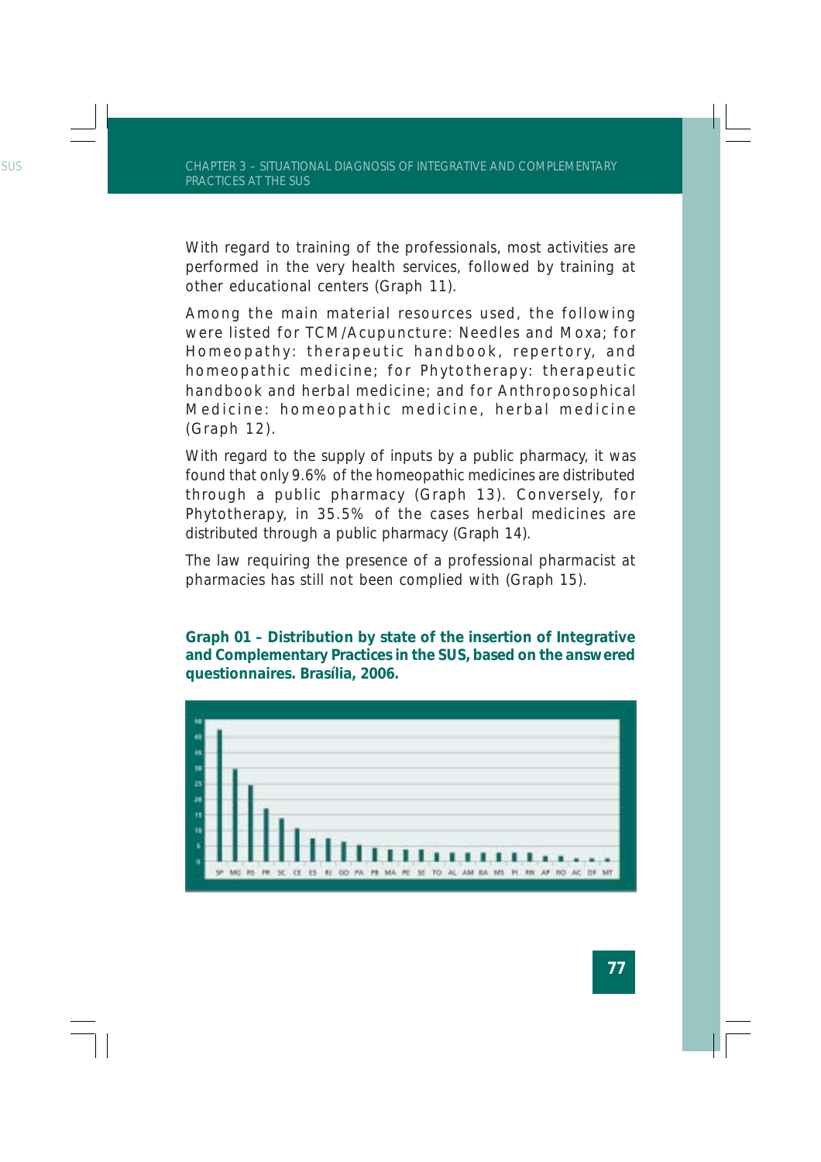> With regard to training of the professionals, most activities are performed in the very health services, followed by training at other educational centers (Graph 11).

> Among the main material resources used, the following were listed for TCM/Acupuncture: Needles and Moxa; for Homeopathy: therapeutic handbook, repertory, and homeopathic medicine; for Phytotherapy: therapeutic handbook and herbal medicine; and for Anthroposophical Medicine: homeopathic medicine, herbal medicine (Graph 12).

> With regard to the supply of inputs by a public pharmacy, it was found that only 9.6% of the homeopathic medicines are distributed through a public pharmacy (Graph 13). Conversely, for Phytotherapy, in 35.5% of the cases herbal medicines are distributed through a public pharmacy (Graph 14).

> The law requiring the presence of a professional pharmacist at pharmacies has still not been complied with (Graph 15).

> **Graph 01 – Distribution by state of the insertion of Integrative and Complementary Practices in the SUS, based on the answered questionnaires. Brasília, 2006.**

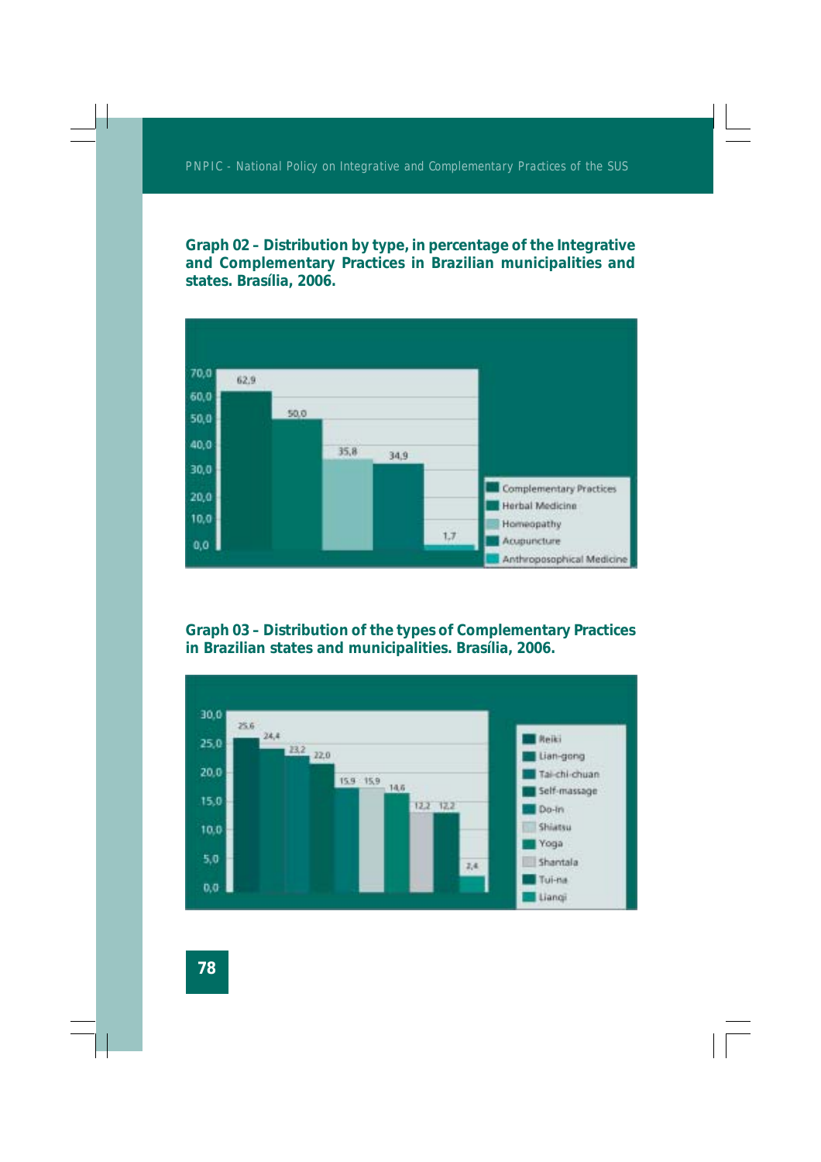**Graph 02 – Distribution by type, in percentage of the Integrative and Complementary Practices in Brazilian municipalities and states. Brasília, 2006.**



### **Graph 03 – Distribution of the types of Complementary Practices in Brazilian states and municipalities. Brasília, 2006.**

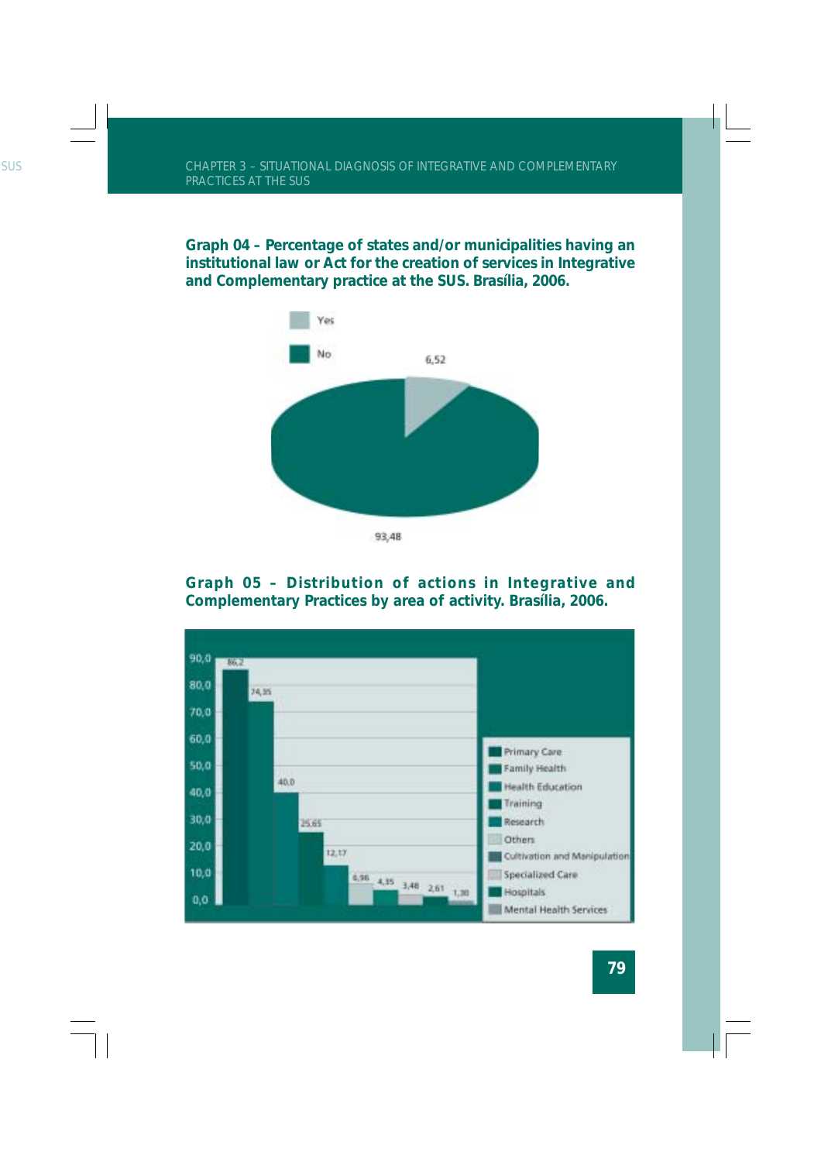> **Graph 04 – Percentage of states and/or municipalities having an institutional law or Act for the creation of services in Integrative and Complementary practice at the SUS. Brasília, 2006.**





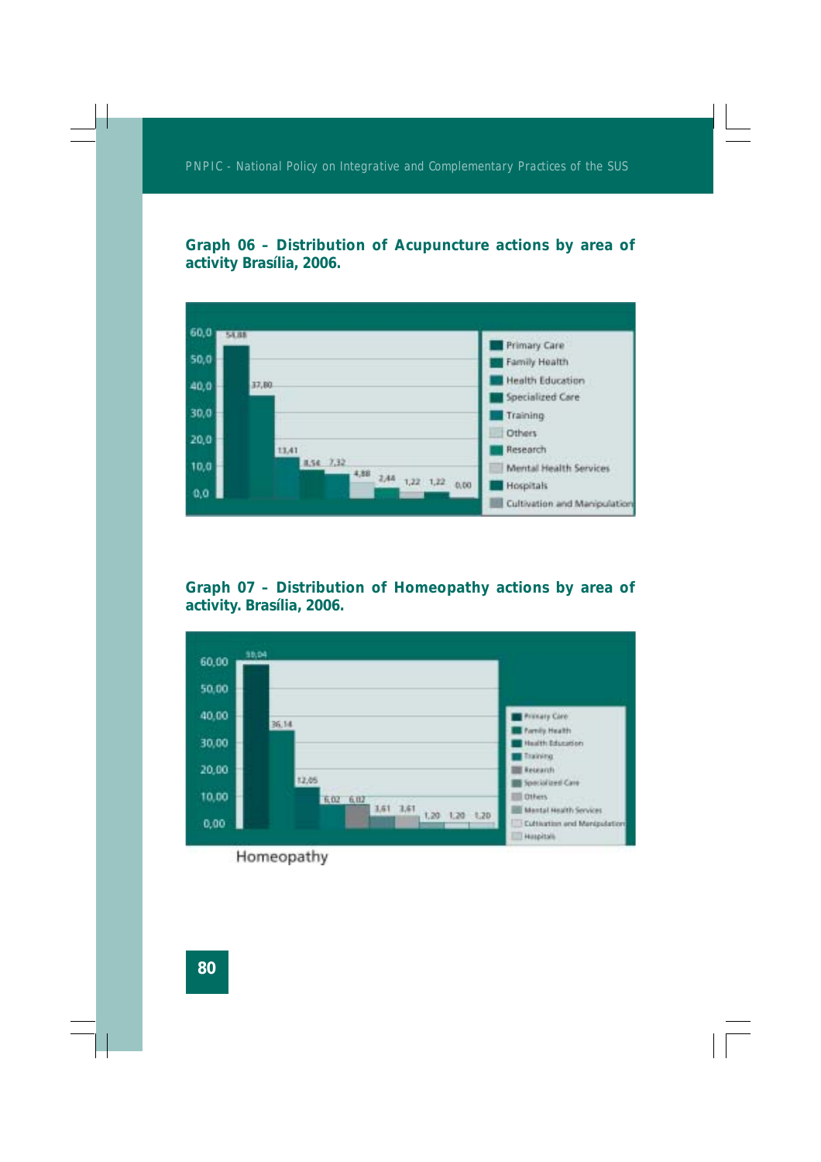

**Graph 06 – Distribution of Acupuncture actions by area of activity Brasília, 2006.**

# **Graph 07 – Distribution of Homeopathy actions by area of activity. Brasília, 2006.**

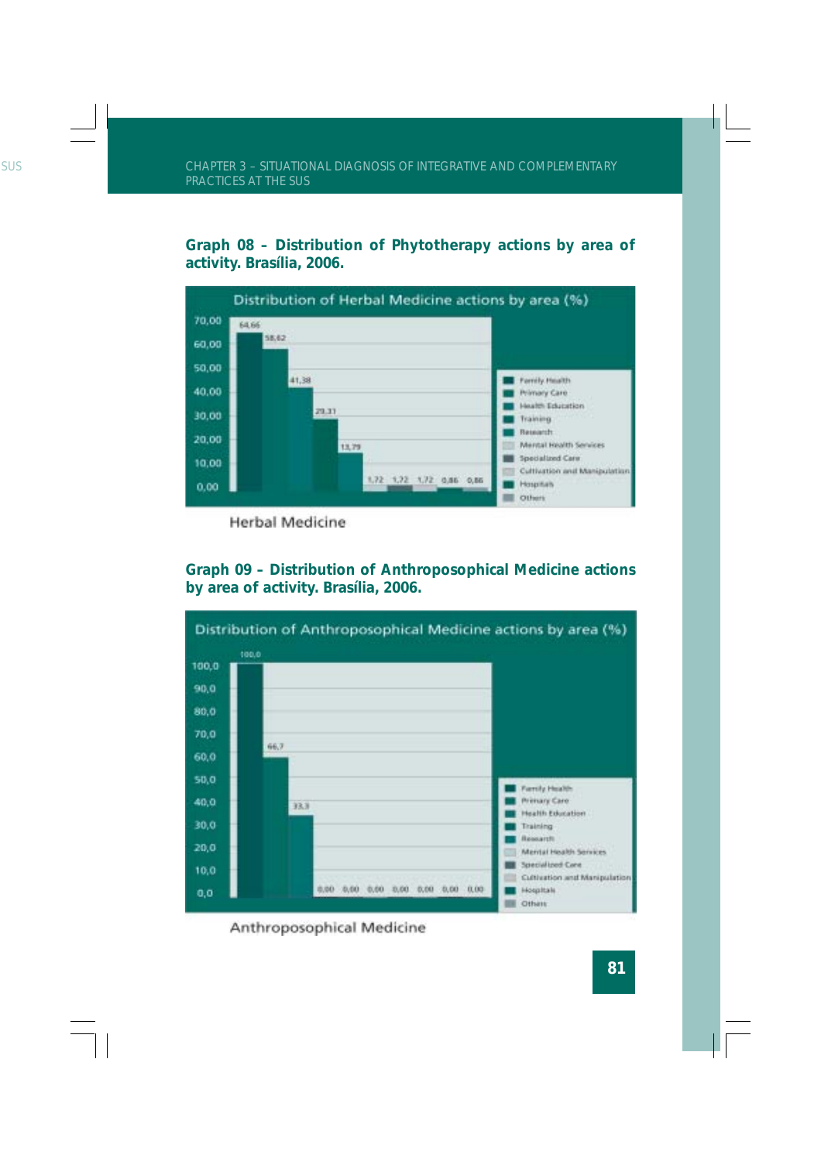> **Graph 08 – Distribution of Phytotherapy actions by area of activity. Brasília, 2006.**



**Herbal Medicine** 





Anthroposophical Medicine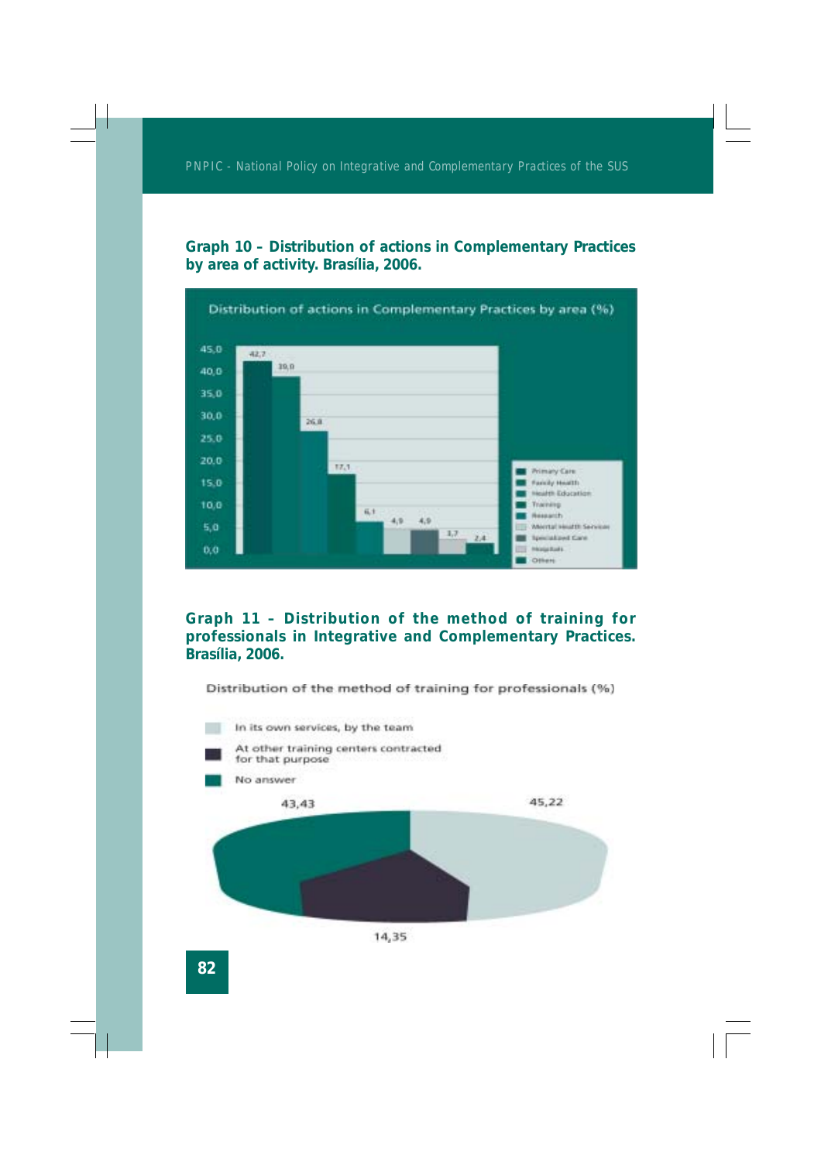

**Graph 10 – Distribution of actions in Complementary Practices by area of activity. Brasília, 2006.**

# **Graph 11 – Distribution of the method of training for professionals in Integrative and Complementary Practices. Brasília, 2006.**

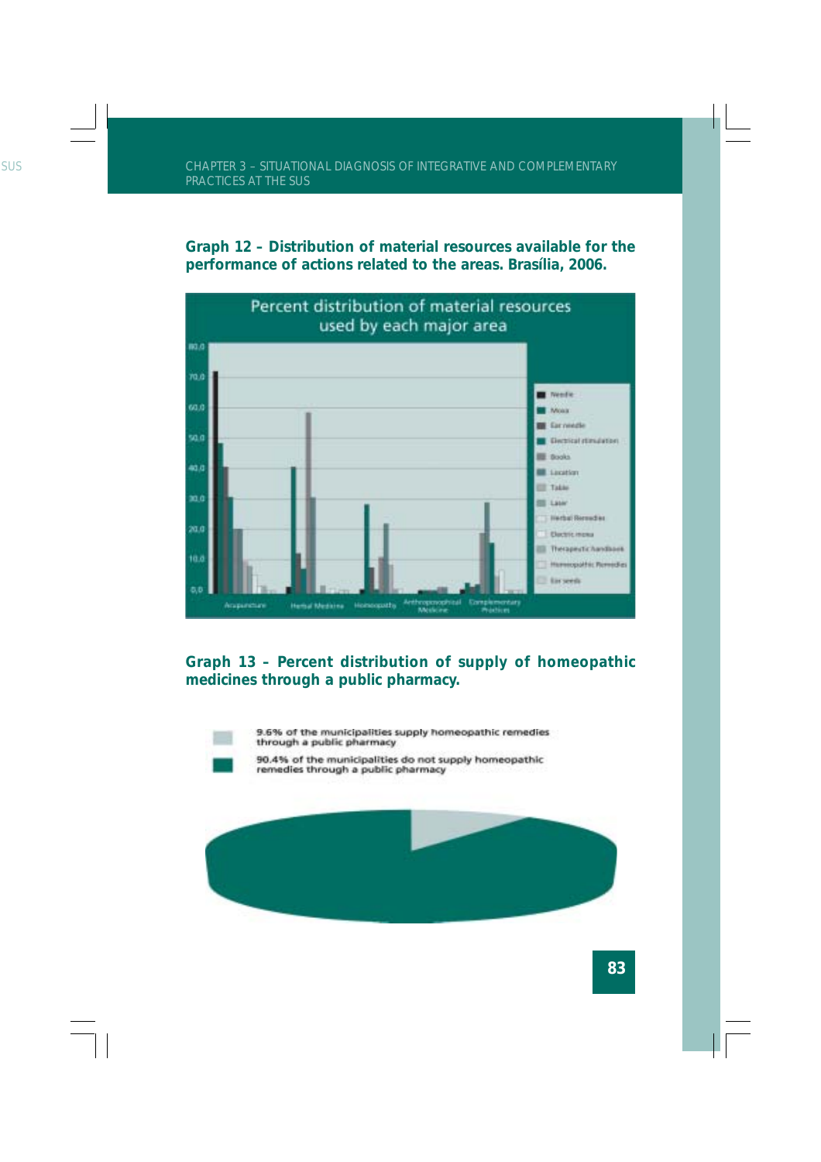> **Graph 12 – Distribution of material resources available for the performance of actions related to the areas. Brasília, 2006.**



### **Graph 13 – Percent distribution of supply of homeopathic medicines through a public pharmacy.**



9.6% of the municipalities supply homeopathic remedies through a public pharmacy

90.4% of the municipalities do not supply homeopathic<br>remedies through a public pharmacy

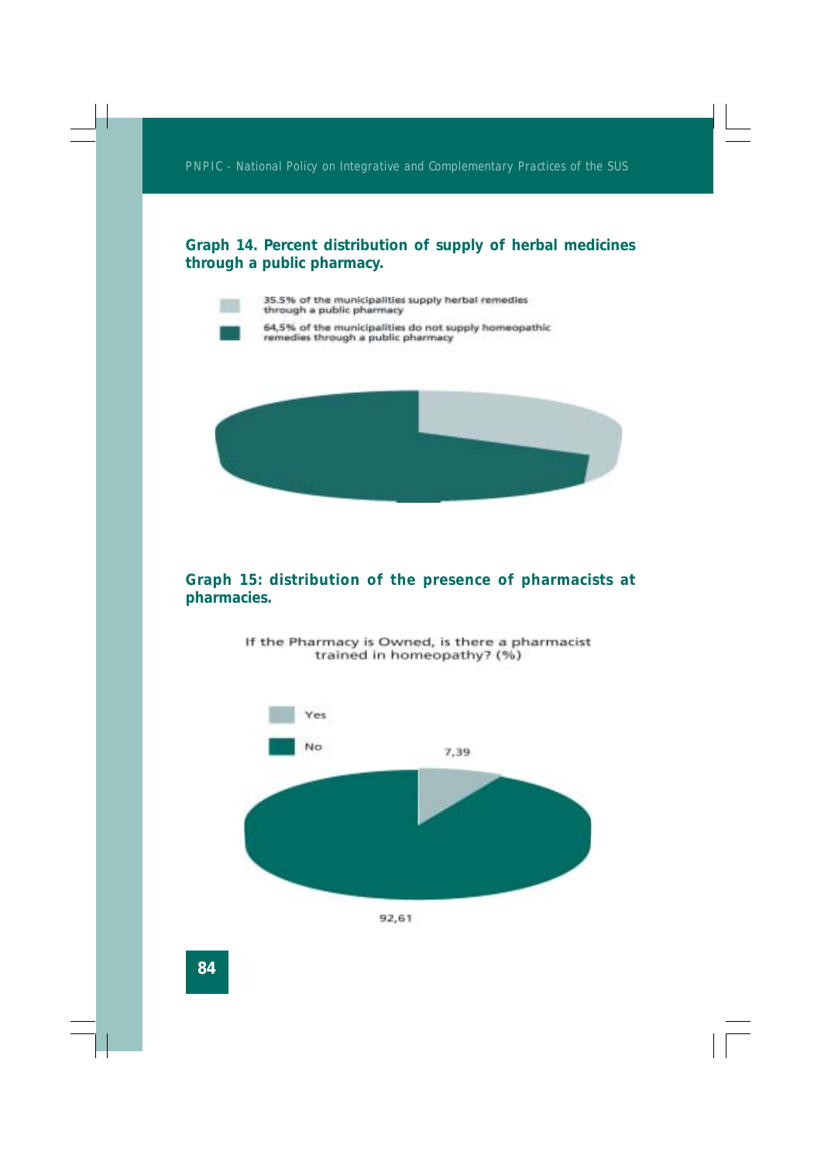



35.5% of the municipalities supply herbal remedies<br>through a public pharmacy

64,5% of the municipalities do not supply homeopathic<br>remedies through a public pharmacy



**Graph 15: distribution of the presence of pharmacists at pharmacies.**





92,61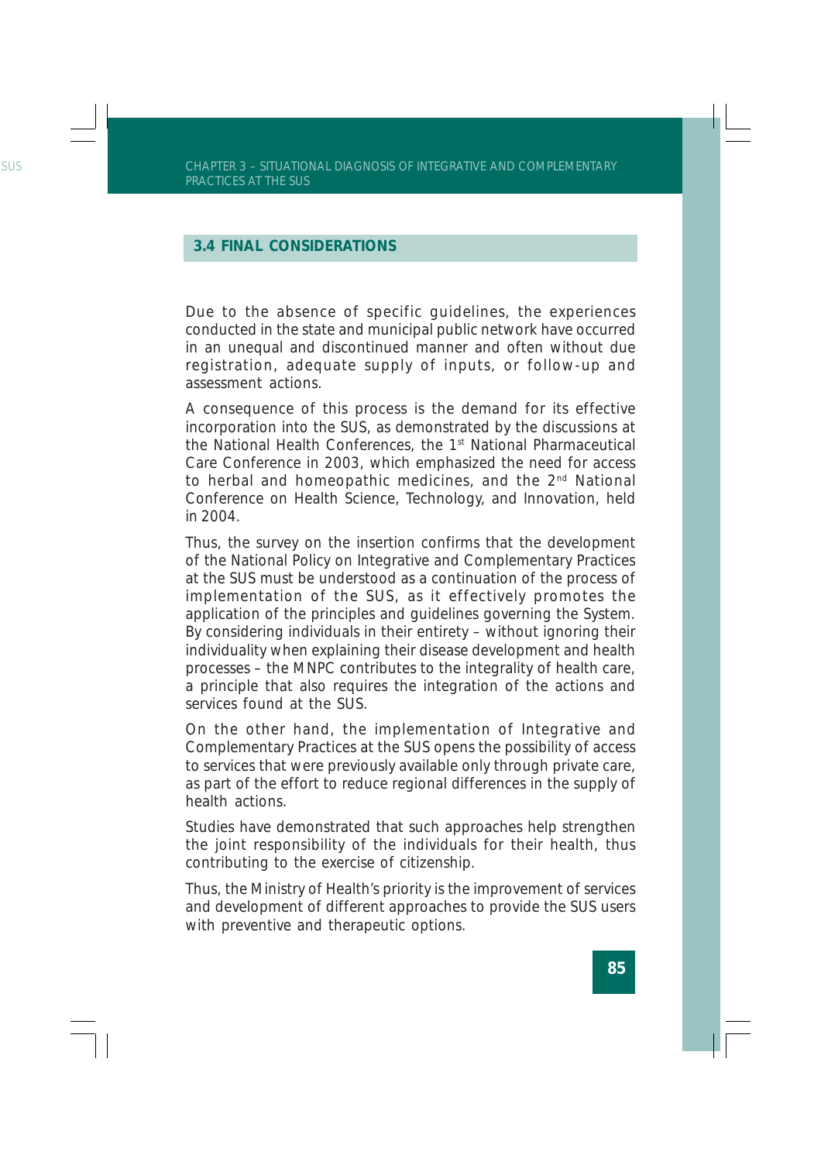# **3.4 FINAL CONSIDERATIONS**

Due to the absence of specific guidelines, the experiences conducted in the state and municipal public network have occurred in an unequal and discontinued manner and often without due registration, adequate supply of inputs, or follow-up and assessment actions.

A consequence of this process is the demand for its effective incorporation into the SUS, as demonstrated by the discussions at the National Health Conferences, the 1<sup>st</sup> National Pharmaceutical Care Conference in 2003, which emphasized the need for access to herbal and homeopathic medicines, and the 2<sup>nd</sup> National Conference on Health Science, Technology, and Innovation, held in 2004.

Thus, the survey on the insertion confirms that the development of the National Policy on Integrative and Complementary Practices at the SUS must be understood as a continuation of the process of implementation of the SUS, as it effectively promotes the application of the principles and guidelines governing the System. By considering individuals in their entirety – without ignoring their individuality when explaining their disease development and health processes – the MNPC contributes to the integrality of health care, a principle that also requires the integration of the actions and services found at the SUS.

On the other hand, the implementation of Integrative and Complementary Practices at the SUS opens the possibility of access to services that were previously available only through private care, as part of the effort to reduce regional differences in the supply of health actions.

Studies have demonstrated that such approaches help strengthen the joint responsibility of the individuals for their health, thus contributing to the exercise of citizenship.

Thus, the Ministry of Health's priority is the improvement of services and development of different approaches to provide the SUS users with preventive and therapeutic options.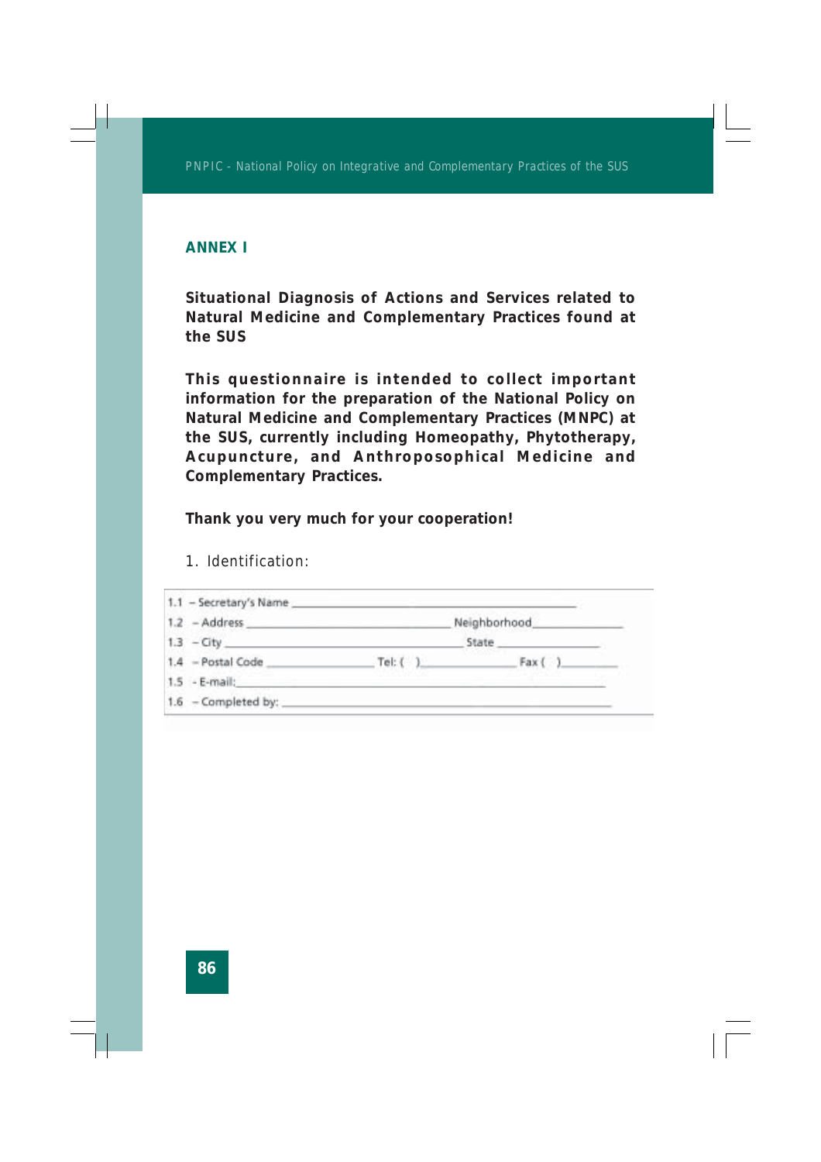# **ANNEX I**

**Situational Diagnosis of Actions and Services related to Natural Medicine and Complementary Practices found at the SUS**

**This questionnaire is intended to collect important information for the preparation of the National Policy on Natural Medicine and Complementary Practices (MNPC) at the SUS, currently including Homeopathy, Phytotherapy, Acupuncture, and Anthroposophical Medicine and Complementary Practices.**

**Thank you very much for your cooperation!**

1. Identification:

| 1.2 - Address         |          | Neighborhood_ |
|-----------------------|----------|---------------|
| $1.3 - City$          |          | State         |
| 1.4 - Postal Code     | Tel: ( ) | Fax (         |
| $1.5 - E$ -mail:      |          |               |
| $1.6$ - Completed by: |          |               |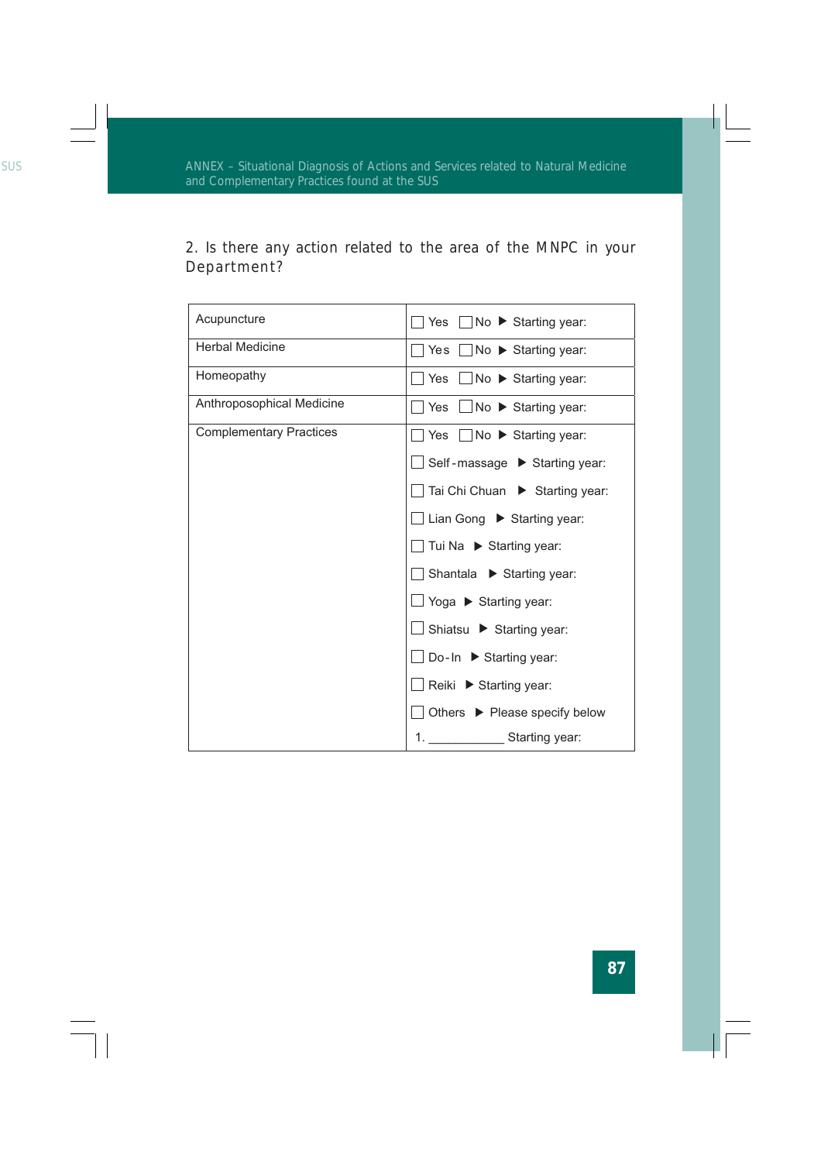SUS ANNEX – Situational Diagnosis of Actions and Services related to Natural Medicine and Complementary Practices found at the SUS

> 2. Is there any action related to the area of the MNPC in your Department?

| Acupuncture                    | No ▶ Starting year:<br>Yes                          |
|--------------------------------|-----------------------------------------------------|
| <b>Herbal Medicine</b>         | Yes No ▶ Starting year:                             |
| Homeopathy                     | Yes $\Box$ No $\blacktriangleright$ Starting year:  |
| Anthroposophical Medicine      | Yes $\Box$ No $\blacktriangleright$ Starting year:  |
| <b>Complementary Practices</b> | Yes $\Box$ No $\blacktriangleright$ Starting year:  |
|                                | Self-massage ▶ Starting year:                       |
|                                | Tai Chi Chuan ▶ Starting year:                      |
|                                | Lian Gong ▶ Starting year:                          |
|                                | Tui Na ▶ Starting year:                             |
|                                | Shantala ▶ Starting year:                           |
|                                | $\Box$ Yoga $\blacktriangleright$ Starting year:    |
|                                | $\Box$ Shiatsu $\blacktriangleright$ Starting year: |
|                                | Do-In ▶ Starting year:                              |
|                                | Reiki ▶ Starting year:                              |
|                                | Others ▶ Please specify below                       |
|                                | 1.<br>Starting year:                                |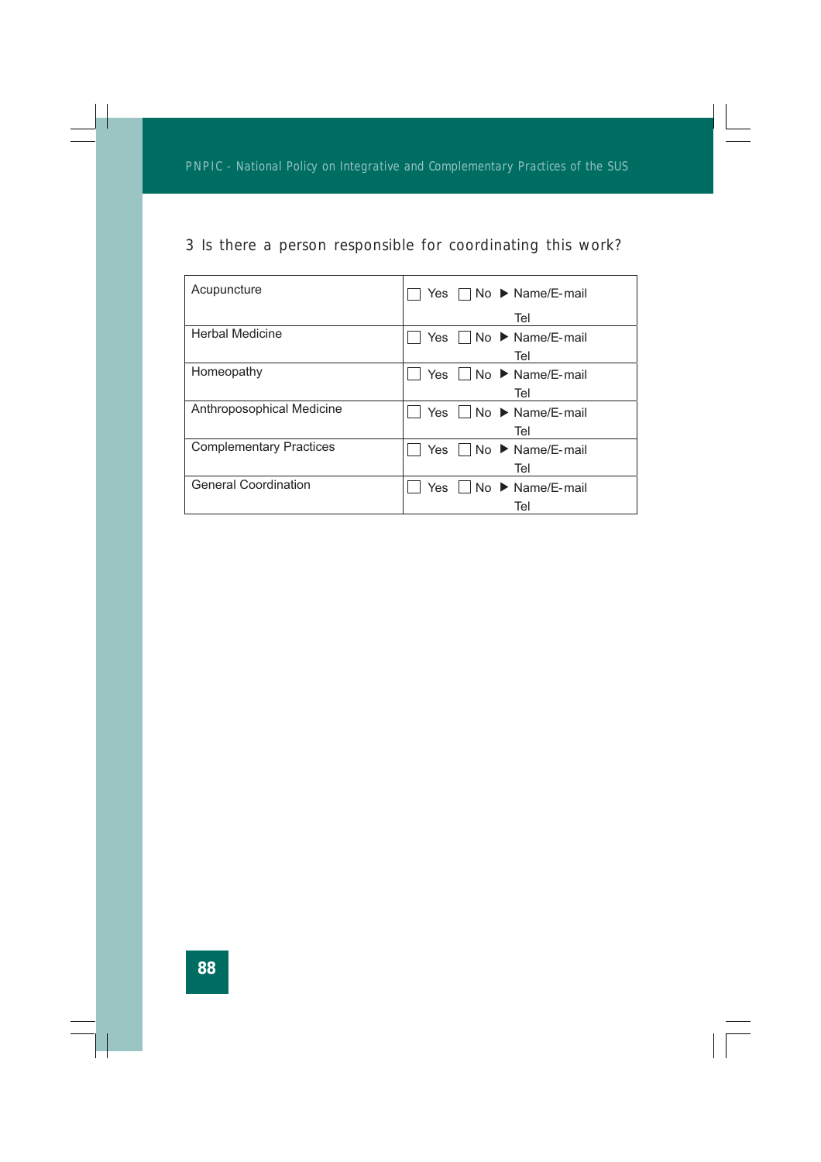$\boxed{\phantom{a}}$ 

| Acupuncture                    | Yes $\Box$ No $\blacktriangleright$ Name/E-mail          |
|--------------------------------|----------------------------------------------------------|
|                                | Tel                                                      |
| <b>Herbal Medicine</b>         | Yes     No ▶ Name/E-mail                                 |
|                                | Tel                                                      |
| Homeopathy                     | Yes $\vert \ \vert N_0 \blacktriangleright$ Name/E-mail  |
|                                | Tel                                                      |
| Anthroposophical Medicine      | Yes $\parallel$ No $\triangleright$ Name/E-mail          |
|                                | Tel                                                      |
| <b>Complementary Practices</b> | Yes $\vert$ $\vert$ No $\blacktriangleright$ Name/E-mail |
|                                | Tel                                                      |
| <b>General Coordination</b>    | Yes $\vert \ \vert N_0 \blacktriangleright$ Name/E-mail  |
|                                | Tel                                                      |

3 Is there a person responsible for coordinating this work?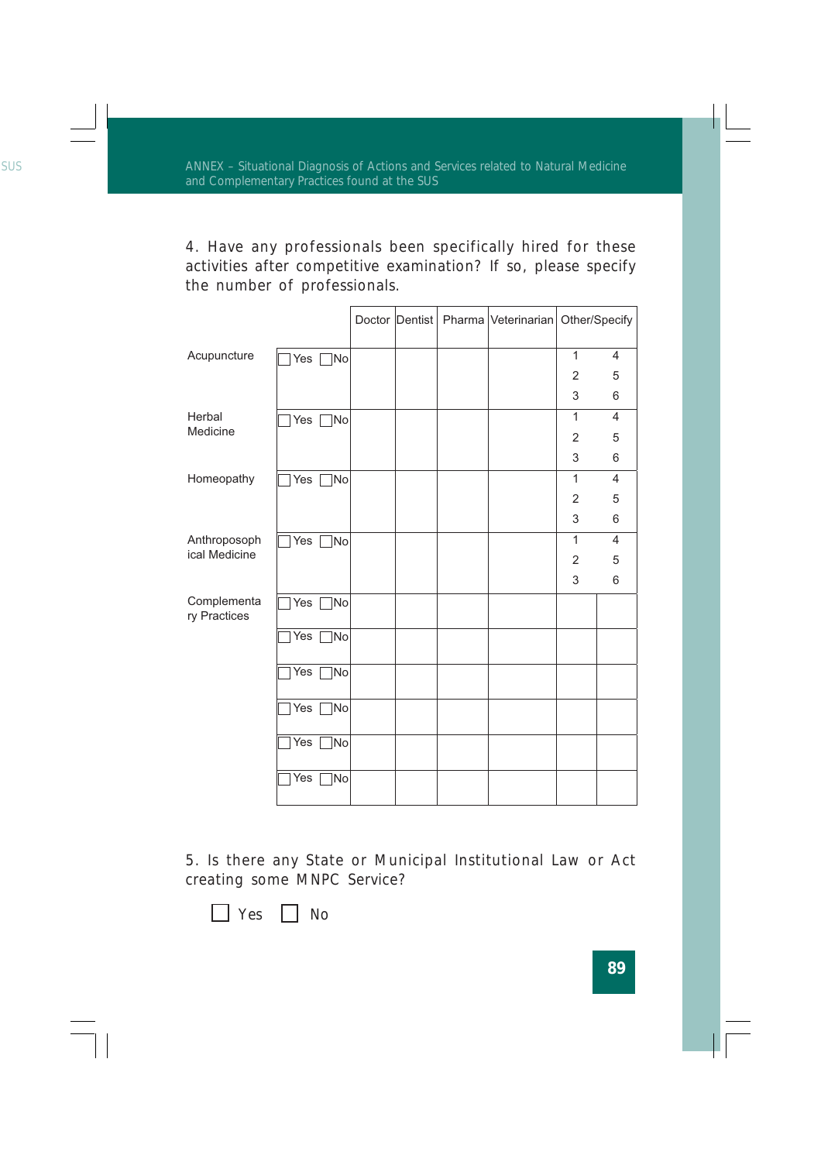SUS ANNEX – Situational Diagnosis of Actions and Services related to Natural Medicine and Complementary Practices found at the SUS

> 4. Have any professionals been specifically hired for these activities after competitive examination? If so, please specify the number of professionals.

|                               |                           | Doctor Dentist | Pharma Veterinarian Other/Specify |              |                |
|-------------------------------|---------------------------|----------------|-----------------------------------|--------------|----------------|
| Acupuncture                   | Yes $\lceil$<br>$\neg$ No |                |                                   | 1            | $\overline{4}$ |
|                               |                           |                |                                   | 2            | 5              |
|                               |                           |                |                                   | 3            | 6              |
| Herbal                        | Yes<br>∃No                |                |                                   | $\mathbf{1}$ | $\overline{4}$ |
| Medicine                      |                           |                |                                   | 2            | 5              |
|                               |                           |                |                                   | 3            | 6              |
| Homeopathy                    | Yes<br>$\n  1$ No         |                |                                   | $\mathbf{1}$ | 4              |
|                               |                           |                |                                   | 2            | 5              |
|                               |                           |                |                                   | 3            | 6              |
| Anthroposoph<br>ical Medicine | Yes<br>∃No                |                |                                   | 1            | $\overline{4}$ |
|                               |                           |                |                                   | 2            | 5              |
|                               |                           |                |                                   | 3            | 6              |
| Complementa<br>ry Practices   | Yes<br>No                 |                |                                   |              |                |
|                               | Yes<br>∣No                |                |                                   |              |                |
|                               | Yes<br>∣No                |                |                                   |              |                |
|                               | Yes<br>∣No                |                |                                   |              |                |
|                               | Yes<br>∣No                |                |                                   |              |                |
|                               | Yes<br>∣No                |                |                                   |              |                |

5. Is there any State or Municipal Institutional Law or Act creating some MNPC Service?

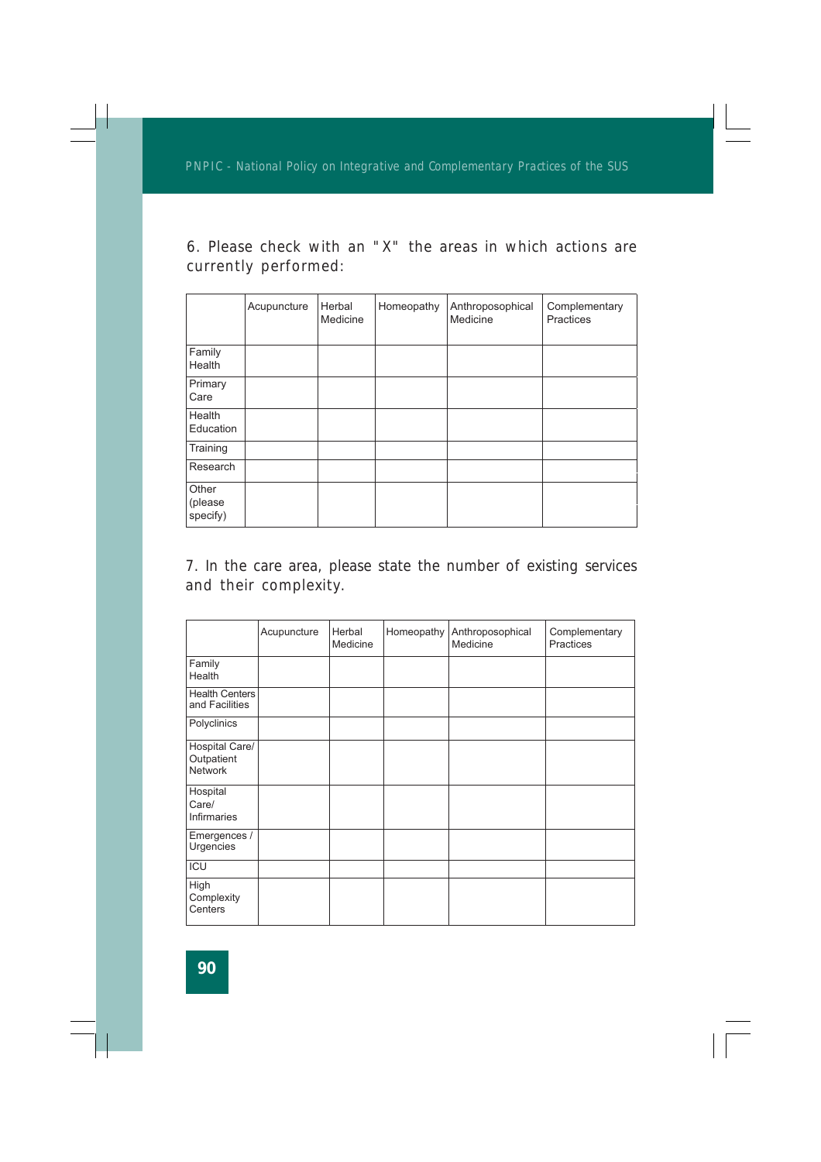6. Please check with an "X" the areas in which actions are currently performed:

|                              | Acupuncture | Herbal<br>Medicine | Homeopathy | Anthroposophical<br>Medicine | Complementary<br>Practices |
|------------------------------|-------------|--------------------|------------|------------------------------|----------------------------|
| Family<br>Health             |             |                    |            |                              |                            |
| Primary<br>Care              |             |                    |            |                              |                            |
| Health<br>Education          |             |                    |            |                              |                            |
| Training                     |             |                    |            |                              |                            |
| Research                     |             |                    |            |                              |                            |
| Other<br>(please<br>specify) |             |                    |            |                              |                            |

7. In the care area, please state the number of existing services and their complexity.

|                                                | Acupuncture | Herbal<br>Medicine | Homeopathy | Anthroposophical<br>Medicine | Complementary<br>Practices |
|------------------------------------------------|-------------|--------------------|------------|------------------------------|----------------------------|
| Family<br>Health                               |             |                    |            |                              |                            |
| <b>Health Centers</b><br>and Facilities        |             |                    |            |                              |                            |
| Polyclinics                                    |             |                    |            |                              |                            |
| Hospital Care/<br>Outpatient<br><b>Network</b> |             |                    |            |                              |                            |
| Hospital<br>Care/<br><b>Infirmaries</b>        |             |                    |            |                              |                            |
| Emergences /<br>Urgencies                      |             |                    |            |                              |                            |
| ICU                                            |             |                    |            |                              |                            |
| High<br>Complexity<br>Centers                  |             |                    |            |                              |                            |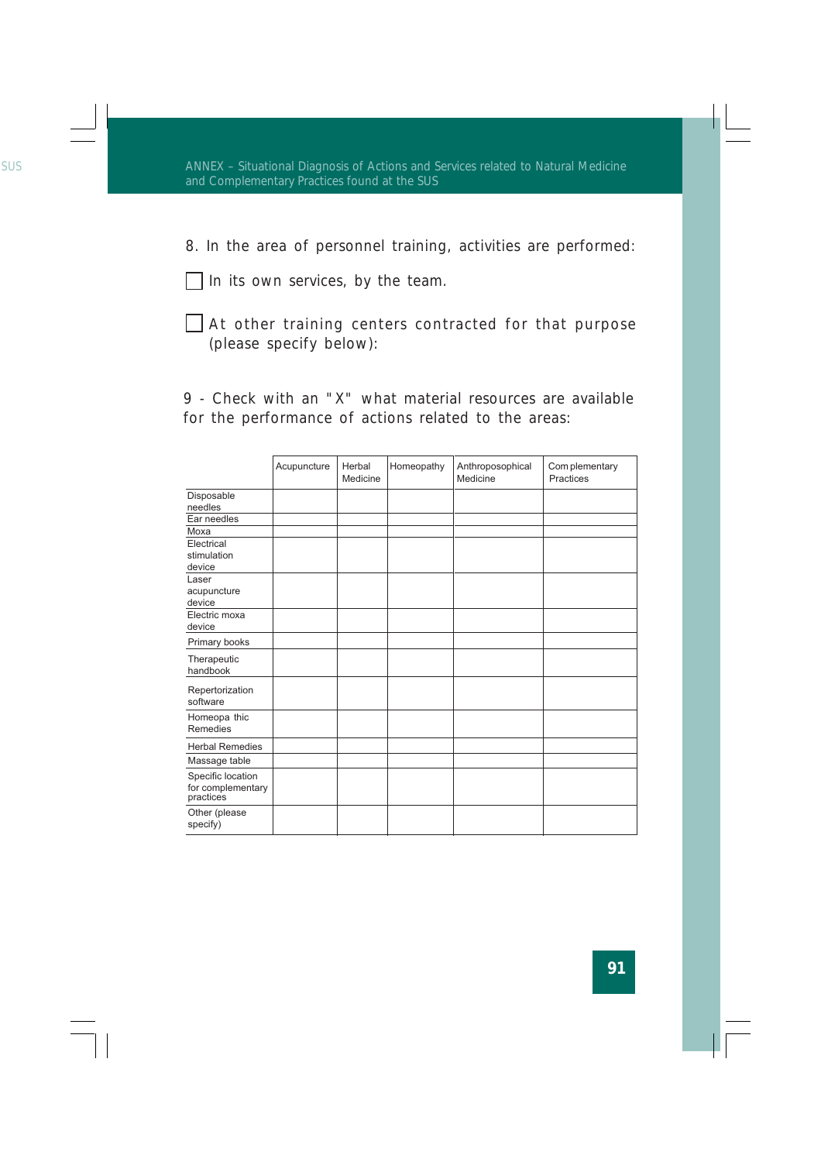SUS ANNEX – Situational Diagnosis of Actions and Services related to Natural Medicine and Complementary Practices found at the SUS

8. In the area of personnel training, activities are performed:

 $\Box$  In its own services, by the team.

At other training centers contracted for that purpose (please specify below):

9 - Check with an "X" what material resources are available for the performance of actions related to the areas:

|                                                     | Acupuncture | Herbal<br>Medicine | Homeopathy | Anthroposophical<br>Medicine | Com plementary<br>Practices |
|-----------------------------------------------------|-------------|--------------------|------------|------------------------------|-----------------------------|
| Disposable<br>needles                               |             |                    |            |                              |                             |
| Ear needles                                         |             |                    |            |                              |                             |
| Moxa                                                |             |                    |            |                              |                             |
| Electrical<br>stimulation<br>device                 |             |                    |            |                              |                             |
| Laser<br>acupuncture<br>device                      |             |                    |            |                              |                             |
| Electric moxa<br>device                             |             |                    |            |                              |                             |
| Primary books                                       |             |                    |            |                              |                             |
| Therapeutic<br>handbook                             |             |                    |            |                              |                             |
| Repertorization<br>software                         |             |                    |            |                              |                             |
| Homeopa thic<br>Remedies                            |             |                    |            |                              |                             |
| <b>Herbal Remedies</b>                              |             |                    |            |                              |                             |
| Massage table                                       |             |                    |            |                              |                             |
| Specific location<br>for complementary<br>practices |             |                    |            |                              |                             |
| Other (please<br>specify)                           |             |                    |            |                              |                             |